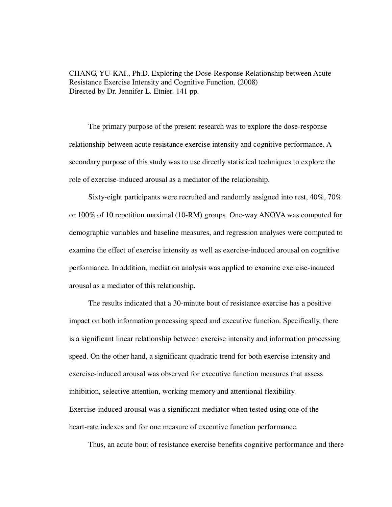CHANG, YU-KAI., Ph.D. Exploring the Dose-Response Relationship between Acute Resistance Exercise Intensity and Cognitive Function. (2008) Directed by Dr. Jennifer L. Etnier. 141 pp.

The primary purpose of the present research was to explore the dose-response relationship between acute resistance exercise intensity and cognitive performance. A secondary purpose of this study was to use directly statistical techniques to explore the role of exercise-induced arousal as a mediator of the relationship.

Sixty-eight participants were recruited and randomly assigned into rest, 40%, 70% or 100% of 10 repetition maximal (10-RM) groups. One-way ANOVA was computed for demographic variables and baseline measures, and regression analyses were computed to examine the effect of exercise intensity as well as exercise-induced arousal on cognitive performance. In addition, mediation analysis was applied to examine exercise-induced arousal as a mediator of this relationship.

The results indicated that a 30-minute bout of resistance exercise has a positive impact on both information processing speed and executive function. Specifically, there is a significant linear relationship between exercise intensity and information processing speed. On the other hand, a significant quadratic trend for both exercise intensity and exercise-induced arousal was observed for executive function measures that assess inhibition, selective attention, working memory and attentional flexibility. Exercise-induced arousal was a significant mediator when tested using one of the heart-rate indexes and for one measure of executive function performance.

Thus, an acute bout of resistance exercise benefits cognitive performance and there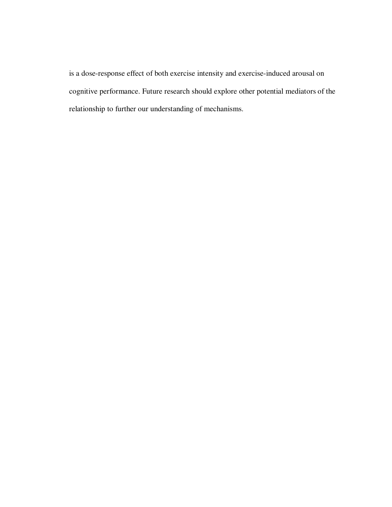is a dose-response effect of both exercise intensity and exercise-induced arousal on cognitive performance. Future research should explore other potential mediators of the relationship to further our understanding of mechanisms.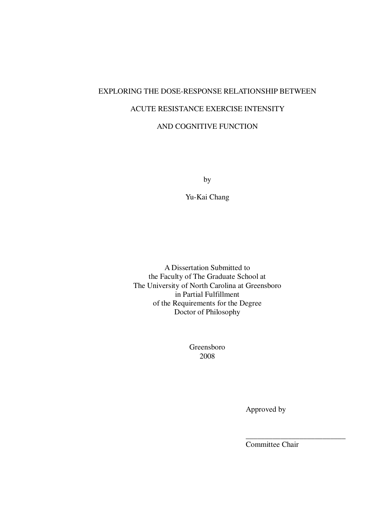# EXPLORING THE DOSE-RESPONSE RELATIONSHIP BETWEEN ACUTE RESISTANCE EXERCISE INTENSITY AND COGNITIVE FUNCTION

by

Yu-Kai Chang

A Dissertation Submitted to the Faculty of The Graduate School at The University of North Carolina at Greensboro in Partial Fulfillment of the Requirements for the Degree Doctor of Philosophy

> Greensboro 2008

> > Approved by

Committee Chair

\_\_\_\_\_\_\_\_\_\_\_\_\_\_\_\_\_\_\_\_\_\_\_\_\_\_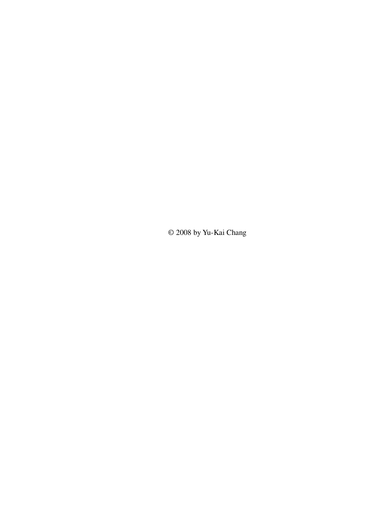© 2008 by Yu-Kai Chang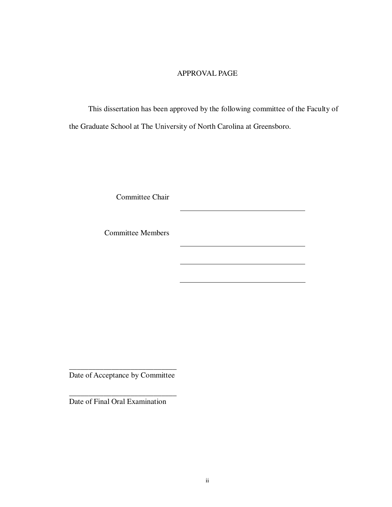### APPROVAL PAGE

This dissertation has been approved by the following committee of the Faculty of the Graduate School at The University of North Carolina at Greensboro.

Committee Chair

Committee Members

\_\_\_\_\_\_\_\_\_\_\_\_\_\_\_\_\_\_\_\_\_\_\_\_\_\_\_\_ Date of Acceptance by Committee

\_\_\_\_\_\_\_\_\_\_\_\_\_\_\_\_\_\_\_\_\_\_\_\_\_\_\_\_

Date of Final Oral Examination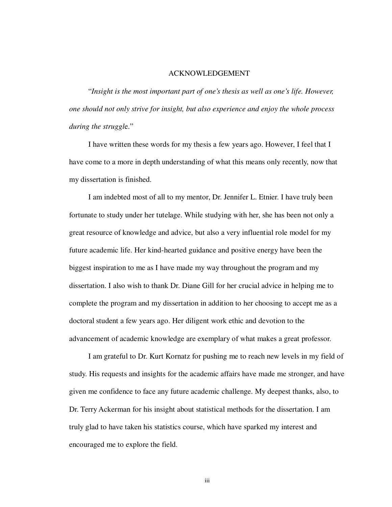#### ACKNOWLEDGEMENT

"*Insight is the most important part of one's thesis as well as one's life. However, one should not only strive for insight, but also experience and enjoy the whole process during the struggl*e."

I have written these words for my thesis a few years ago. However, I feel that I have come to a more in depth understanding of what this means only recently, now that my dissertation is finished.

I am indebted most of all to my mentor, Dr. Jennifer L. Etnier. I have truly been fortunate to study under her tutelage. While studying with her, she has been not only a great resource of knowledge and advice, but also a very influential role model for my future academic life. Her kind-hearted guidance and positive energy have been the biggest inspiration to me as I have made my way throughout the program and my dissertation. I also wish to thank Dr. Diane Gill for her crucial advice in helping me to complete the program and my dissertation in addition to her choosing to accept me as a doctoral student a few years ago. Her diligent work ethic and devotion to the advancement of academic knowledge are exemplary of what makes a great professor.

I am grateful to Dr. Kurt Kornatz for pushing me to reach new levels in my field of study. His requests and insights for the academic affairs have made me stronger, and have given me confidence to face any future academic challenge. My deepest thanks, also, to Dr. Terry Ackerman for his insight about statistical methods for the dissertation. I am truly glad to have taken his statistics course, which have sparked my interest and encouraged me to explore the field.

iii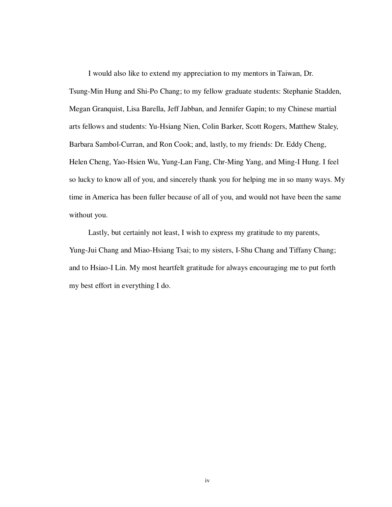I would also like to extend my appreciation to my mentors in Taiwan, Dr. Tsung-Min Hung and Shi-Po Chang; to my fellow graduate students: Stephanie Stadden, Megan Granquist, Lisa Barella, Jeff Jabban, and Jennifer Gapin; to my Chinese martial arts fellows and students: Yu-Hsiang Nien, Colin Barker, Scott Rogers, Matthew Staley, Barbara Sambol-Curran, and Ron Cook; and, lastly, to my friends: Dr. Eddy Cheng, Helen Cheng, Yao-Hsien Wu, Yung-Lan Fang, Chr-Ming Yang, and Ming-I Hung. I feel so lucky to know all of you, and sincerely thank you for helping me in so many ways. My time in America has been fuller because of all of you, and would not have been the same without you.

Lastly, but certainly not least, I wish to express my gratitude to my parents, Yung-Jui Chang and Miao-Hsiang Tsai; to my sisters, I-Shu Chang and Tiffany Chang; and to Hsiao-I Lin. My most heartfelt gratitude for always encouraging me to put forth my best effort in everything I do.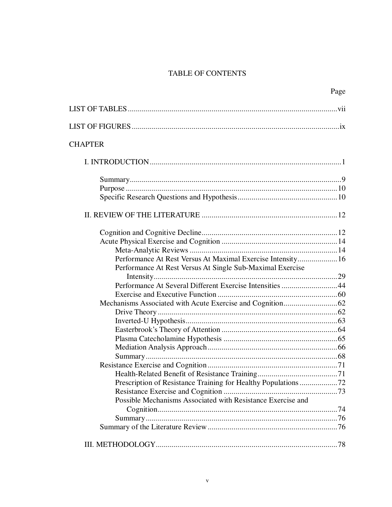# TABLE OF CONTENTS

|                                                             | Page |
|-------------------------------------------------------------|------|
|                                                             |      |
|                                                             |      |
| <b>CHAPTER</b>                                              |      |
|                                                             |      |
|                                                             |      |
|                                                             |      |
|                                                             |      |
|                                                             |      |
|                                                             |      |
|                                                             |      |
|                                                             |      |
| Performance At Rest Versus At Maximal Exercise Intensity16  |      |
| Performance At Rest Versus At Single Sub-Maximal Exercise   |      |
|                                                             |      |
| Performance At Several Different Exercise Intensities 44    |      |
|                                                             |      |
|                                                             |      |
|                                                             |      |
|                                                             |      |
|                                                             |      |
|                                                             |      |
|                                                             |      |
|                                                             |      |
|                                                             |      |
|                                                             |      |
|                                                             |      |
|                                                             |      |
| Possible Mechanisms Associated with Resistance Exercise and |      |
|                                                             |      |
|                                                             |      |
|                                                             |      |
|                                                             |      |
|                                                             |      |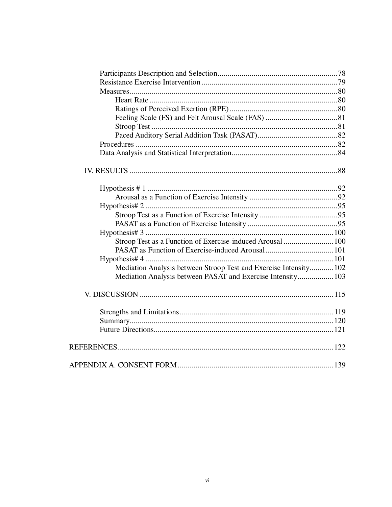| Stroop Test as a Function of Exercise-induced Arousal  100        |  |
|-------------------------------------------------------------------|--|
|                                                                   |  |
|                                                                   |  |
| Mediation Analysis between Stroop Test and Exercise Intensity 102 |  |
| Mediation Analysis between PASAT and Exercise Intensity 103       |  |
|                                                                   |  |
|                                                                   |  |
|                                                                   |  |
|                                                                   |  |
|                                                                   |  |
|                                                                   |  |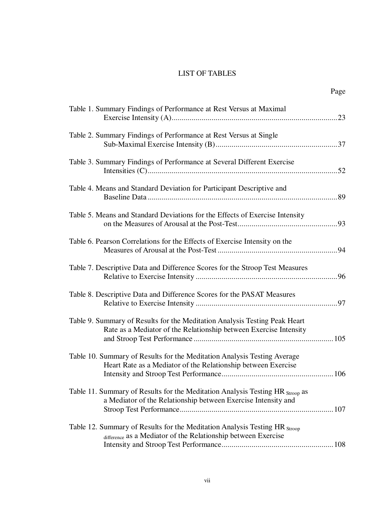## LIST OF TABLES

| Table 1. Summary Findings of Performance at Rest Versus at Maximal                                                                              |
|-------------------------------------------------------------------------------------------------------------------------------------------------|
| Table 2. Summary Findings of Performance at Rest Versus at Single                                                                               |
| Table 3. Summary Findings of Performance at Several Different Exercise                                                                          |
| Table 4. Means and Standard Deviation for Participant Descriptive and                                                                           |
| Table 5. Means and Standard Deviations for the Effects of Exercise Intensity                                                                    |
| Table 6. Pearson Correlations for the Effects of Exercise Intensity on the                                                                      |
| Table 7. Descriptive Data and Difference Scores for the Stroop Test Measures                                                                    |
| Table 8. Descriptive Data and Difference Scores for the PASAT Measures                                                                          |
| Table 9. Summary of Results for the Meditation Analysis Testing Peak Heart<br>Rate as a Mediator of the Relationship between Exercise Intensity |
| Table 10. Summary of Results for the Meditation Analysis Testing Average<br>Heart Rate as a Mediator of the Relationship between Exercise       |
| Table 11. Summary of Results for the Meditation Analysis Testing HR Stroop as<br>a Mediator of the Relationship between Exercise Intensity and  |
| Table 12. Summary of Results for the Meditation Analysis Testing HR Stroop<br>difference as a Mediator of the Relationship between Exercise     |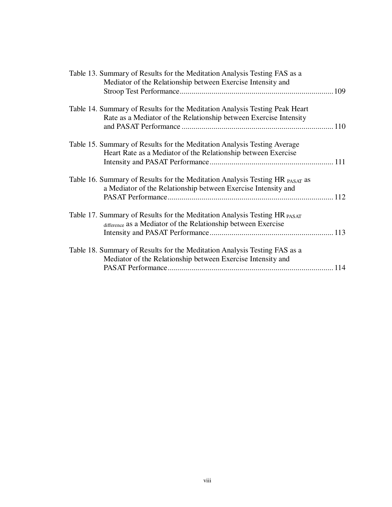| Table 13. Summary of Results for the Meditation Analysis Testing FAS as a<br>Mediator of the Relationship between Exercise Intensity and         |  |
|--------------------------------------------------------------------------------------------------------------------------------------------------|--|
| Table 14. Summary of Results for the Meditation Analysis Testing Peak Heart<br>Rate as a Mediator of the Relationship between Exercise Intensity |  |
| Table 15. Summary of Results for the Meditation Analysis Testing Average<br>Heart Rate as a Mediator of the Relationship between Exercise        |  |
| Table 16. Summary of Results for the Meditation Analysis Testing HR PASAT as<br>a Mediator of the Relationship between Exercise Intensity and    |  |
| Table 17. Summary of Results for the Meditation Analysis Testing HR PASAT<br>difference as a Mediator of the Relationship between Exercise       |  |
| Table 18. Summary of Results for the Meditation Analysis Testing FAS as a<br>Mediator of the Relationship between Exercise Intensity and         |  |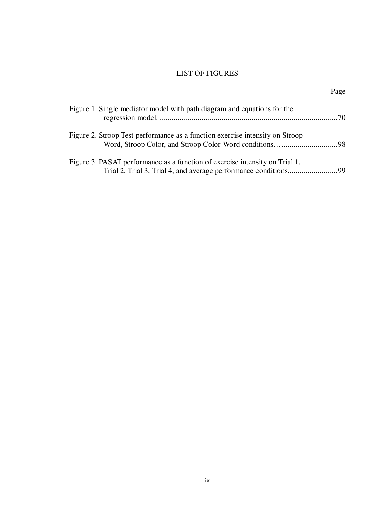## LIST OF FIGURES

Page

| Figure 1. Single mediator model with path diagram and equations for the      |  |
|------------------------------------------------------------------------------|--|
| Figure 2. Stroop Test performance as a function exercise intensity on Stroop |  |
| Figure 3. PASAT performance as a function of exercise intensity on Trial 1,  |  |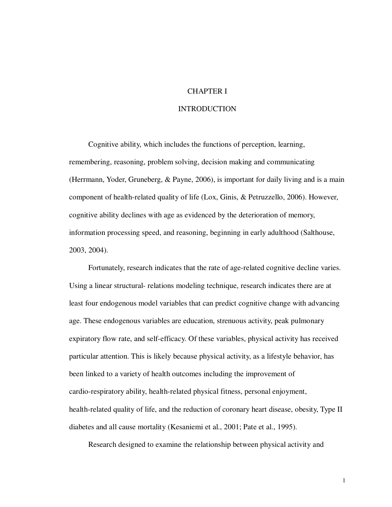#### CHAPTER I

#### INTRODUCTION

Cognitive ability, which includes the functions of perception, learning, remembering, reasoning, problem solving, decision making and communicating (Herrmann, Yoder, Gruneberg, & Payne, 2006), is important for daily living and is a main component of health-related quality of life (Lox, Ginis, & Petruzzello, 2006). However, cognitive ability declines with age as evidenced by the deterioration of memory, information processing speed, and reasoning, beginning in early adulthood (Salthouse, 2003, 2004).

Fortunately, research indicates that the rate of age-related cognitive decline varies. Using a linear structural- relations modeling technique, research indicates there are at least four endogenous model variables that can predict cognitive change with advancing age. These endogenous variables are education, strenuous activity, peak pulmonary expiratory flow rate, and self-efficacy. Of these variables, physical activity has received particular attention. This is likely because physical activity, as a lifestyle behavior, has been linked to a variety of health outcomes including the improvement of cardio-respiratory ability, health-related physical fitness, personal enjoyment, health-related quality of life, and the reduction of coronary heart disease, obesity, Type II diabetes and all cause mortality (Kesaniemi et al., 2001; Pate et al., 1995).

Research designed to examine the relationship between physical activity and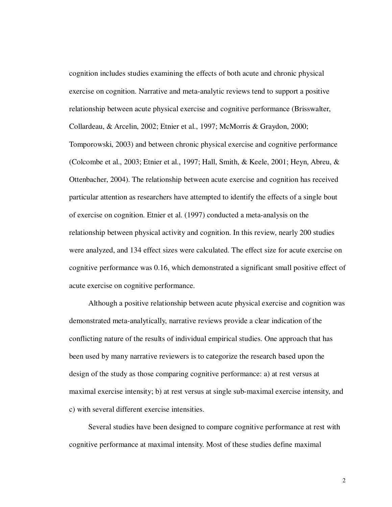cognition includes studies examining the effects of both acute and chronic physical exercise on cognition. Narrative and meta-analytic reviews tend to support a positive relationship between acute physical exercise and cognitive performance (Brisswalter, Collardeau, & Arcelin, 2002; Etnier et al., 1997; McMorris & Graydon, 2000; Tomporowski, 2003) and between chronic physical exercise and cognitive performance (Colcombe et al., 2003; Etnier et al., 1997; Hall, Smith, & Keele, 2001; Heyn, Abreu, & Ottenbacher, 2004). The relationship between acute exercise and cognition has received particular attention as researchers have attempted to identify the effects of a single bout of exercise on cognition. Etnier et al. (1997) conducted a meta-analysis on the relationship between physical activity and cognition. In this review, nearly 200 studies were analyzed, and 134 effect sizes were calculated. The effect size for acute exercise on cognitive performance was 0.16, which demonstrated a significant small positive effect of acute exercise on cognitive performance.

Although a positive relationship between acute physical exercise and cognition was demonstrated meta-analytically, narrative reviews provide a clear indication of the conflicting nature of the results of individual empirical studies. One approach that has been used by many narrative reviewers is to categorize the research based upon the design of the study as those comparing cognitive performance: a) at rest versus at maximal exercise intensity; b) at rest versus at single sub-maximal exercise intensity, and c) with several different exercise intensities.

Several studies have been designed to compare cognitive performance at rest with cognitive performance at maximal intensity. Most of these studies define maximal

 $\mathfrak{D}$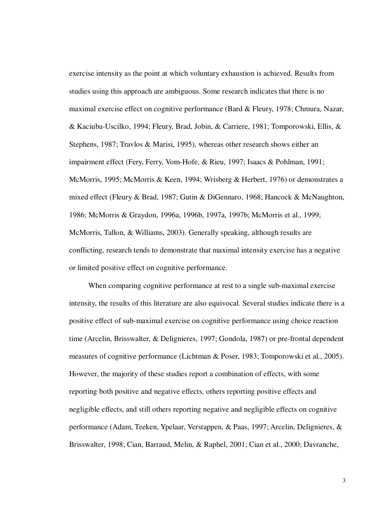exercise intensity as the point at which voluntary exhaustion is achieved. Results from studies using this approach are ambiguous. Some research indicates that there is no maximal exercise effect on cognitive performance (Bard & Fleury, 1978; Chmura, Nazar, & Kaciuba-Uscilko, 1994; Fleury, Brad, Jobin, & Carriere, 1981; Tomporowski, Ellis, & Stephens, 1987; Travlos & Marisi, 1995), whereas other research shows either an impairment effect (Fery, Ferry, Vom-Hofe, & Rieu, 1997; Isaacs & Pohlman, 1991; McMorris, 1995; McMorris & Keen, 1994; Wrisberg & Herbert, 1976) or demonstrates a mixed effect (Fleury & Brad, 1987; Gutin & DiGennaro, 1968; Hancock & McNaughton, 1986; McMorris & Graydon, 1996a, 1996b, 1997a, 1997b; McMorris et al., 1999; McMorris, Tallon, & Williams, 2003). Generally speaking, although results are conflicting, research tends to demonstrate that maximal intensity exercise has a negative or limited positive effect on cognitive performance.

When comparing cognitive performance at rest to a single sub-maximal exercise intensity, the results of this literature are also equivocal. Several studies indicate there is a positive effect of sub-maximal exercise on cognitive performance using choice reaction time (Arcelin, Brisswalter, & Delignieres, 1997; Gondola, 1987) or pre-frontal dependent measures of cognitive performance (Lichtman & Poser, 1983; Tomporowski et al., 2005). However, the majority of these studies report a combination of effects, with some reporting both positive and negative effects, others reporting positive effects and negligible effects, and still others reporting negative and negligible effects on cognitive performance (Adam, Teeken, Ypelaar, Verstappen, & Paas, 1997; Arcelin, Delignieres, & Brisswalter, 1998; Cian, Barraud, Melin, & Raphel, 2001; Cian et al., 2000; Davranche,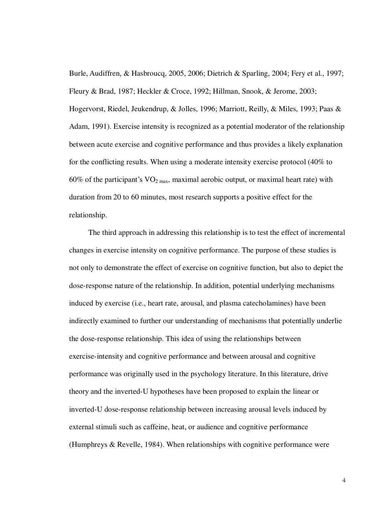Burle, Audiffren, & Hasbroucq, 2005, 2006; Dietrich & Sparling, 2004; Fery et al., 1997; Fleury & Brad, 1987; Heckler & Croce, 1992; Hillman, Snook, & Jerome, 2003; Hogervorst, Riedel, Jeukendrup, & Jolles, 1996; Marriott, Reilly, & Miles, 1993; Paas & Adam, 1991). Exercise intensity is recognized as a potential moderator of the relationship between acute exercise and cognitive performance and thus provides a likely explanation for the conflicting results. When using a moderate intensity exercise protocol (40% to 60% of the participant's  $VO<sub>2 max</sub>$ , maximal aerobic output, or maximal heart rate) with duration from 20 to 60 minutes, most research supports a positive effect for the relationship.

The third approach in addressing this relationship is to test the effect of incremental changes in exercise intensity on cognitive performance. The purpose of these studies is not only to demonstrate the effect of exercise on cognitive function, but also to depict the dose-response nature of the relationship. In addition, potential underlying mechanisms induced by exercise (i.e., heart rate, arousal, and plasma catecholamines) have been indirectly examined to further our understanding of mechanisms that potentially underlie the dose-response relationship. This idea of using the relationships between exercise-intensity and cognitive performance and between arousal and cognitive performance was originally used in the psychology literature. In this literature, drive theory and the inverted-U hypotheses have been proposed to explain the linear or inverted-U dose-response relationship between increasing arousal levels induced by external stimuli such as caffeine, heat, or audience and cognitive performance (Humphreys & Revelle, 1984). When relationships with cognitive performance were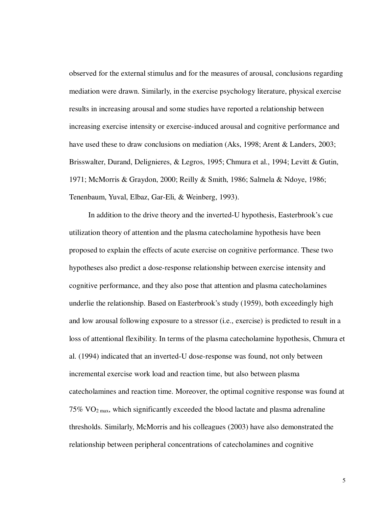observed for the external stimulus and for the measures of arousal, conclusions regarding mediation were drawn. Similarly, in the exercise psychology literature, physical exercise results in increasing arousal and some studies have reported a relationship between increasing exercise intensity or exercise-induced arousal and cognitive performance and have used these to draw conclusions on mediation (Aks, 1998; Arent & Landers, 2003; Brisswalter, Durand, Delignieres, & Legros, 1995; Chmura et al., 1994; Levitt & Gutin, 1971; McMorris & Graydon, 2000; Reilly & Smith, 1986; Salmela & Ndoye, 1986; Tenenbaum, Yuval, Elbaz, Gar-Eli, & Weinberg, 1993).

In addition to the drive theory and the inverted-U hypothesis, Easterbrook's cue utilization theory of attention and the plasma catecholamine hypothesis have been proposed to explain the effects of acute exercise on cognitive performance. These two hypotheses also predict a dose-response relationship between exercise intensity and cognitive performance, and they also pose that attention and plasma catecholamines underlie the relationship. Based on Easterbrook's study (1959), both exceedingly high and low arousal following exposure to a stressor (i.e., exercise) is predicted to result in a loss of attentional flexibility. In terms of the plasma catecholamine hypothesis, Chmura et al. (1994) indicated that an inverted-U dose-response was found, not only between incremental exercise work load and reaction time, but also between plasma catecholamines and reaction time. Moreover, the optimal cognitive response was found at  $75\%$  VO<sub>2 max</sub>, which significantly exceeded the blood lactate and plasma adrenaline thresholds. Similarly, McMorris and his colleagues (2003) have also demonstrated the relationship between peripheral concentrations of catecholamines and cognitive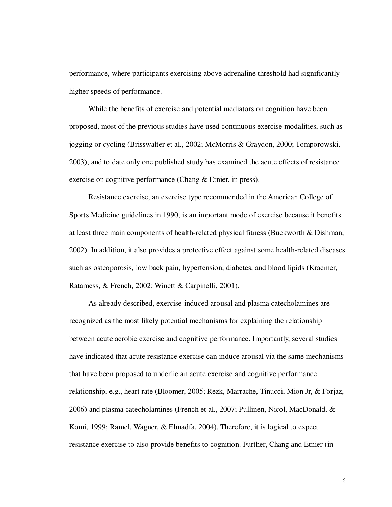performance, where participants exercising above adrenaline threshold had significantly higher speeds of performance.

While the benefits of exercise and potential mediators on cognition have been proposed, most of the previous studies have used continuous exercise modalities, such as jogging or cycling (Brisswalter et al., 2002; McMorris & Graydon, 2000; Tomporowski, 2003), and to date only one published study has examined the acute effects of resistance exercise on cognitive performance (Chang & Etnier, in press).

Resistance exercise, an exercise type recommended in the American College of Sports Medicine guidelines in 1990, is an important mode of exercise because it benefits at least three main components of health-related physical fitness (Buckworth & Dishman, 2002). In addition, it also provides a protective effect against some health-related diseases such as osteoporosis, low back pain, hypertension, diabetes, and blood lipids (Kraemer, Ratamess, & French, 2002; Winett & Carpinelli, 2001).

As already described, exercise-induced arousal and plasma catecholamines are recognized as the most likely potential mechanisms for explaining the relationship between acute aerobic exercise and cognitive performance. Importantly, several studies have indicated that acute resistance exercise can induce arousal via the same mechanisms that have been proposed to underlie an acute exercise and cognitive performance relationship, e.g., heart rate (Bloomer, 2005; Rezk, Marrache, Tinucci, Mion Jr, & Forjaz, 2006) and plasma catecholamines (French et al., 2007; Pullinen, Nicol, MacDonald, & Komi, 1999; Ramel, Wagner, & Elmadfa, 2004). Therefore, it is logical to expect resistance exercise to also provide benefits to cognition. Further, Chang and Etnier (in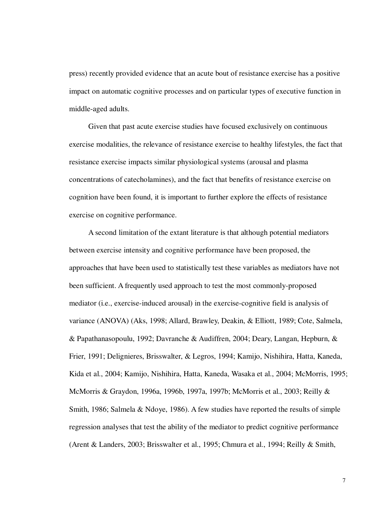press) recently provided evidence that an acute bout of resistance exercise has a positive impact on automatic cognitive processes and on particular types of executive function in middle-aged adults.

Given that past acute exercise studies have focused exclusively on continuous exercise modalities, the relevance of resistance exercise to healthy lifestyles, the fact that resistance exercise impacts similar physiological systems (arousal and plasma concentrations of catecholamines), and the fact that benefits of resistance exercise on cognition have been found, it is important to further explore the effects of resistance exercise on cognitive performance.

A second limitation of the extant literature is that although potential mediators between exercise intensity and cognitive performance have been proposed, the approaches that have been used to statistically test these variables as mediators have not been sufficient. A frequently used approach to test the most commonly-proposed mediator (i.e., exercise-induced arousal) in the exercise-cognitive field is analysis of variance (ANOVA) (Aks, 1998; Allard, Brawley, Deakin, & Elliott, 1989; Cote, Salmela, & Papathanasopoulu, 1992; Davranche & Audiffren, 2004; Deary, Langan, Hepburn, & Frier, 1991; Delignieres, Brisswalter, & Legros, 1994; Kamijo, Nishihira, Hatta, Kaneda, Kida et al., 2004; Kamijo, Nishihira, Hatta, Kaneda, Wasaka et al., 2004; McMorris, 1995; McMorris & Graydon, 1996a, 1996b, 1997a, 1997b; McMorris et al., 2003; Reilly & Smith, 1986; Salmela & Ndoye, 1986). A few studies have reported the results of simple regression analyses that test the ability of the mediator to predict cognitive performance (Arent & Landers, 2003; Brisswalter et al., 1995; Chmura et al., 1994; Reilly & Smith,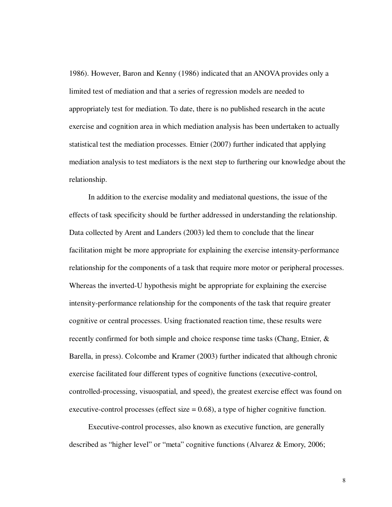1986). However, Baron and Kenny (1986) indicated that an ANOVA provides only a limited test of mediation and that a series of regression models are needed to appropriately test for mediation. To date, there is no published research in the acute exercise and cognition area in which mediation analysis has been undertaken to actually statistical test the mediation processes. Etnier (2007) further indicated that applying mediation analysis to test mediators is the next step to furthering our knowledge about the relationship.

In addition to the exercise modality and mediatonal questions, the issue of the effects of task specificity should be further addressed in understanding the relationship. Data collected by Arent and Landers (2003) led them to conclude that the linear facilitation might be more appropriate for explaining the exercise intensity-performance relationship for the components of a task that require more motor or peripheral processes. Whereas the inverted-U hypothesis might be appropriate for explaining the exercise intensity-performance relationship for the components of the task that require greater cognitive or central processes. Using fractionated reaction time, these results were recently confirmed for both simple and choice response time tasks (Chang, Etnier, & Barella, in press). Colcombe and Kramer (2003) further indicated that although chronic exercise facilitated four different types of cognitive functions (executive-control, controlled-processing, visuospatial, and speed), the greatest exercise effect was found on executive-control processes (effect size  $= 0.68$ ), a type of higher cognitive function.

Executive-control processes, also known as executive function, are generally described as "higher level" or "meta" cognitive functions (Alvarez & Emory, 2006;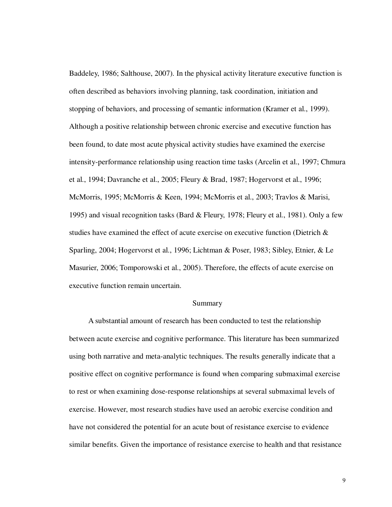Baddeley, 1986; Salthouse, 2007). In the physical activity literature executive function is often described as behaviors involving planning, task coordination, initiation and stopping of behaviors, and processing of semantic information (Kramer et al., 1999). Although a positive relationship between chronic exercise and executive function has been found, to date most acute physical activity studies have examined the exercise intensity-performance relationship using reaction time tasks (Arcelin et al., 1997; Chmura et al., 1994; Davranche et al., 2005; Fleury & Brad, 1987; Hogervorst et al., 1996; McMorris, 1995; McMorris & Keen, 1994; McMorris et al., 2003; Travlos & Marisi, 1995) and visual recognition tasks (Bard & Fleury, 1978; Fleury et al., 1981). Only a few studies have examined the effect of acute exercise on executive function (Dietrich & Sparling, 2004; Hogervorst et al., 1996; Lichtman & Poser, 1983; Sibley, Etnier, & Le Masurier, 2006; Tomporowski et al., 2005). Therefore, the effects of acute exercise on executive function remain uncertain.

#### Summary

A substantial amount of research has been conducted to test the relationship between acute exercise and cognitive performance. This literature has been summarized using both narrative and meta-analytic techniques. The results generally indicate that a positive effect on cognitive performance is found when comparing submaximal exercise to rest or when examining dose-response relationships at several submaximal levels of exercise. However, most research studies have used an aerobic exercise condition and have not considered the potential for an acute bout of resistance exercise to evidence similar benefits. Given the importance of resistance exercise to health and that resistance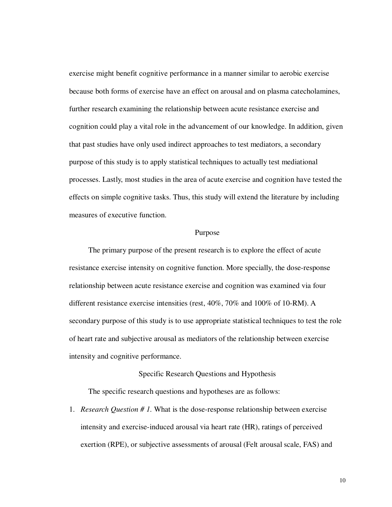exercise might benefit cognitive performance in a manner similar to aerobic exercise because both forms of exercise have an effect on arousal and on plasma catecholamines, further research examining the relationship between acute resistance exercise and cognition could play a vital role in the advancement of our knowledge. In addition, given that past studies have only used indirect approaches to test mediators, a secondary purpose of this study is to apply statistical techniques to actually test mediational processes. Lastly, most studies in the area of acute exercise and cognition have tested the effects on simple cognitive tasks. Thus, this study will extend the literature by including measures of executive function.

#### Purpose

The primary purpose of the present research is to explore the effect of acute resistance exercise intensity on cognitive function. More specially, the dose-response relationship between acute resistance exercise and cognition was examined via four different resistance exercise intensities (rest, 40%, 70% and 100% of 10-RM). A secondary purpose of this study is to use appropriate statistical techniques to test the role of heart rate and subjective arousal as mediators of the relationship between exercise intensity and cognitive performance.

#### Specific Research Questions and Hypothesis

The specific research questions and hypotheses are as follows:

1. *Research Question # 1.* What is the dose-response relationship between exercise intensity and exercise-induced arousal via heart rate (HR), ratings of perceived exertion (RPE), or subjective assessments of arousal (Felt arousal scale, FAS) and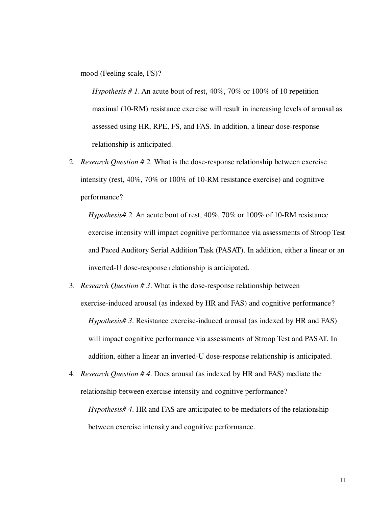mood (Feeling scale, FS)?

*Hypothesis # 1*. An acute bout of rest, 40%, 70% or 100% of 10 repetition maximal (10-RM) resistance exercise will result in increasing levels of arousal as assessed using HR, RPE, FS, and FAS. In addition, a linear dose-response relationship is anticipated.

2. *Research Question # 2.* What is the dose-response relationship between exercise intensity (rest, 40%, 70% or 100% of 10-RM resistance exercise) and cognitive performance?

*Hypothesis# 2*. An acute bout of rest, 40%, 70% or 100% of 10-RM resistance exercise intensity will impact cognitive performance via assessments of Stroop Test and Paced Auditory Serial Addition Task (PASAT). In addition, either a linear or an inverted-U dose-response relationship is anticipated.

- 3. *Research Question # 3*. What is the dose-response relationship between exercise-induced arousal (as indexed by HR and FAS) and cognitive performance? *Hypothesis# 3*. Resistance exercise-induced arousal (as indexed by HR and FAS) will impact cognitive performance via assessments of Stroop Test and PASAT. In addition, either a linear an inverted-U dose-response relationship is anticipated.
- 4. *Research Question # 4*. Does arousal (as indexed by HR and FAS) mediate the relationship between exercise intensity and cognitive performance?

*Hypothesis# 4*. HR and FAS are anticipated to be mediators of the relationship between exercise intensity and cognitive performance.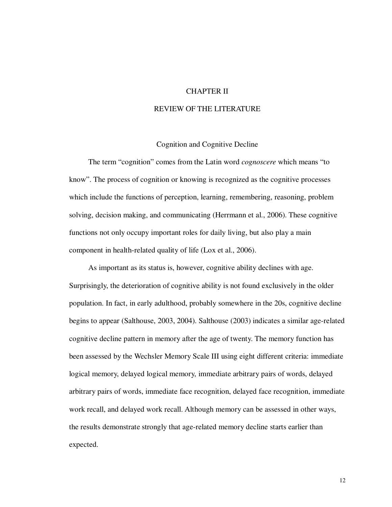#### CHAPTER II

#### REVIEW OF THE LITERATURE

#### Cognition and Cognitive Decline

The term "cognition" comes from the Latin word *cognoscere* which means "to know". The process of cognition or knowing is recognized as the cognitive processes which include the functions of perception, learning, remembering, reasoning, problem solving, decision making, and communicating (Herrmann et al., 2006). These cognitive functions not only occupy important roles for daily living, but also play a main component in health-related quality of life (Lox et al., 2006).

As important as its status is, however, cognitive ability declines with age. Surprisingly, the deterioration of cognitive ability is not found exclusively in the older population. In fact, in early adulthood, probably somewhere in the 20s, cognitive decline begins to appear (Salthouse, 2003, 2004). Salthouse (2003) indicates a similar age-related cognitive decline pattern in memory after the age of twenty. The memory function has been assessed by the Wechsler Memory Scale III using eight different criteria: immediate logical memory, delayed logical memory, immediate arbitrary pairs of words, delayed arbitrary pairs of words, immediate face recognition, delayed face recognition, immediate work recall, and delayed work recall. Although memory can be assessed in other ways, the results demonstrate strongly that age-related memory decline starts earlier than expected.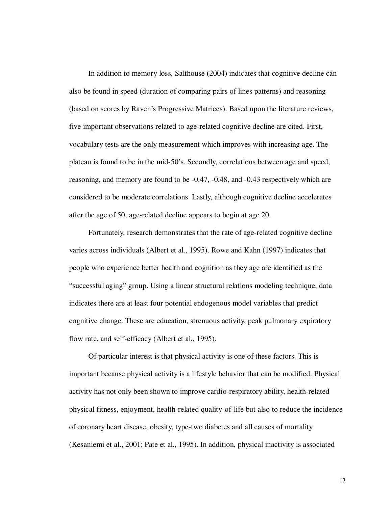In addition to memory loss, Salthouse (2004) indicates that cognitive decline can also be found in speed (duration of comparing pairs of lines patterns) and reasoning (based on scores by Raven's Progressive Matrices). Based upon the literature reviews, five important observations related to age-related cognitive decline are cited. First, vocabulary tests are the only measurement which improves with increasing age. The plateau is found to be in the mid-50's. Secondly, correlations between age and speed, reasoning, and memory are found to be -0.47, -0.48, and -0.43 respectively which are considered to be moderate correlations. Lastly, although cognitive decline accelerates after the age of 50, age-related decline appears to begin at age 20.

Fortunately, research demonstrates that the rate of age-related cognitive decline varies across individuals (Albert et al., 1995). Rowe and Kahn (1997) indicates that people who experience better health and cognition as they age are identified as the "successful aging" group. Using a linear structural relations modeling technique, data indicates there are at least four potential endogenous model variables that predict cognitive change. These are education, strenuous activity, peak pulmonary expiratory flow rate, and self-efficacy (Albert et al., 1995).

Of particular interest is that physical activity is one of these factors. This is important because physical activity is a lifestyle behavior that can be modified. Physical activity has not only been shown to improve cardio-respiratory ability, health-related physical fitness, enjoyment, health-related quality-of-life but also to reduce the incidence of coronary heart disease, obesity, type-two diabetes and all causes of mortality (Kesaniemi et al., 2001; Pate et al., 1995). In addition, physical inactivity is associated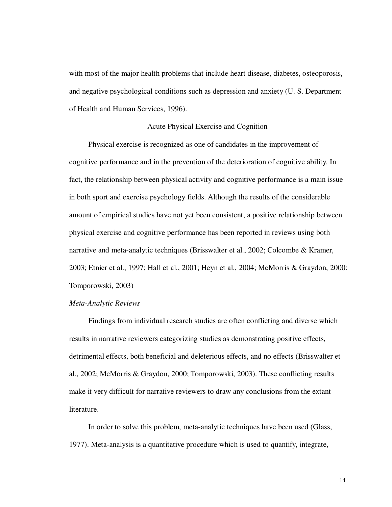with most of the major health problems that include heart disease, diabetes, osteoporosis, and negative psychological conditions such as depression and anxiety (U. S. Department of Health and Human Services, 1996).

#### Acute Physical Exercise and Cognition

Physical exercise is recognized as one of candidates in the improvement of cognitive performance and in the prevention of the deterioration of cognitive ability. In fact, the relationship between physical activity and cognitive performance is a main issue in both sport and exercise psychology fields. Although the results of the considerable amount of empirical studies have not yet been consistent, a positive relationship between physical exercise and cognitive performance has been reported in reviews using both narrative and meta-analytic techniques (Brisswalter et al., 2002; Colcombe & Kramer, 2003; Etnier et al., 1997; Hall et al., 2001; Heyn et al., 2004; McMorris & Graydon, 2000; Tomporowski, 2003)

#### *Meta-Analytic Reviews*

Findings from individual research studies are often conflicting and diverse which results in narrative reviewers categorizing studies as demonstrating positive effects, detrimental effects, both beneficial and deleterious effects, and no effects (Brisswalter et al., 2002; McMorris & Graydon, 2000; Tomporowski, 2003). These conflicting results make it very difficult for narrative reviewers to draw any conclusions from the extant literature.

In order to solve this problem, meta-analytic techniques have been used (Glass, 1977). Meta-analysis is a quantitative procedure which is used to quantify, integrate,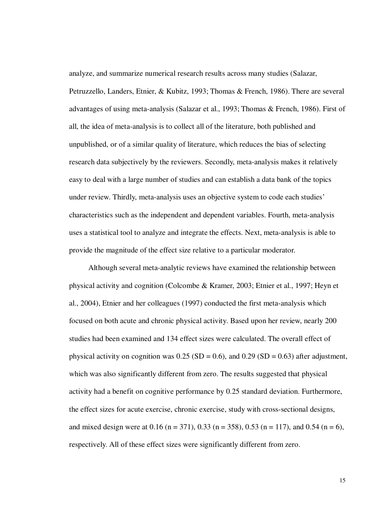analyze, and summarize numerical research results across many studies (Salazar, Petruzzello, Landers, Etnier, & Kubitz, 1993; Thomas & French, 1986). There are several advantages of using meta-analysis (Salazar et al., 1993; Thomas & French, 1986). First of all, the idea of meta-analysis is to collect all of the literature, both published and unpublished, or of a similar quality of literature, which reduces the bias of selecting research data subjectively by the reviewers. Secondly, meta-analysis makes it relatively easy to deal with a large number of studies and can establish a data bank of the topics under review. Thirdly, meta-analysis uses an objective system to code each studies' characteristics such as the independent and dependent variables. Fourth, meta-analysis uses a statistical tool to analyze and integrate the effects. Next, meta-analysis is able to provide the magnitude of the effect size relative to a particular moderator.

Although several meta-analytic reviews have examined the relationship between physical activity and cognition (Colcombe & Kramer, 2003; Etnier et al., 1997; Heyn et al., 2004), Etnier and her colleagues (1997) conducted the first meta-analysis which focused on both acute and chronic physical activity. Based upon her review, nearly 200 studies had been examined and 134 effect sizes were calculated. The overall effect of physical activity on cognition was  $0.25$  (SD = 0.6), and  $0.29$  (SD = 0.63) after adjustment, which was also significantly different from zero. The results suggested that physical activity had a benefit on cognitive performance by 0.25 standard deviation. Furthermore, the effect sizes for acute exercise, chronic exercise, study with cross-sectional designs, and mixed design were at 0.16 (n = 371), 0.33 (n = 358), 0.53 (n = 117), and 0.54 (n = 6), respectively. All of these effect sizes were significantly different from zero.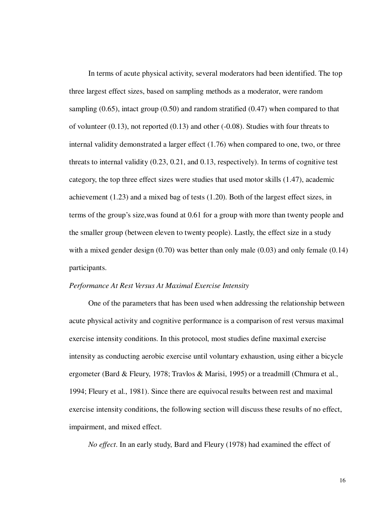In terms of acute physical activity, several moderators had been identified. The top three largest effect sizes, based on sampling methods as a moderator, were random sampling (0.65), intact group (0.50) and random stratified (0.47) when compared to that of volunteer (0.13), not reported (0.13) and other (-0.08). Studies with four threats to internal validity demonstrated a larger effect (1.76) when compared to one, two, or three threats to internal validity (0.23, 0.21, and 0.13, respectively). In terms of cognitive test category, the top three effect sizes were studies that used motor skills (1.47), academic achievement (1.23) and a mixed bag of tests (1.20). Both of the largest effect sizes, in terms of the group's size,was found at 0.61 for a group with more than twenty people and the smaller group (between eleven to twenty people). Lastly, the effect size in a study with a mixed gender design (0.70) was better than only male (0.03) and only female (0.14) participants.

#### *Performance At Rest Versus At Maximal Exercise Intensity*

One of the parameters that has been used when addressing the relationship between acute physical activity and cognitive performance is a comparison of rest versus maximal exercise intensity conditions. In this protocol, most studies define maximal exercise intensity as conducting aerobic exercise until voluntary exhaustion, using either a bicycle ergometer (Bard & Fleury, 1978; Travlos & Marisi, 1995) or a treadmill (Chmura et al., 1994; Fleury et al., 1981). Since there are equivocal results between rest and maximal exercise intensity conditions, the following section will discuss these results of no effect, impairment, and mixed effect.

*No effect*. In an early study, Bard and Fleury (1978) had examined the effect of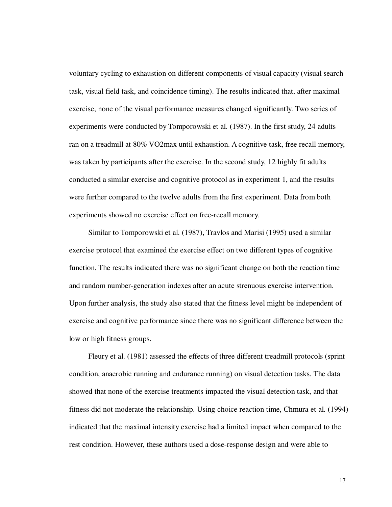voluntary cycling to exhaustion on different components of visual capacity (visual search task, visual field task, and coincidence timing). The results indicated that, after maximal exercise, none of the visual performance measures changed significantly. Two series of experiments were conducted by Tomporowski et al. (1987). In the first study, 24 adults ran on a treadmill at 80% VO2max until exhaustion. A cognitive task, free recall memory, was taken by participants after the exercise. In the second study, 12 highly fit adults conducted a similar exercise and cognitive protocol as in experiment 1, and the results were further compared to the twelve adults from the first experiment. Data from both experiments showed no exercise effect on free-recall memory.

Similar to Tomporowski et al. (1987), Travlos and Marisi (1995) used a similar exercise protocol that examined the exercise effect on two different types of cognitive function. The results indicated there was no significant change on both the reaction time and random number-generation indexes after an acute strenuous exercise intervention. Upon further analysis, the study also stated that the fitness level might be independent of exercise and cognitive performance since there was no significant difference between the low or high fitness groups.

Fleury et al. (1981) assessed the effects of three different treadmill protocols (sprint condition, anaerobic running and endurance running) on visual detection tasks. The data showed that none of the exercise treatments impacted the visual detection task, and that fitness did not moderate the relationship. Using choice reaction time, Chmura et al. (1994) indicated that the maximal intensity exercise had a limited impact when compared to the rest condition. However, these authors used a dose-response design and were able to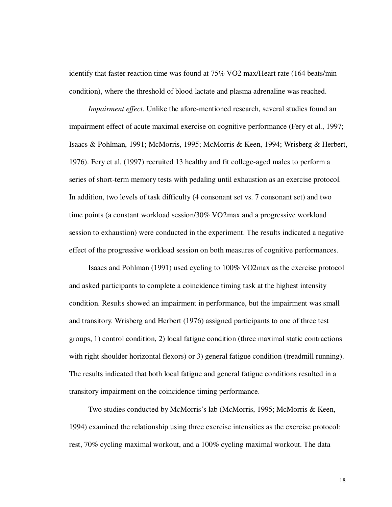identify that faster reaction time was found at 75% VO2 max/Heart rate (164 beats/min condition), where the threshold of blood lactate and plasma adrenaline was reached.

*Impairment effect*. Unlike the afore-mentioned research, several studies found an impairment effect of acute maximal exercise on cognitive performance (Fery et al., 1997; Isaacs & Pohlman, 1991; McMorris, 1995; McMorris & Keen, 1994; Wrisberg & Herbert, 1976). Fery et al. (1997) recruited 13 healthy and fit college-aged males to perform a series of short-term memory tests with pedaling until exhaustion as an exercise protocol. In addition, two levels of task difficulty (4 consonant set vs. 7 consonant set) and two time points (a constant workload session/30% VO2max and a progressive workload session to exhaustion) were conducted in the experiment. The results indicated a negative effect of the progressive workload session on both measures of cognitive performances.

Isaacs and Pohlman (1991) used cycling to 100% VO2max as the exercise protocol and asked participants to complete a coincidence timing task at the highest intensity condition. Results showed an impairment in performance, but the impairment was small and transitory. Wrisberg and Herbert (1976) assigned participants to one of three test groups, 1) control condition, 2) local fatigue condition (three maximal static contractions with right shoulder horizontal flexors) or 3) general fatigue condition (treadmill running). The results indicated that both local fatigue and general fatigue conditions resulted in a transitory impairment on the coincidence timing performance.

Two studies conducted by McMorris's lab (McMorris, 1995; McMorris & Keen, 1994) examined the relationship using three exercise intensities as the exercise protocol: rest, 70% cycling maximal workout, and a 100% cycling maximal workout. The data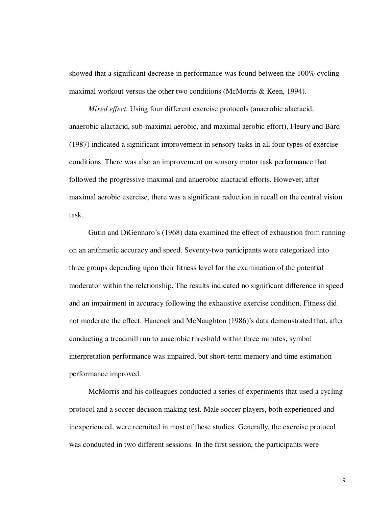showed that a significant decrease in performance was found between the 100% cycling maximal workout versus the other two conditions (McMorris & Keen, 1994).

*Mixed effect*. Using four different exercise protocols (anaerobic alactacid, anaerobic alactacid, sub-maximal aerobic, and maximal aerobic effort), Fleury and Bard (1987) indicated a significant improvement in sensory tasks in all four types of exercise conditions. There was also an improvement on sensory motor task performance that followed the progressive maximal and anaerobic alactacid efforts. However, after maximal aerobic exercise, there was a significant reduction in recall on the central vision task.

Gutin and DiGennaro's (1968) data examined the effect of exhaustion from running on an arithmetic accuracy and speed. Seventy-two participants were categorized into three groups depending upon their fitness level for the examination of the potential moderator within the relationship. The results indicated no significant difference in speed and an impairment in accuracy following the exhaustive exercise condition. Fitness did not moderate the effect. Hancock and McNaughton (1986)'s data demonstrated that, after conducting a treadmill run to anaerobic threshold within three minutes, symbol interpretation performance was impaired, but short-term memory and time estimation performance improved.

McMorris and his colleagues conducted a series of experiments that used a cycling protocol and a soccer decision making test. Male soccer players, both experienced and inexperienced, were recruited in most of these studies. Generally, the exercise protocol was conducted in two different sessions. In the first session, the participants were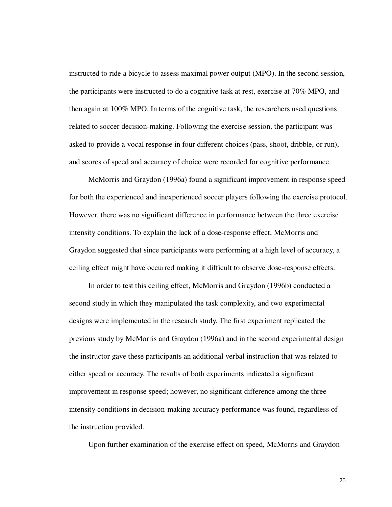instructed to ride a bicycle to assess maximal power output (MPO). In the second session, the participants were instructed to do a cognitive task at rest, exercise at 70% MPO, and then again at 100% MPO. In terms of the cognitive task, the researchers used questions related to soccer decision-making. Following the exercise session, the participant was asked to provide a vocal response in four different choices (pass, shoot, dribble, or run), and scores of speed and accuracy of choice were recorded for cognitive performance.

McMorris and Graydon (1996a) found a significant improvement in response speed for both the experienced and inexperienced soccer players following the exercise protocol. However, there was no significant difference in performance between the three exercise intensity conditions. To explain the lack of a dose-response effect, McMorris and Graydon suggested that since participants were performing at a high level of accuracy, a ceiling effect might have occurred making it difficult to observe dose-response effects.

In order to test this ceiling effect, McMorris and Graydon (1996b) conducted a second study in which they manipulated the task complexity, and two experimental designs were implemented in the research study. The first experiment replicated the previous study by McMorris and Graydon (1996a) and in the second experimental design the instructor gave these participants an additional verbal instruction that was related to either speed or accuracy. The results of both experiments indicated a significant improvement in response speed; however, no significant difference among the three intensity conditions in decision-making accuracy performance was found, regardless of the instruction provided.

Upon further examination of the exercise effect on speed, McMorris and Graydon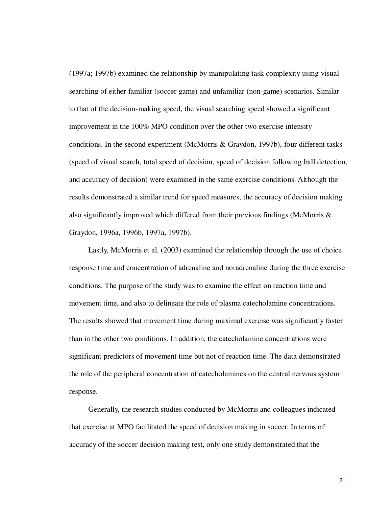(1997a; 1997b) examined the relationship by manipulating task complexity using visual searching of either familiar (soccer game) and unfamiliar (non-game) scenarios. Similar to that of the decision-making speed, the visual searching speed showed a significant improvement in the 100% MPO condition over the other two exercise intensity conditions. In the second experiment (McMorris & Graydon, 1997b), four different tasks (speed of visual search, total speed of decision, speed of decision following ball detection, and accuracy of decision) were examined in the same exercise conditions. Although the results demonstrated a similar trend for speed measures, the accuracy of decision making also significantly improved which differed from their previous findings (McMorris & Graydon, 1996a, 1996b, 1997a, 1997b).

Lastly, McMorris et al. (2003) examined the relationship through the use of choice response time and concentration of adrenaline and noradrenaline during the three exercise conditions. The purpose of the study was to examine the effect on reaction time and movement time, and also to delineate the role of plasma catecholamine concentrations. The results showed that movement time during maximal exercise was significantly faster than in the other two conditions. In addition, the catecholamine concentrations were significant predictors of movement time but not of reaction time. The data demonstrated the role of the peripheral concentration of catecholamines on the central nervous system response.

Generally, the research studies conducted by McMorris and colleagues indicated that exercise at MPO facilitated the speed of decision making in soccer. In terms of accuracy of the soccer decision making test, only one study demonstrated that the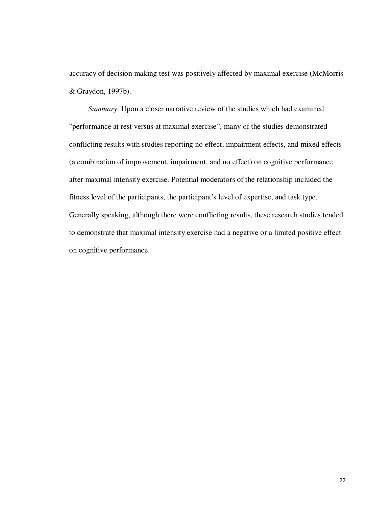accuracy of decision making test was positively affected by maximal exercise (McMorris & Graydon, 1997b).

*Summary*. Upon a closer narrative review of the studies which had examined "performance at rest versus at maximal exercise", many of the studies demonstrated conflicting results with studies reporting no effect, impairment effects, and mixed effects (a combination of improvement, impairment, and no effect) on cognitive performance after maximal intensity exercise. Potential moderators of the relationship included the fitness level of the participants, the participant's level of expertise, and task type. Generally speaking, although there were conflicting results, these research studies tended to demonstrate that maximal intensity exercise had a negative or a limited positive effect on cognitive performance.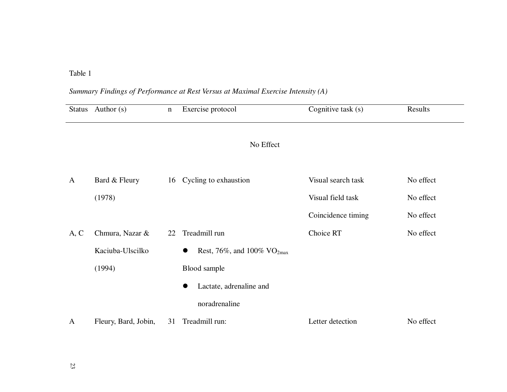## Table 1

## *Summary Findings of Performance at Rest Versus at Maximal Exercise Intensity (A)*

| <b>Status</b> | Author $(s)$         | $\mathbf n$ | Exercise protocol                            | Cognitive task (s) | Results   |
|---------------|----------------------|-------------|----------------------------------------------|--------------------|-----------|
|               |                      |             |                                              |                    |           |
|               |                      |             | No Effect                                    |                    |           |
|               |                      |             |                                              |                    |           |
| $\mathbf{A}$  | Bard & Fleury        | 16          | Cycling to exhaustion                        | Visual search task | No effect |
|               | (1978)               |             |                                              | Visual field task  | No effect |
|               |                      |             |                                              | Coincidence timing | No effect |
| A, C          | Chmura, Nazar &      | 22          | Treadmill run                                | Choice RT          | No effect |
|               | Kaciuba-Ulscilko     |             | Rest, 76%, and 100% $VO_{2max}$<br>$\bullet$ |                    |           |
|               | (1994)               |             | Blood sample                                 |                    |           |
|               |                      |             | Lactate, adrenaline and                      |                    |           |
|               |                      |             | noradrenaline                                |                    |           |
| $\mathbf{A}$  | Fleury, Bard, Jobin, | 31          | Treadmill run:                               | Letter detection   | No effect |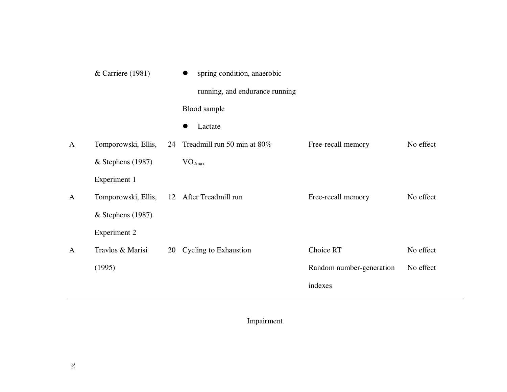|              | & Carriere (1981)   |    | spring condition, anaerobic<br>$\bullet$ |                          |           |
|--------------|---------------------|----|------------------------------------------|--------------------------|-----------|
|              |                     |    | running, and endurance running           |                          |           |
|              |                     |    | Blood sample                             |                          |           |
|              |                     |    | Lactate                                  |                          |           |
| $\mathbf{A}$ | Tomporowski, Ellis, | 24 | Treadmill run 50 min at 80%              | Free-recall memory       | No effect |
|              | $&$ Stephens (1987) |    | VO <sub>2max</sub>                       |                          |           |
|              | Experiment 1        |    |                                          |                          |           |
| $\mathbf{A}$ | Tomporowski, Ellis, |    | 12 After Treadmill run                   | Free-recall memory       | No effect |
|              | $&$ Stephens (1987) |    |                                          |                          |           |
|              | <b>Experiment 2</b> |    |                                          |                          |           |
| $\mathbf{A}$ | Travlos & Marisi    | 20 | <b>Cycling to Exhaustion</b>             | Choice RT                | No effect |
|              | (1995)              |    |                                          | Random number-generation | No effect |
|              |                     |    |                                          | indexes                  |           |
|              |                     |    |                                          |                          |           |

Impairment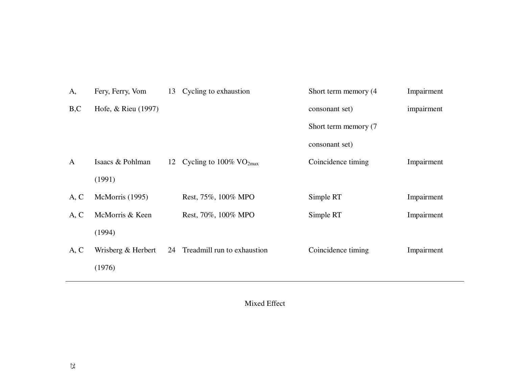| A,           | Fery, Ferry, Vom    | 13 | Cycling to exhaustion                    | Short term memory (4) | Impairment |
|--------------|---------------------|----|------------------------------------------|-----------------------|------------|
| B, C         | Hofe, & Rieu (1997) |    |                                          | consonant set)        | impairment |
|              |                     |    |                                          | Short term memory (7) |            |
|              |                     |    |                                          | consonant set)        |            |
| $\mathbf{A}$ | Isaacs & Pohlman    |    | 12 Cycling to $100\%$ VO <sub>2max</sub> | Coincidence timing    | Impairment |
|              | (1991)              |    |                                          |                       |            |
| A, C         | McMorris (1995)     |    | Rest, 75%, 100% MPO                      | Simple RT             | Impairment |
| A, C         | McMorris & Keen     |    | Rest, 70%, 100% MPO                      | Simple RT             | Impairment |
|              | (1994)              |    |                                          |                       |            |
| A, C         | Wrisberg & Herbert  | 24 | Treadmill run to exhaustion              | Coincidence timing    | Impairment |
|              | (1976)              |    |                                          |                       |            |

Mixed Effect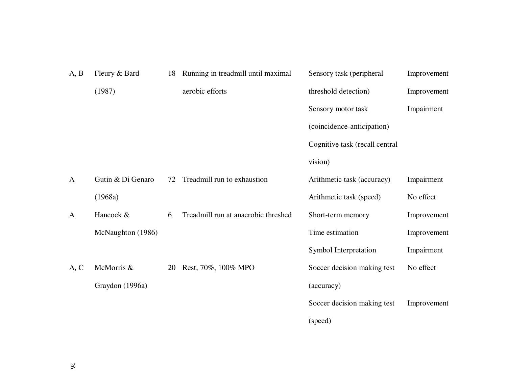| A, B         | Fleury & Bard     | 18 | Running in treadmill until maximal  | Sensory task (peripheral       | Improvement |
|--------------|-------------------|----|-------------------------------------|--------------------------------|-------------|
|              | (1987)            |    | aerobic efforts                     | threshold detection)           | Improvement |
|              |                   |    |                                     | Sensory motor task             | Impairment  |
|              |                   |    |                                     | (coincidence-anticipation)     |             |
|              |                   |    |                                     | Cognitive task (recall central |             |
|              |                   |    |                                     | vision)                        |             |
| $\mathbf{A}$ | Gutin & Di Genaro | 72 | Treadmill run to exhaustion         | Arithmetic task (accuracy)     | Impairment  |
|              | (1968a)           |    |                                     | Arithmetic task (speed)        | No effect   |
| $\mathbf{A}$ | Hancock &         | 6  | Treadmill run at anaerobic threshed | Short-term memory              | Improvement |
|              | McNaughton (1986) |    |                                     | Time estimation                | Improvement |
|              |                   |    |                                     | Symbol Interpretation          | Impairment  |
| A, C         | McMorris &        | 20 | Rest, 70%, 100% MPO                 | Soccer decision making test    | No effect   |
|              | Graydon (1996a)   |    |                                     | (accuracy)                     |             |
|              |                   |    |                                     | Soccer decision making test    | Improvement |
|              |                   |    |                                     | (speed)                        |             |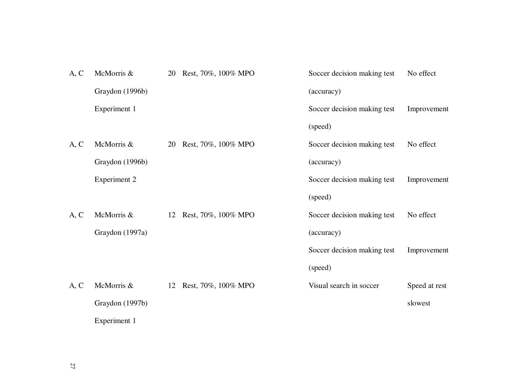| A, C | McMorris &          | 20 | Rest, 70%, 100% MPO | Soccer decision making test | No effect     |
|------|---------------------|----|---------------------|-----------------------------|---------------|
|      | Graydon (1996b)     |    |                     | (accuracy)                  |               |
|      | Experiment 1        |    |                     | Soccer decision making test | Improvement   |
|      |                     |    |                     | (speed)                     |               |
| A, C | McMorris &          | 20 | Rest, 70%, 100% MPO | Soccer decision making test | No effect     |
|      | Graydon (1996b)     |    |                     | (accuracy)                  |               |
|      | <b>Experiment 2</b> |    |                     | Soccer decision making test | Improvement   |
|      |                     |    |                     | (speed)                     |               |
| A, C | McMorris &          | 12 | Rest, 70%, 100% MPO | Soccer decision making test | No effect     |
|      | Graydon (1997a)     |    |                     | (accuracy)                  |               |
|      |                     |    |                     | Soccer decision making test | Improvement   |
|      |                     |    |                     | (speed)                     |               |
| A, C | McMorris &          | 12 | Rest, 70%, 100% MPO | Visual search in soccer     | Speed at rest |
|      | Graydon (1997b)     |    |                     |                             | slowest       |
|      | Experiment 1        |    |                     |                             |               |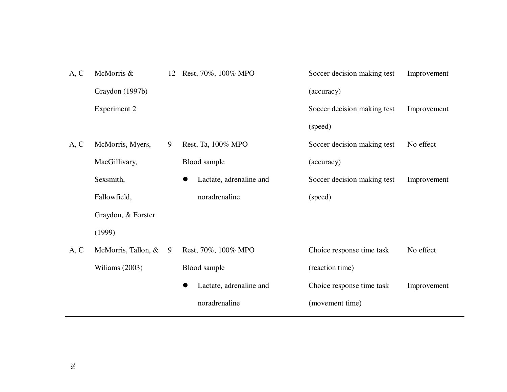| A, C | McMorris &          |   | 12 Rest, 70%, 100% MPO  | Soccer decision making test | Improvement |
|------|---------------------|---|-------------------------|-----------------------------|-------------|
|      | Graydon (1997b)     |   |                         | (accuracy)                  |             |
|      | <b>Experiment 2</b> |   |                         | Soccer decision making test | Improvement |
|      |                     |   |                         | (speed)                     |             |
| A, C | McMorris, Myers,    | 9 | Rest, Ta, 100% MPO      | Soccer decision making test | No effect   |
|      | MacGillivary,       |   | Blood sample            | (accuracy)                  |             |
|      | Sexsmith,           |   | Lactate, adrenaline and | Soccer decision making test | Improvement |
|      | Fallowfield,        |   | noradrenaline           | (speed)                     |             |
|      | Graydon, & Forster  |   |                         |                             |             |
|      | (1999)              |   |                         |                             |             |
| A, C | McMorris, Tallon, & | 9 | Rest, 70%, 100% MPO     | Choice response time task   | No effect   |
|      | Wiliams (2003)      |   | Blood sample            | (reaction time)             |             |
|      |                     |   | Lactate, adrenaline and | Choice response time task   | Improvement |
|      |                     |   | noradrenaline           | (movement time)             |             |
|      |                     |   |                         |                             |             |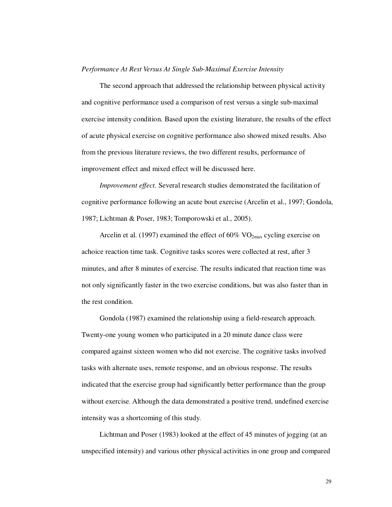### *Performance At Rest Versus At Single Sub-Maximal Exercise Intensity*

The second approach that addressed the relationship between physical activity and cognitive performance used a comparison of rest versus a single sub-maximal exercise intensity condition. Based upon the existing literature, the results of the effect of acute physical exercise on cognitive performance also showed mixed results. Also from the previous literature reviews, the two different results, performance of improvement effect and mixed effect will be discussed here.

*Improvement effect.* Several research studies demonstrated the facilitation of cognitive performance following an acute bout exercise (Arcelin et al., 1997; Gondola, 1987; Lichtman & Poser, 1983; Tomporowski et al., 2005).

Arcelin et al. (1997) examined the effect of  $60\%$  VO<sub>2max</sub> cycling exercise on achoice reaction time task. Cognitive tasks scores were collected at rest, after 3 minutes, and after 8 minutes of exercise. The results indicated that reaction time was not only significantly faster in the two exercise conditions, but was also faster than in the rest condition.

Gondola (1987) examined the relationship using a field-research approach. Twenty-one young women who participated in a 20 minute dance class were compared against sixteen women who did not exercise. The cognitive tasks involved tasks with alternate uses, remote response, and an obvious response. The results indicated that the exercise group had significantly better performance than the group without exercise. Although the data demonstrated a positive trend, undefined exercise intensity was a shortcoming of this study.

Lichtman and Poser (1983) looked at the effect of 45 minutes of jogging (at an unspecified intensity) and various other physical activities in one group and compared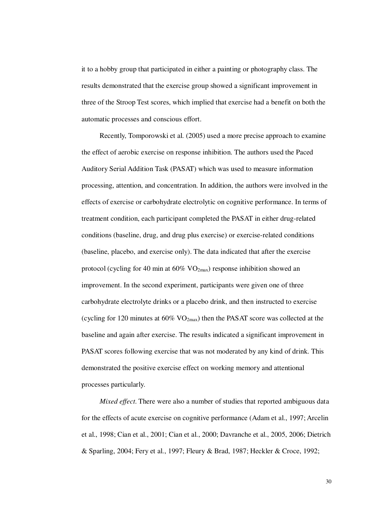it to a hobby group that participated in either a painting or photography class. The results demonstrated that the exercise group showed a significant improvement in three of the Stroop Test scores, which implied that exercise had a benefit on both the automatic processes and conscious effort.

Recently, Tomporowski et al. (2005) used a more precise approach to examine the effect of aerobic exercise on response inhibition. The authors used the Paced Auditory Serial Addition Task (PASAT) which was used to measure information processing, attention, and concentration. In addition, the authors were involved in the effects of exercise or carbohydrate electrolytic on cognitive performance. In terms of treatment condition, each participant completed the PASAT in either drug-related conditions (baseline, drug, and drug plus exercise) or exercise-related conditions (baseline, placebo, and exercise only). The data indicated that after the exercise protocol (cycling for 40 min at  $60\%$  VO<sub>2max</sub>) response inhibition showed an improvement. In the second experiment, participants were given one of three carbohydrate electrolyte drinks or a placebo drink, and then instructed to exercise (cycling for 120 minutes at  $60\%$  VO<sub>2max</sub>) then the PASAT score was collected at the baseline and again after exercise. The results indicated a significant improvement in PASAT scores following exercise that was not moderated by any kind of drink. This demonstrated the positive exercise effect on working memory and attentional processes particularly.

*Mixed effect*. There were also a number of studies that reported ambiguous data for the effects of acute exercise on cognitive performance (Adam et al., 1997; Arcelin et al., 1998; Cian et al., 2001; Cian et al., 2000; Davranche et al., 2005, 2006; Dietrich & Sparling, 2004; Fery et al., 1997; Fleury & Brad, 1987; Heckler & Croce, 1992;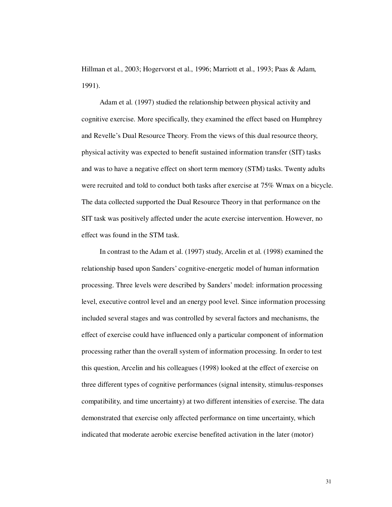Hillman et al., 2003; Hogervorst et al., 1996; Marriott et al., 1993; Paas & Adam, 1991).

Adam et al. (1997) studied the relationship between physical activity and cognitive exercise. More specifically, they examined the effect based on Humphrey and Revelle's Dual Resource Theory. From the views of this dual resource theory, physical activity was expected to benefit sustained information transfer (SIT) tasks and was to have a negative effect on short term memory (STM) tasks. Twenty adults were recruited and told to conduct both tasks after exercise at 75% Wmax on a bicycle. The data collected supported the Dual Resource Theory in that performance on the SIT task was positively affected under the acute exercise intervention. However, no effect was found in the STM task.

In contrast to the Adam et al. (1997) study, Arcelin et al. (1998) examined the relationship based upon Sanders' cognitive-energetic model of human information processing. Three levels were described by Sanders' model: information processing level, executive control level and an energy pool level. Since information processing included several stages and was controlled by several factors and mechanisms, the effect of exercise could have influenced only a particular component of information processing rather than the overall system of information processing. In order to test this question, Arcelin and his colleagues (1998) looked at the effect of exercise on three different types of cognitive performances (signal intensity, stimulus-responses compatibility, and time uncertainty) at two different intensities of exercise. The data demonstrated that exercise only affected performance on time uncertainty, which indicated that moderate aerobic exercise benefited activation in the later (motor)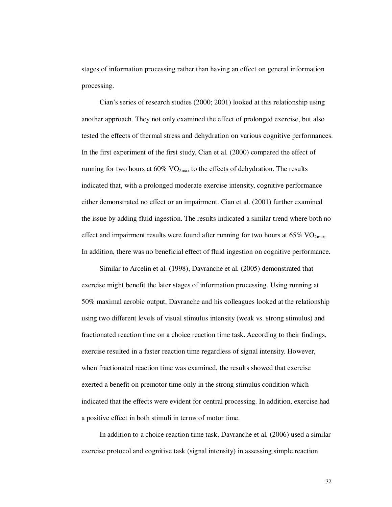stages of information processing rather than having an effect on general information processing.

Cian's series of research studies (2000; 2001) looked at this relationship using another approach. They not only examined the effect of prolonged exercise, but also tested the effects of thermal stress and dehydration on various cognitive performances. In the first experiment of the first study, Cian et al. (2000) compared the effect of running for two hours at  $60\%$  VO<sub>2max</sub> to the effects of dehydration. The results indicated that, with a prolonged moderate exercise intensity, cognitive performance either demonstrated no effect or an impairment. Cian et al. (2001) further examined the issue by adding fluid ingestion. The results indicated a similar trend where both no effect and impairment results were found after running for two hours at  $65\%$  VO<sub>2max</sub>. In addition, there was no beneficial effect of fluid ingestion on cognitive performance.

Similar to Arcelin et al. (1998), Davranche et al. (2005) demonstrated that exercise might benefit the later stages of information processing. Using running at 50% maximal aerobic output, Davranche and his colleagues looked at the relationship using two different levels of visual stimulus intensity (weak vs. strong stimulus) and fractionated reaction time on a choice reaction time task. According to their findings, exercise resulted in a faster reaction time regardless of signal intensity. However, when fractionated reaction time was examined, the results showed that exercise exerted a benefit on premotor time only in the strong stimulus condition which indicated that the effects were evident for central processing. In addition, exercise had a positive effect in both stimuli in terms of motor time.

In addition to a choice reaction time task, Davranche et al. (2006) used a similar exercise protocol and cognitive task (signal intensity) in assessing simple reaction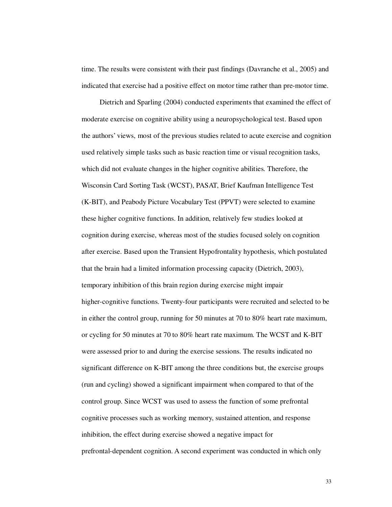time. The results were consistent with their past findings (Davranche et al., 2005) and indicated that exercise had a positive effect on motor time rather than pre-motor time.

Dietrich and Sparling (2004) conducted experiments that examined the effect of moderate exercise on cognitive ability using a neuropsychological test. Based upon the authors' views, most of the previous studies related to acute exercise and cognition used relatively simple tasks such as basic reaction time or visual recognition tasks, which did not evaluate changes in the higher cognitive abilities. Therefore, the Wisconsin Card Sorting Task (WCST), PASAT, Brief Kaufman Intelligence Test (K-BIT), and Peabody Picture Vocabulary Test (PPVT) were selected to examine these higher cognitive functions. In addition, relatively few studies looked at cognition during exercise, whereas most of the studies focused solely on cognition after exercise. Based upon the Transient Hypofrontality hypothesis, which postulated that the brain had a limited information processing capacity (Dietrich, 2003), temporary inhibition of this brain region during exercise might impair higher-cognitive functions. Twenty-four participants were recruited and selected to be in either the control group, running for 50 minutes at 70 to 80% heart rate maximum, or cycling for 50 minutes at 70 to 80% heart rate maximum. The WCST and K-BIT were assessed prior to and during the exercise sessions. The results indicated no significant difference on K-BIT among the three conditions but, the exercise groups (run and cycling) showed a significant impairment when compared to that of the control group. Since WCST was used to assess the function of some prefrontal cognitive processes such as working memory, sustained attention, and response inhibition, the effect during exercise showed a negative impact for prefrontal-dependent cognition. A second experiment was conducted in which only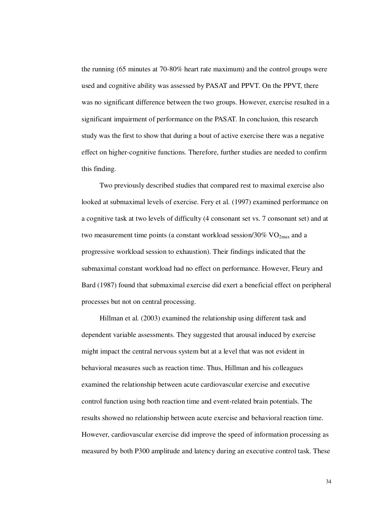the running (65 minutes at 70-80% heart rate maximum) and the control groups were used and cognitive ability was assessed by PASAT and PPVT. On the PPVT, there was no significant difference between the two groups. However, exercise resulted in a significant impairment of performance on the PASAT. In conclusion, this research study was the first to show that during a bout of active exercise there was a negative effect on higher-cognitive functions. Therefore, further studies are needed to confirm this finding.

Two previously described studies that compared rest to maximal exercise also looked at submaximal levels of exercise. Fery et al. (1997) examined performance on a cognitive task at two levels of difficulty (4 consonant set vs. 7 consonant set) and at two measurement time points (a constant workload session/30%  $VO_{2max}$  and a progressive workload session to exhaustion). Their findings indicated that the submaximal constant workload had no effect on performance. However, Fleury and Bard (1987) found that submaximal exercise did exert a beneficial effect on peripheral processes but not on central processing.

Hillman et al. (2003) examined the relationship using different task and dependent variable assessments. They suggested that arousal induced by exercise might impact the central nervous system but at a level that was not evident in behavioral measures such as reaction time. Thus, Hillman and his colleagues examined the relationship between acute cardiovascular exercise and executive control function using both reaction time and event-related brain potentials. The results showed no relationship between acute exercise and behavioral reaction time. However, cardiovascular exercise did improve the speed of information processing as measured by both P300 amplitude and latency during an executive control task. These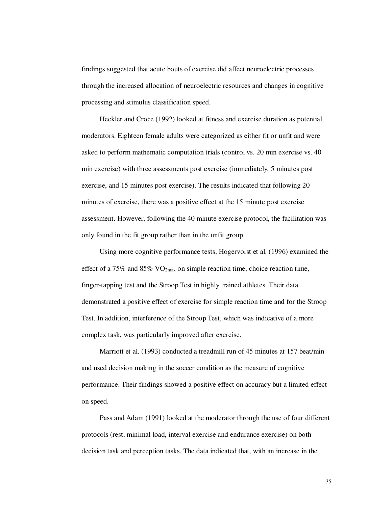findings suggested that acute bouts of exercise did affect neuroelectric processes through the increased allocation of neuroelectric resources and changes in cognitive processing and stimulus classification speed.

Heckler and Croce (1992) looked at fitness and exercise duration as potential moderators. Eighteen female adults were categorized as either fit or unfit and were asked to perform mathematic computation trials (control vs. 20 min exercise vs. 40 min exercise) with three assessments post exercise (immediately, 5 minutes post exercise, and 15 minutes post exercise). The results indicated that following 20 minutes of exercise, there was a positive effect at the 15 minute post exercise assessment. However, following the 40 minute exercise protocol, the facilitation was only found in the fit group rather than in the unfit group.

Using more cognitive performance tests, Hogervorst et al. (1996) examined the effect of a 75% and 85%  $VO<sub>2max</sub>$  on simple reaction time, choice reaction time, finger-tapping test and the Stroop Test in highly trained athletes. Their data demonstrated a positive effect of exercise for simple reaction time and for the Stroop Test. In addition, interference of the Stroop Test, which was indicative of a more complex task, was particularly improved after exercise.

Marriott et al. (1993) conducted a treadmill run of 45 minutes at 157 beat/min and used decision making in the soccer condition as the measure of cognitive performance. Their findings showed a positive effect on accuracy but a limited effect on speed.

Pass and Adam (1991) looked at the moderator through the use of four different protocols (rest, minimal load, interval exercise and endurance exercise) on both decision task and perception tasks. The data indicated that, with an increase in the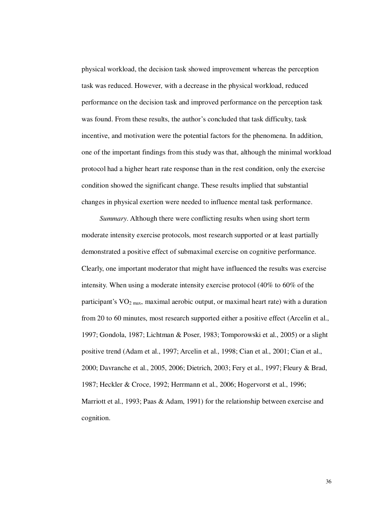physical workload, the decision task showed improvement whereas the perception task was reduced. However, with a decrease in the physical workload, reduced performance on the decision task and improved performance on the perception task was found. From these results, the author's concluded that task difficulty, task incentive, and motivation were the potential factors for the phenomena. In addition, one of the important findings from this study was that, although the minimal workload protocol had a higher heart rate response than in the rest condition, only the exercise condition showed the significant change. These results implied that substantial changes in physical exertion were needed to influence mental task performance.

*Summary*. Although there were conflicting results when using short term moderate intensity exercise protocols, most research supported or at least partially demonstrated a positive effect of submaximal exercise on cognitive performance. Clearly, one important moderator that might have influenced the results was exercise intensity. When using a moderate intensity exercise protocol (40% to 60% of the participant's  $VO<sub>2 max</sub>$ , maximal aerobic output, or maximal heart rate) with a duration from 20 to 60 minutes, most research supported either a positive effect (Arcelin et al., 1997; Gondola, 1987; Lichtman & Poser, 1983; Tomporowski et al., 2005) or a slight positive trend (Adam et al., 1997; Arcelin et al., 1998; Cian et al., 2001; Cian et al., 2000; Davranche et al., 2005, 2006; Dietrich, 2003; Fery et al., 1997; Fleury & Brad, 1987; Heckler & Croce, 1992; Herrmann et al., 2006; Hogervorst et al., 1996; Marriott et al., 1993; Paas & Adam, 1991) for the relationship between exercise and cognition.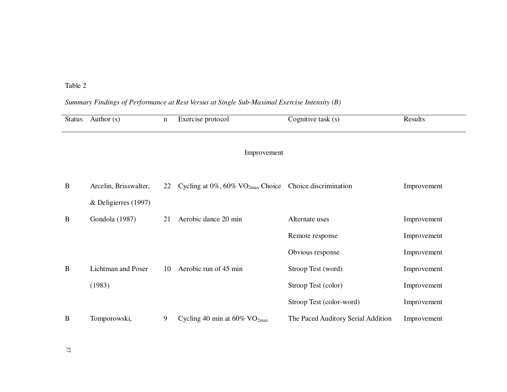Table 2

### *Summary Findings of Performance at Rest Versus at Single Sub-Maximal Exercise Intensity (B)*

| <b>Status</b> | Author $(s)$          | $\mathbf n$ | Exercise protocol                                                         | Cognitive task $(s)$               | Results     |
|---------------|-----------------------|-------------|---------------------------------------------------------------------------|------------------------------------|-------------|
|               |                       |             |                                                                           |                                    |             |
|               |                       |             | Improvement                                                               |                                    |             |
|               |                       |             |                                                                           |                                    |             |
| B             | Arcelin, Brisswalter, | 22          | Cycling at $0\%$ , $60\%$ VO <sub>2max</sub> Choice Choice discrimination |                                    | Improvement |
|               | & Deligierres (1997)  |             |                                                                           |                                    |             |
| B             | Gondola (1987)        | 21          | Aerobic dance 20 min                                                      | Alternate uses                     | Improvement |
|               |                       |             |                                                                           | Remote response                    | Improvement |
|               |                       |             |                                                                           | Obvious response                   | Improvement |
| B             | Lichtman and Poser    | 10          | Aerobic run of 45 min                                                     | Stroop Test (word)                 | Improvement |
|               | (1983)                |             |                                                                           | Stroop Test (color)                | Improvement |
|               |                       |             |                                                                           | Stroop Test (color-word)           | Improvement |
| B             | Tomporowski,          | 9           | Cycling 40 min at $60\%$ VO <sub>2max</sub>                               | The Paced Auditory Serial Addition | Improvement |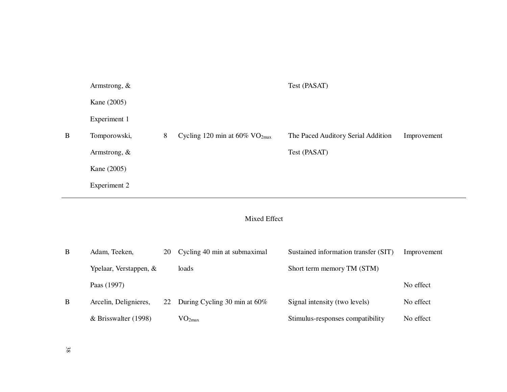|   | Armstrong, $\&$ |   |                                              | Test (PASAT)                       |             |
|---|-----------------|---|----------------------------------------------|------------------------------------|-------------|
|   | Kane (2005)     |   |                                              |                                    |             |
|   | Experiment 1    |   |                                              |                                    |             |
| B | Tomporowski,    | 8 | Cycling 120 min at $60\%$ VO <sub>2max</sub> | The Paced Auditory Serial Addition | Improvement |
|   | Armstrong, &    |   |                                              | Test (PASAT)                       |             |
|   | Kane (2005)     |   |                                              |                                    |             |
|   | Experiment 2    |   |                                              |                                    |             |
|   |                 |   |                                              |                                    |             |

# Mixed Effect

| B | Adam, Teeken,          | 20 | Cycling 40 min at submaximal    | Sustained information transfer (SIT) | Improvement |
|---|------------------------|----|---------------------------------|--------------------------------------|-------------|
|   | Ypelaar, Verstappen, & |    | loads                           | Short term memory TM (STM)           |             |
|   | Paas (1997)            |    |                                 |                                      | No effect   |
| B | Arcelin, Delignieres,  |    | 22 During Cycling 30 min at 60% | Signal intensity (two levels)        | No effect   |
|   | $&$ Brisswalter (1998) |    | $\rm VO_{2max}$                 | Stimulus-responses compatibility     | No effect   |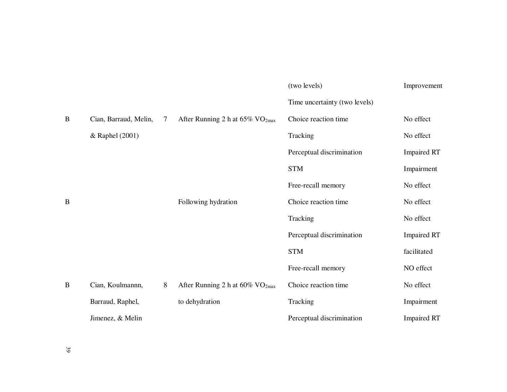|   |                       |   |                                                | (two levels)                  | Improvement        |
|---|-----------------------|---|------------------------------------------------|-------------------------------|--------------------|
|   |                       |   |                                                | Time uncertainty (two levels) |                    |
| B | Cian, Barraud, Melin, | 7 | After Running 2 h at $65\%$ VO <sub>2max</sub> | Choice reaction time          | No effect          |
|   | & Raphel (2001)       |   |                                                | Tracking                      | No effect          |
|   |                       |   |                                                | Perceptual discrimination     | <b>Impaired RT</b> |
|   |                       |   |                                                | <b>STM</b>                    | Impairment         |
|   |                       |   |                                                | Free-recall memory            | No effect          |
| B |                       |   | Following hydration                            | Choice reaction time          | No effect          |
|   |                       |   |                                                | Tracking                      | No effect          |
|   |                       |   |                                                | Perceptual discrimination     | <b>Impaired RT</b> |
|   |                       |   |                                                | <b>STM</b>                    | facilitated        |
|   |                       |   |                                                | Free-recall memory            | NO effect          |
| B | Cian, Koulmannn,      | 8 | After Running 2 h at $60\%$ VO <sub>2max</sub> | Choice reaction time          | No effect          |
|   | Barraud, Raphel,      |   | to dehydration                                 | Tracking                      | Impairment         |
|   | Jimenez, & Melin      |   |                                                | Perceptual discrimination     | <b>Impaired RT</b> |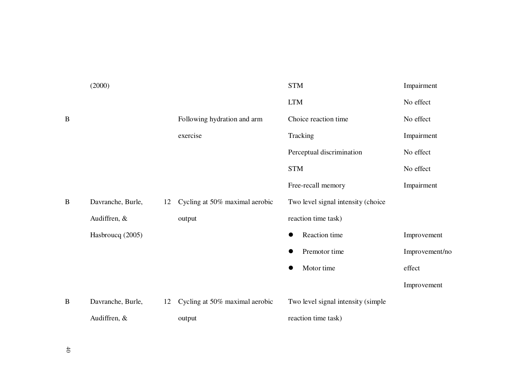|   | (2000)            |    |                                | <b>STM</b>                         | Impairment     |
|---|-------------------|----|--------------------------------|------------------------------------|----------------|
|   |                   |    |                                | <b>LTM</b>                         | No effect      |
| B |                   |    | Following hydration and arm    | Choice reaction time               | No effect      |
|   |                   |    | exercise                       | Tracking                           | Impairment     |
|   |                   |    |                                | Perceptual discrimination          | No effect      |
|   |                   |    |                                | <b>STM</b>                         | No effect      |
|   |                   |    |                                | Free-recall memory                 | Impairment     |
| B | Davranche, Burle, | 12 | Cycling at 50% maximal aerobic | Two level signal intensity (choice |                |
|   | Audiffren, &      |    | output                         | reaction time task)                |                |
|   | Hasbroucq (2005)  |    |                                | Reaction time<br>$\bullet$         | Improvement    |
|   |                   |    |                                | Premotor time                      | Improvement/no |
|   |                   |    |                                | Motor time                         | effect         |
|   |                   |    |                                |                                    | Improvement    |
| B | Davranche, Burle, | 12 | Cycling at 50% maximal aerobic | Two level signal intensity (simple |                |
|   | Audiffren, &      |    | output                         | reaction time task)                |                |
|   |                   |    |                                |                                    |                |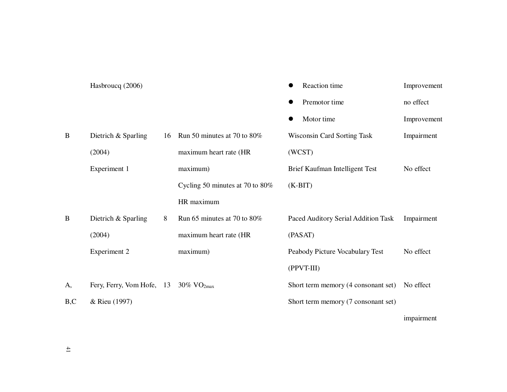|     | Hasbroucq (2006)                                                |    |                                    |   | Reaction time                       | Improvement |
|-----|-----------------------------------------------------------------|----|------------------------------------|---|-------------------------------------|-------------|
|     |                                                                 |    |                                    | ● | Premotor time                       | no effect   |
|     |                                                                 |    |                                    |   | Motor time                          | Improvement |
| B   | Dietrich & Sparling                                             | 16 | Run 50 minutes at 70 to 80%        |   | <b>Wisconsin Card Sorting Task</b>  | Impairment  |
|     | (2004)                                                          |    | maximum heart rate (HR             |   | (WCST)                              |             |
|     | Experiment 1                                                    |    | maximum)                           |   | Brief Kaufman Intelligent Test      | No effect   |
|     |                                                                 |    | Cycling 50 minutes at 70 to $80\%$ |   | $(K-BIT)$                           |             |
|     |                                                                 |    | HR maximum                         |   |                                     |             |
| B   | Dietrich & Sparling                                             | 8  | Run 65 minutes at 70 to 80%        |   | Paced Auditory Serial Addition Task | Impairment  |
|     | (2004)                                                          |    | maximum heart rate (HR             |   | (PASAT)                             |             |
|     | Experiment 2                                                    |    | maximum)                           |   | Peabody Picture Vocabulary Test     | No effect   |
|     |                                                                 |    |                                    |   | $(PPVT-III)$                        |             |
| A,  | Fery, Ferry, Vom Hofe, $13 \quad 30\% \text{ VO}_{2\text{max}}$ |    |                                    |   | Short term memory (4 consonant set) | No effect   |
| B,C | & Rieu (1997)                                                   |    |                                    |   | Short term memory (7 consonant set) |             |
|     |                                                                 |    |                                    |   |                                     | impairment  |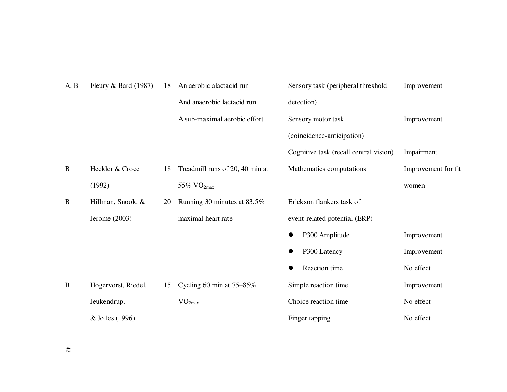| A, B | Fleury & Bard $(1987)$ | 18 | An aerobic alactacid run        | Sensory task (peripheral threshold     | Improvement         |
|------|------------------------|----|---------------------------------|----------------------------------------|---------------------|
|      |                        |    | And anaerobic lactacid run      | detection)                             |                     |
|      |                        |    | A sub-maximal aerobic effort    | Sensory motor task                     | Improvement         |
|      |                        |    |                                 | (coincidence-anticipation)             |                     |
|      |                        |    |                                 | Cognitive task (recall central vision) | Impairment          |
| B    | Heckler & Croce        | 18 | Treadmill runs of 20, 40 min at | Mathematics computations               | Improvement for fit |
|      | (1992)                 |    | 55% $VO2max$                    |                                        | women               |
| B    | Hillman, Snook, &      | 20 | Running 30 minutes at 83.5%     | Erickson flankers task of              |                     |
|      | Jerome $(2003)$        |    | maximal heart rate              | event-related potential (ERP)          |                     |
|      |                        |    |                                 | P300 Amplitude<br>$\bullet$            | Improvement         |
|      |                        |    |                                 | P300 Latency<br>$\bullet$              | Improvement         |
|      |                        |    |                                 | Reaction time                          | No effect           |
| B    | Hogervorst, Riedel,    | 15 | Cycling 60 min at $75-85\%$     | Simple reaction time                   | Improvement         |
|      | Jeukendrup,            |    | VO <sub>2max</sub>              | Choice reaction time                   | No effect           |
|      | & Jolles (1996)        |    |                                 | Finger tapping                         | No effect           |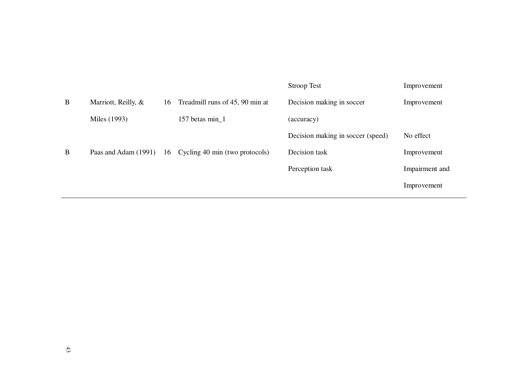|   |                      |    |                                 | <b>Stroop Test</b>                | Improvement    |
|---|----------------------|----|---------------------------------|-----------------------------------|----------------|
| B | Marriott, Reilly, &  | 16 | Treadmill runs of 45, 90 min at | Decision making in soccer         | Improvement    |
|   | Miles (1993)         |    | 157 betas min_1                 | (accuracy)                        |                |
|   |                      |    |                                 | Decision making in soccer (speed) | No effect      |
| B | Paas and Adam (1991) | 16 | Cycling 40 min (two protocols)  | Decision task                     | Improvement    |
|   |                      |    |                                 | Perception task                   | Impairment and |
|   |                      |    |                                 |                                   | Improvement    |
|   |                      |    |                                 |                                   |                |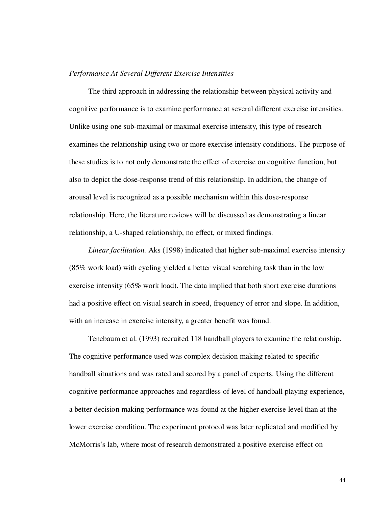### *Performance At Several Different Exercise Intensities*

The third approach in addressing the relationship between physical activity and cognitive performance is to examine performance at several different exercise intensities. Unlike using one sub-maximal or maximal exercise intensity, this type of research examines the relationship using two or more exercise intensity conditions. The purpose of these studies is to not only demonstrate the effect of exercise on cognitive function, but also to depict the dose-response trend of this relationship. In addition, the change of arousal level is recognized as a possible mechanism within this dose-response relationship. Here, the literature reviews will be discussed as demonstrating a linear relationship, a U-shaped relationship, no effect, or mixed findings.

*Linear facilitation.* Aks (1998) indicated that higher sub-maximal exercise intensity (85% work load) with cycling yielded a better visual searching task than in the low exercise intensity (65% work load). The data implied that both short exercise durations had a positive effect on visual search in speed, frequency of error and slope. In addition, with an increase in exercise intensity, a greater benefit was found.

Tenebaum et al. (1993) recruited 118 handball players to examine the relationship. The cognitive performance used was complex decision making related to specific handball situations and was rated and scored by a panel of experts. Using the different cognitive performance approaches and regardless of level of handball playing experience, a better decision making performance was found at the higher exercise level than at the lower exercise condition. The experiment protocol was later replicated and modified by McMorris's lab, where most of research demonstrated a positive exercise effect on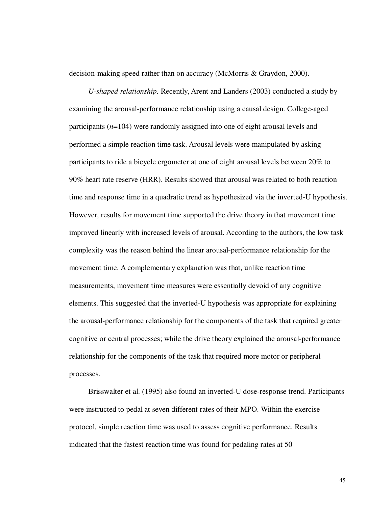decision-making speed rather than on accuracy (McMorris & Graydon, 2000).

*U-shaped relationship.* Recently, Arent and Landers (2003) conducted a study by examining the arousal-performance relationship using a causal design. College-aged participants (*n*=104) were randomly assigned into one of eight arousal levels and performed a simple reaction time task. Arousal levels were manipulated by asking participants to ride a bicycle ergometer at one of eight arousal levels between 20% to 90% heart rate reserve (HRR). Results showed that arousal was related to both reaction time and response time in a quadratic trend as hypothesized via the inverted-U hypothesis. However, results for movement time supported the drive theory in that movement time improved linearly with increased levels of arousal. According to the authors, the low task complexity was the reason behind the linear arousal-performance relationship for the movement time. A complementary explanation was that, unlike reaction time measurements, movement time measures were essentially devoid of any cognitive elements. This suggested that the inverted-U hypothesis was appropriate for explaining the arousal-performance relationship for the components of the task that required greater cognitive or central processes; while the drive theory explained the arousal-performance relationship for the components of the task that required more motor or peripheral processes.

Brisswalter et al. (1995) also found an inverted-U dose-response trend. Participants were instructed to pedal at seven different rates of their MPO. Within the exercise protocol, simple reaction time was used to assess cognitive performance. Results indicated that the fastest reaction time was found for pedaling rates at 50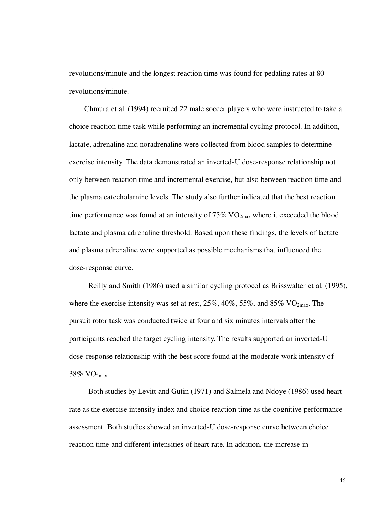revolutions/minute and the longest reaction time was found for pedaling rates at 80 revolutions/minute.

Chmura et al. (1994) recruited 22 male soccer players who were instructed to take a choice reaction time task while performing an incremental cycling protocol. In addition, lactate, adrenaline and noradrenaline were collected from blood samples to determine exercise intensity. The data demonstrated an inverted-U dose-response relationship not only between reaction time and incremental exercise, but also between reaction time and the plasma catecholamine levels. The study also further indicated that the best reaction time performance was found at an intensity of  $75\%$  VO<sub>2max</sub> where it exceeded the blood lactate and plasma adrenaline threshold. Based upon these findings, the levels of lactate and plasma adrenaline were supported as possible mechanisms that influenced the dose-response curve.

Reilly and Smith (1986) used a similar cycling protocol as Brisswalter et al. (1995), where the exercise intensity was set at rest,  $25\%$ ,  $40\%$ ,  $55\%$ , and  $85\%$  VO<sub>2max</sub>. The pursuit rotor task was conducted twice at four and six minutes intervals after the participants reached the target cycling intensity. The results supported an inverted-U dose-response relationship with the best score found at the moderate work intensity of 38% VO2max.

Both studies by Levitt and Gutin (1971) and Salmela and Ndoye (1986) used heart rate as the exercise intensity index and choice reaction time as the cognitive performance assessment. Both studies showed an inverted-U dose-response curve between choice reaction time and different intensities of heart rate. In addition, the increase in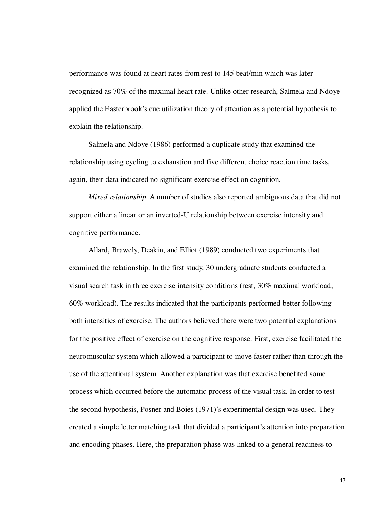performance was found at heart rates from rest to 145 beat/min which was later recognized as 70% of the maximal heart rate. Unlike other research, Salmela and Ndoye applied the Easterbrook's cue utilization theory of attention as a potential hypothesis to explain the relationship.

Salmela and Ndoye (1986) performed a duplicate study that examined the relationship using cycling to exhaustion and five different choice reaction time tasks, again, their data indicated no significant exercise effect on cognition.

*Mixed relationship*. A number of studies also reported ambiguous data that did not support either a linear or an inverted-U relationship between exercise intensity and cognitive performance.

Allard, Brawely, Deakin, and Elliot (1989) conducted two experiments that examined the relationship. In the first study, 30 undergraduate students conducted a visual search task in three exercise intensity conditions (rest, 30% maximal workload, 60% workload). The results indicated that the participants performed better following both intensities of exercise. The authors believed there were two potential explanations for the positive effect of exercise on the cognitive response. First, exercise facilitated the neuromuscular system which allowed a participant to move faster rather than through the use of the attentional system. Another explanation was that exercise benefited some process which occurred before the automatic process of the visual task. In order to test the second hypothesis, Posner and Boies (1971)'s experimental design was used. They created a simple letter matching task that divided a participant's attention into preparation and encoding phases. Here, the preparation phase was linked to a general readiness to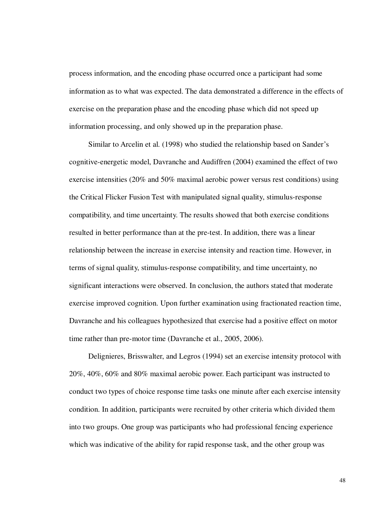process information, and the encoding phase occurred once a participant had some information as to what was expected. The data demonstrated a difference in the effects of exercise on the preparation phase and the encoding phase which did not speed up information processing, and only showed up in the preparation phase.

Similar to Arcelin et al. (1998) who studied the relationship based on Sander's cognitive-energetic model, Davranche and Audiffren (2004) examined the effect of two exercise intensities (20% and 50% maximal aerobic power versus rest conditions) using the Critical Flicker Fusion Test with manipulated signal quality, stimulus-response compatibility, and time uncertainty. The results showed that both exercise conditions resulted in better performance than at the pre-test. In addition, there was a linear relationship between the increase in exercise intensity and reaction time. However, in terms of signal quality, stimulus-response compatibility, and time uncertainty, no significant interactions were observed. In conclusion, the authors stated that moderate exercise improved cognition. Upon further examination using fractionated reaction time, Davranche and his colleagues hypothesized that exercise had a positive effect on motor time rather than pre-motor time (Davranche et al., 2005, 2006).

Delignieres, Brisswalter, and Legros (1994) set an exercise intensity protocol with 20%, 40%, 60% and 80% maximal aerobic power. Each participant was instructed to conduct two types of choice response time tasks one minute after each exercise intensity condition. In addition, participants were recruited by other criteria which divided them into two groups. One group was participants who had professional fencing experience which was indicative of the ability for rapid response task, and the other group was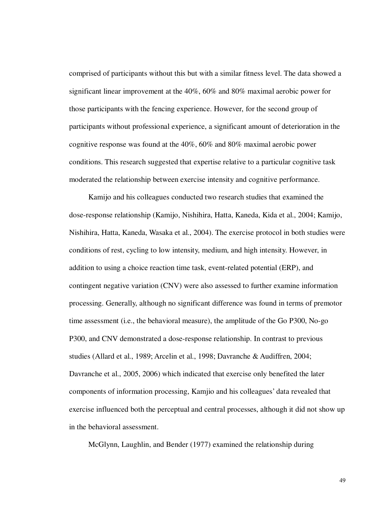comprised of participants without this but with a similar fitness level. The data showed a significant linear improvement at the 40%, 60% and 80% maximal aerobic power for those participants with the fencing experience. However, for the second group of participants without professional experience, a significant amount of deterioration in the cognitive response was found at the 40%, 60% and 80% maximal aerobic power conditions. This research suggested that expertise relative to a particular cognitive task moderated the relationship between exercise intensity and cognitive performance.

Kamijo and his colleagues conducted two research studies that examined the dose-response relationship (Kamijo, Nishihira, Hatta, Kaneda, Kida et al., 2004; Kamijo, Nishihira, Hatta, Kaneda, Wasaka et al., 2004). The exercise protocol in both studies were conditions of rest, cycling to low intensity, medium, and high intensity. However, in addition to using a choice reaction time task, event-related potential (ERP), and contingent negative variation (CNV) were also assessed to further examine information processing. Generally, although no significant difference was found in terms of premotor time assessment (i.e., the behavioral measure), the amplitude of the Go P300, No-go P300, and CNV demonstrated a dose-response relationship. In contrast to previous studies (Allard et al., 1989; Arcelin et al., 1998; Davranche & Audiffren, 2004; Davranche et al., 2005, 2006) which indicated that exercise only benefited the later components of information processing, Kamjio and his colleagues' data revealed that exercise influenced both the perceptual and central processes, although it did not show up in the behavioral assessment.

McGlynn, Laughlin, and Bender (1977) examined the relationship during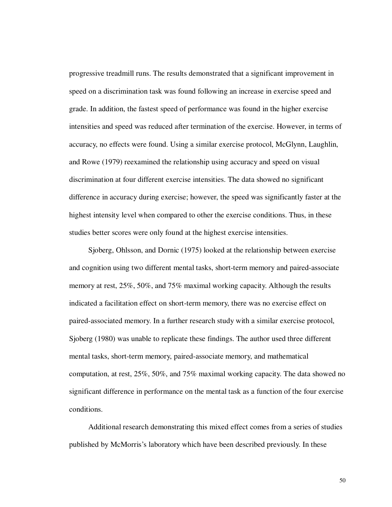progressive treadmill runs. The results demonstrated that a significant improvement in speed on a discrimination task was found following an increase in exercise speed and grade. In addition, the fastest speed of performance was found in the higher exercise intensities and speed was reduced after termination of the exercise. However, in terms of accuracy, no effects were found. Using a similar exercise protocol, McGlynn, Laughlin, and Rowe (1979) reexamined the relationship using accuracy and speed on visual discrimination at four different exercise intensities. The data showed no significant difference in accuracy during exercise; however, the speed was significantly faster at the highest intensity level when compared to other the exercise conditions. Thus, in these studies better scores were only found at the highest exercise intensities.

Sjoberg, Ohlsson, and Dornic (1975) looked at the relationship between exercise and cognition using two different mental tasks, short-term memory and paired-associate memory at rest, 25%, 50%, and 75% maximal working capacity. Although the results indicated a facilitation effect on short-term memory, there was no exercise effect on paired-associated memory. In a further research study with a similar exercise protocol, Sjoberg (1980) was unable to replicate these findings. The author used three different mental tasks, short-term memory, paired-associate memory, and mathematical computation, at rest, 25%, 50%, and 75% maximal working capacity. The data showed no significant difference in performance on the mental task as a function of the four exercise conditions.

Additional research demonstrating this mixed effect comes from a series of studies published by McMorris's laboratory which have been described previously. In these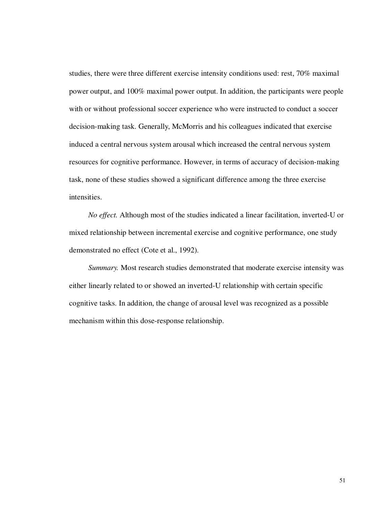studies, there were three different exercise intensity conditions used: rest, 70% maximal power output, and 100% maximal power output. In addition, the participants were people with or without professional soccer experience who were instructed to conduct a soccer decision-making task. Generally, McMorris and his colleagues indicated that exercise induced a central nervous system arousal which increased the central nervous system resources for cognitive performance. However, in terms of accuracy of decision-making task, none of these studies showed a significant difference among the three exercise intensities.

*No effect.* Although most of the studies indicated a linear facilitation, inverted-U or mixed relationship between incremental exercise and cognitive performance, one study demonstrated no effect (Cote et al., 1992).

*Summary.* Most research studies demonstrated that moderate exercise intensity was either linearly related to or showed an inverted-U relationship with certain specific cognitive tasks. In addition, the change of arousal level was recognized as a possible mechanism within this dose-response relationship.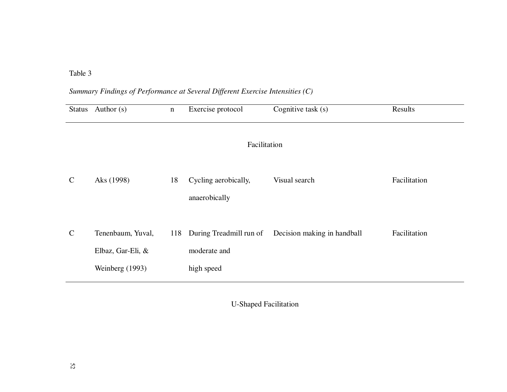## Table 3

# *Summary Findings of Performance at Several Different Exercise Intensities (C)*

| Status        | Author $(s)$                                              | $\mathbf n$ | Exercise protocol                                     | Cognitive task $(s)$        | Results      |  |
|---------------|-----------------------------------------------------------|-------------|-------------------------------------------------------|-----------------------------|--------------|--|
|               | Facilitation                                              |             |                                                       |                             |              |  |
| $\mathcal{C}$ | Aks (1998)                                                | 18          | Cycling aerobically,<br>anaerobically                 | Visual search               | Facilitation |  |
| $\mathcal{C}$ | Tenenbaum, Yuval,<br>Elbaz, Gar-Eli, &<br>Weinberg (1993) | 118         | During Treadmill run of<br>moderate and<br>high speed | Decision making in handball | Facilitation |  |

U-Shaped Facilitation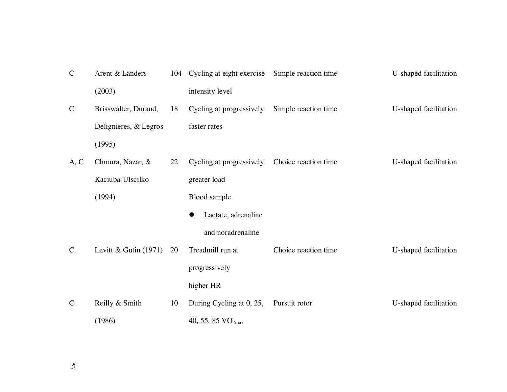| $\mathbf C$  | Arent & Landers         |    | 104 Cycling at eight exercise | Simple reaction time | U-shaped facilitation |
|--------------|-------------------------|----|-------------------------------|----------------------|-----------------------|
|              | (2003)                  |    | intensity level               |                      |                       |
| $\mathsf{C}$ | Brisswalter, Durand,    | 18 | Cycling at progressively      | Simple reaction time | U-shaped facilitation |
|              | Delignieres, & Legros   |    | faster rates                  |                      |                       |
|              | (1995)                  |    |                               |                      |                       |
| A, C         | Chmura, Nazar, &        | 22 | Cycling at progressively      | Choice reaction time | U-shaped facilitation |
|              | Kaciuba-Ulscilko        |    | greater load                  |                      |                       |
|              | (1994)                  |    | Blood sample                  |                      |                       |
|              |                         |    | Lactate, adrenaline           |                      |                       |
|              |                         |    | and noradrenaline             |                      |                       |
| $\mathsf{C}$ | Levitt & Gutin $(1971)$ | 20 | Treadmill run at              | Choice reaction time | U-shaped facilitation |
|              |                         |    | progressively                 |                      |                       |
|              |                         |    | higher HR                     |                      |                       |
| $\mathsf{C}$ | Reilly & Smith          | 10 | During Cycling at 0, 25,      | Pursuit rotor        | U-shaped facilitation |
|              | (1986)                  |    | 40, 55, 85 VO <sub>2max</sub> |                      |                       |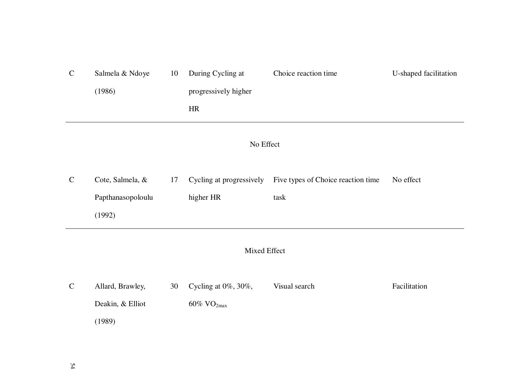| $\mathbf C$ | Salmela & Ndoye   | 10 | During Cycling at         | Choice reaction time                                        | U-shaped facilitation |  |
|-------------|-------------------|----|---------------------------|-------------------------------------------------------------|-----------------------|--|
|             | (1986)            |    | progressively higher      |                                                             |                       |  |
|             |                   |    | HR                        |                                                             |                       |  |
|             | No Effect         |    |                           |                                                             |                       |  |
| $\mathbf C$ | Cote, Salmela, &  | 17 |                           | Cycling at progressively Five types of Choice reaction time | No effect             |  |
|             | Papthanasopoloulu |    | higher HR                 | task                                                        |                       |  |
|             | (1992)            |    |                           |                                                             |                       |  |
|             | Mixed Effect      |    |                           |                                                             |                       |  |
| $\mathbf C$ | Allard, Brawley,  | 30 | Cycling at 0%, 30%,       | Visual search                                               | Facilitation          |  |
|             | Deakin, & Elliot  |    | $60\%$ VO <sub>2max</sub> |                                                             |                       |  |
|             | (1989)            |    |                           |                                                             |                       |  |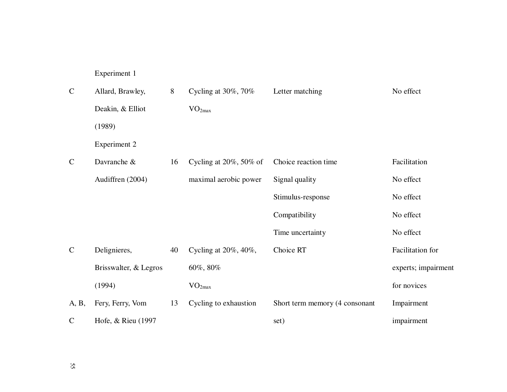Experiment 1

| $\mathbf C$   | Allard, Brawley,      | 8  | Cycling at $30\%$ , $70\%$   | Letter matching                | No effect           |
|---------------|-----------------------|----|------------------------------|--------------------------------|---------------------|
|               | Deakin, & Elliot      |    | VO <sub>2max</sub>           |                                |                     |
|               | (1989)                |    |                              |                                |                     |
|               | <b>Experiment 2</b>   |    |                              |                                |                     |
| $\mathcal{C}$ | Davranche &           | 16 | Cycling at $20\%$ , 50% of   | Choice reaction time           | Facilitation        |
|               | Audiffren (2004)      |    | maximal aerobic power        | Signal quality                 | No effect           |
|               |                       |    |                              | Stimulus-response              | No effect           |
|               |                       |    |                              | Compatibility                  | No effect           |
|               |                       |    |                              | Time uncertainty               | No effect           |
| $\mathcal{C}$ | Delignieres,          | 40 | Cycling at $20\%$ , $40\%$ , | Choice RT                      | Facilitation for    |
|               | Brisswalter, & Legros |    | 60%, 80%                     |                                | experts; impairment |
|               | (1994)                |    | VO <sub>2max</sub>           |                                | for novices         |
| A, B,         | Fery, Ferry, Vom      | 13 | Cycling to exhaustion        | Short term memory (4 consonant | Impairment          |
| $\mathcal{C}$ | Hofe, & Rieu (1997)   |    |                              | set)                           | impairment          |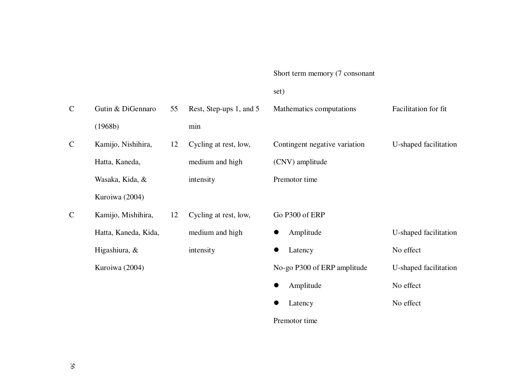### Short term memory (7 consonant

## set)

| $\mathsf{C}$  | Gutin & DiGennaro    | 55 | Rest, Step-ups 1, and 5 | Mathematics computations      | Facilitation for fit  |
|---------------|----------------------|----|-------------------------|-------------------------------|-----------------------|
|               | (1968b)              |    | min                     |                               |                       |
| $\mathsf{C}$  | Kamijo, Nishihira,   | 12 | Cycling at rest, low,   | Contingent negative variation | U-shaped facilitation |
|               | Hatta, Kaneda,       |    | medium and high         | (CNV) amplitude               |                       |
|               | Wasaka, Kida, &      |    | intensity               | Premotor time                 |                       |
|               | Kuroiwa (2004)       |    |                         |                               |                       |
| $\mathcal{C}$ | Kamijo, Mishihira,   | 12 | Cycling at rest, low,   | Go P300 of ERP                |                       |
|               | Hatta, Kaneda, Kida, |    | medium and high         | Amplitude<br>$\bullet$        | U-shaped facilitation |
|               | Higashiura, &        |    | intensity               | Latency                       | No effect             |
|               | Kuroiwa (2004)       |    |                         | No-go P300 of ERP amplitude   | U-shaped facilitation |
|               |                      |    |                         | Amplitude                     | No effect             |
|               |                      |    |                         | Latency                       | No effect             |
|               |                      |    |                         |                               |                       |

Premotor time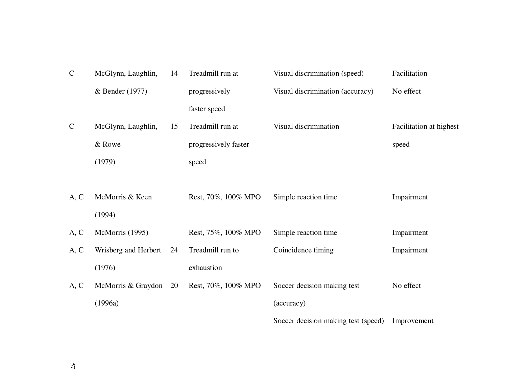| $\mathbf C$   | McGlynn, Laughlin,   | 14 | Treadmill run at     | Visual discrimination (speed)       | Facilitation            |
|---------------|----------------------|----|----------------------|-------------------------------------|-------------------------|
|               | & Bender (1977)      |    | progressively        | Visual discrimination (accuracy)    | No effect               |
|               |                      |    | faster speed         |                                     |                         |
| $\mathcal{C}$ | McGlynn, Laughlin,   | 15 | Treadmill run at     | Visual discrimination               | Facilitation at highest |
|               | & Rowe               |    | progressively faster |                                     | speed                   |
|               | (1979)               |    | speed                |                                     |                         |
|               |                      |    |                      |                                     |                         |
| A, C          | McMorris & Keen      |    | Rest, 70%, 100% MPO  | Simple reaction time                | Impairment              |
|               | (1994)               |    |                      |                                     |                         |
| A, C          | McMorris (1995)      |    | Rest, 75%, 100% MPO  | Simple reaction time                | Impairment              |
| A, C          | Wrisberg and Herbert | 24 | Treadmill run to     | Coincidence timing                  | Impairment              |
|               | (1976)               |    | exhaustion           |                                     |                         |
| A, C          | McMorris & Graydon   | 20 | Rest, 70%, 100% MPO  | Soccer decision making test         | No effect               |
|               | (1996a)              |    |                      | (accuracy)                          |                         |
|               |                      |    |                      | Soccer decision making test (speed) | Improvement             |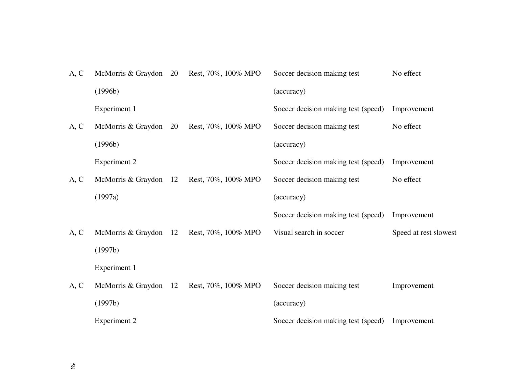| A, C | McMorris & Graydon 20 | Rest, 70%, 100% MPO | Soccer decision making test         | No effect             |
|------|-----------------------|---------------------|-------------------------------------|-----------------------|
|      | (1996b)               |                     | (accuracy)                          |                       |
|      | Experiment 1          |                     | Soccer decision making test (speed) | Improvement           |
| A, C | McMorris & Graydon 20 | Rest, 70%, 100% MPO | Soccer decision making test         | No effect             |
|      | (1996b)               |                     | (accuracy)                          |                       |
|      | <b>Experiment 2</b>   |                     | Soccer decision making test (speed) | Improvement           |
| A, C | McMorris & Graydon 12 | Rest, 70%, 100% MPO | Soccer decision making test         | No effect             |
|      | (1997a)               |                     | (accuracy)                          |                       |
|      |                       |                     | Soccer decision making test (speed) | Improvement           |
| A, C | McMorris & Graydon 12 | Rest, 70%, 100% MPO | Visual search in soccer             | Speed at rest slowest |
|      | (1997b)               |                     |                                     |                       |
|      | Experiment 1          |                     |                                     |                       |
| A, C | McMorris & Graydon 12 | Rest, 70%, 100% MPO | Soccer decision making test         | Improvement           |
|      | (1997b)               |                     | (accuracy)                          |                       |
|      | <b>Experiment 2</b>   |                     | Soccer decision making test (speed) | Improvement           |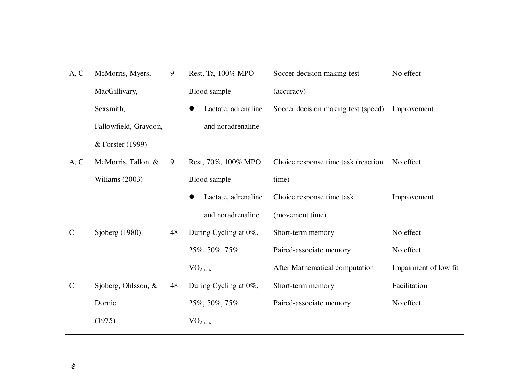| A, C         | McMorris, Myers,      | 9  | Rest, Ta, 100% MPO    | Soccer decision making test         | No effect             |
|--------------|-----------------------|----|-----------------------|-------------------------------------|-----------------------|
|              | MacGillivary,         |    | Blood sample          | (accuracy)                          |                       |
|              | Sexsmith,             |    | Lactate, adrenaline   | Soccer decision making test (speed) | Improvement           |
|              | Fallowfield, Graydon, |    | and noradrenaline     |                                     |                       |
|              | & Forster (1999)      |    |                       |                                     |                       |
| A, C         | McMorris, Tallon, &   | 9  | Rest, 70%, 100% MPO   | Choice response time task (reaction | No effect             |
|              | Wiliams (2003)        |    | Blood sample          | time)                               |                       |
|              |                       |    | Lactate, adrenaline   | Choice response time task           | Improvement           |
|              |                       |    | and noradrenaline     | (movement time)                     |                       |
| $\mathsf{C}$ | Sjoberg $(1980)$      | 48 | During Cycling at 0%, | Short-term memory                   | No effect             |
|              |                       |    | 25%, 50%, 75%         | Paired-associate memory             | No effect             |
|              |                       |    | VO <sub>2max</sub>    | After Mathematical computation      | Impairment of low fit |
| $\mathsf{C}$ | Sjoberg, Ohlsson, &   | 48 | During Cycling at 0%, | Short-term memory                   | Facilitation          |
|              | Dornic                |    | 25%, 50%, 75%         | Paired-associate memory             | No effect             |
|              | (1975)                |    | $\rm VO_{2max}$       |                                     |                       |
|              |                       |    |                       |                                     |                       |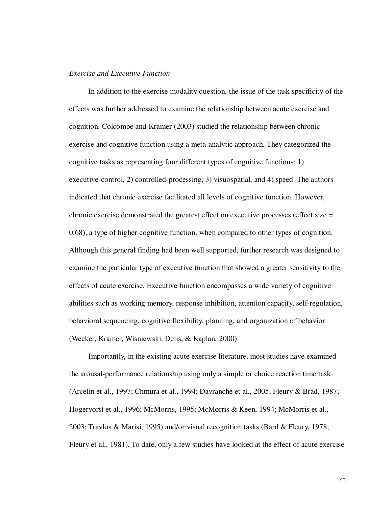### *Exercise and Executive Function*

In addition to the exercise modality question, the issue of the task specificity of the effects was further addressed to examine the relationship between acute exercise and cognition. Colcombe and Kramer (2003) studied the relationship between chronic exercise and cognitive function using a meta-analytic approach. They categorized the cognitive tasks as representing four different types of cognitive functions: 1) executive-control, 2) controlled-processing, 3) visuospatial, and 4) speed. The authors indicated that chronic exercise facilitated all levels of cognitive function. However, chronic exercise demonstrated the greatest effect on executive processes (effect size = 0.68), a type of higher cognitive function, when compared to other types of cognition. Although this general finding had been well supported, further research was designed to examine the particular type of executive function that showed a greater sensitivity to the effects of acute exercise. Executive function encompasses a wide variety of cognitive abilities such as working memory, response inhibition, attention capacity, self-regulation, behavioral sequencing, cognitive flexibility, planning, and organization of behavior (Wecker, Kramer, Wisniewski, Delis, & Kaplan, 2000).

Importantly, in the existing acute exercise literature, most studies have examined the arousal-performance relationship using only a simple or choice reaction time task (Arcelin et al., 1997; Chmura et al., 1994; Davranche et al., 2005; Fleury & Brad, 1987; Hogervorst et al., 1996; McMorris, 1995; McMorris & Keen, 1994; McMorris et al., 2003; Travlos & Marisi, 1995) and/or visual recognition tasks (Bard & Fleury, 1978; Fleury et al., 1981). To date, only a few studies have looked at the effect of acute exercise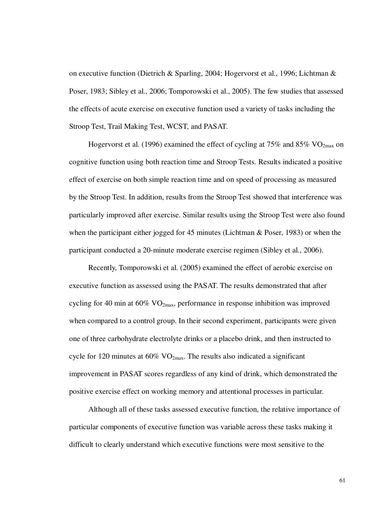on executive function (Dietrich & Sparling, 2004; Hogervorst et al., 1996; Lichtman & Poser, 1983; Sibley et al., 2006; Tomporowski et al., 2005). The few studies that assessed the effects of acute exercise on executive function used a variety of tasks including the Stroop Test, Trail Making Test, WCST, and PASAT.

Hogervorst et al. (1996) examined the effect of cycling at  $75\%$  and  $85\%$  VO<sub>2max</sub> on cognitive function using both reaction time and Stroop Tests. Results indicated a positive effect of exercise on both simple reaction time and on speed of processing as measured by the Stroop Test. In addition, results from the Stroop Test showed that interference was particularly improved after exercise. Similar results using the Stroop Test were also found when the participant either jogged for 45 minutes (Lichtman & Poser, 1983) or when the participant conducted a 20-minute moderate exercise regimen (Sibley et al., 2006).

Recently, Tomporowski et al. (2005) examined the effect of aerobic exercise on executive function as assessed using the PASAT. The results demonstrated that after cycling for 40 min at  $60\%$  VO<sub>2max</sub>, performance in response inhibition was improved when compared to a control group. In their second experiment, participants were given one of three carbohydrate electrolyte drinks or a placebo drink, and then instructed to cycle for 120 minutes at  $60\%$  VO<sub>2max</sub>. The results also indicated a significant improvement in PASAT scores regardless of any kind of drink, which demonstrated the positive exercise effect on working memory and attentional processes in particular.

Although all of these tasks assessed executive function, the relative importance of particular components of executive function was variable across these tasks making it difficult to clearly understand which executive functions were most sensitive to the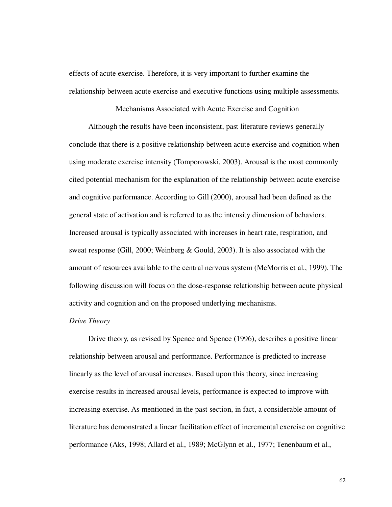effects of acute exercise. Therefore, it is very important to further examine the relationship between acute exercise and executive functions using multiple assessments.

# Mechanisms Associated with Acute Exercise and Cognition

Although the results have been inconsistent, past literature reviews generally conclude that there is a positive relationship between acute exercise and cognition when using moderate exercise intensity (Tomporowski, 2003). Arousal is the most commonly cited potential mechanism for the explanation of the relationship between acute exercise and cognitive performance. According to Gill (2000), arousal had been defined as the general state of activation and is referred to as the intensity dimension of behaviors. Increased arousal is typically associated with increases in heart rate, respiration, and sweat response (Gill, 2000; Weinberg & Gould, 2003). It is also associated with the amount of resources available to the central nervous system (McMorris et al., 1999). The following discussion will focus on the dose-response relationship between acute physical activity and cognition and on the proposed underlying mechanisms.

#### *Drive Theory*

Drive theory, as revised by Spence and Spence (1996), describes a positive linear relationship between arousal and performance. Performance is predicted to increase linearly as the level of arousal increases. Based upon this theory, since increasing exercise results in increased arousal levels, performance is expected to improve with increasing exercise. As mentioned in the past section, in fact, a considerable amount of literature has demonstrated a linear facilitation effect of incremental exercise on cognitive performance (Aks, 1998; Allard et al., 1989; McGlynn et al., 1977; Tenenbaum et al.,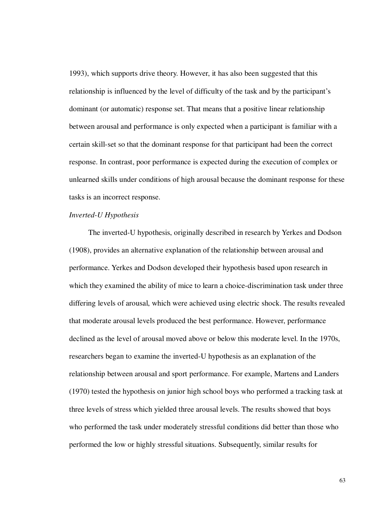1993), which supports drive theory. However, it has also been suggested that this relationship is influenced by the level of difficulty of the task and by the participant's dominant (or automatic) response set. That means that a positive linear relationship between arousal and performance is only expected when a participant is familiar with a certain skill-set so that the dominant response for that participant had been the correct response. In contrast, poor performance is expected during the execution of complex or unlearned skills under conditions of high arousal because the dominant response for these tasks is an incorrect response.

#### *Inverted-U Hypothesis*

The inverted-U hypothesis, originally described in research by Yerkes and Dodson (1908), provides an alternative explanation of the relationship between arousal and performance. Yerkes and Dodson developed their hypothesis based upon research in which they examined the ability of mice to learn a choice-discrimination task under three differing levels of arousal, which were achieved using electric shock. The results revealed that moderate arousal levels produced the best performance. However, performance declined as the level of arousal moved above or below this moderate level. In the 1970s, researchers began to examine the inverted-U hypothesis as an explanation of the relationship between arousal and sport performance. For example, Martens and Landers (1970) tested the hypothesis on junior high school boys who performed a tracking task at three levels of stress which yielded three arousal levels. The results showed that boys who performed the task under moderately stressful conditions did better than those who performed the low or highly stressful situations. Subsequently, similar results for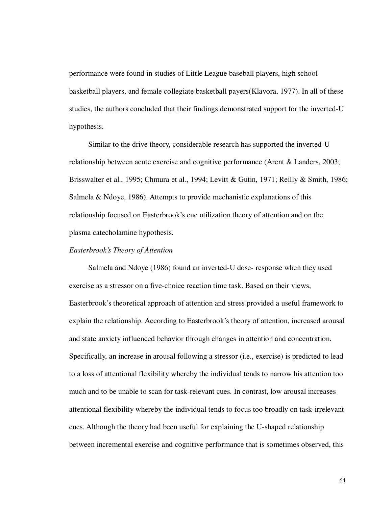performance were found in studies of Little League baseball players, high school basketball players, and female collegiate basketball payers(Klavora, 1977). In all of these studies, the authors concluded that their findings demonstrated support for the inverted-U hypothesis.

Similar to the drive theory, considerable research has supported the inverted-U relationship between acute exercise and cognitive performance (Arent & Landers, 2003; Brisswalter et al., 1995; Chmura et al., 1994; Levitt & Gutin, 1971; Reilly & Smith, 1986; Salmela & Ndoye, 1986). Attempts to provide mechanistic explanations of this relationship focused on Easterbrook's cue utilization theory of attention and on the plasma catecholamine hypothesis.

## *Easterbrook's Theory of Attention*

Salmela and Ndoye (1986) found an inverted-U dose- response when they used exercise as a stressor on a five-choice reaction time task. Based on their views, Easterbrook's theoretical approach of attention and stress provided a useful framework to explain the relationship. According to Easterbrook's theory of attention, increased arousal and state anxiety influenced behavior through changes in attention and concentration. Specifically, an increase in arousal following a stressor (i.e., exercise) is predicted to lead to a loss of attentional flexibility whereby the individual tends to narrow his attention too much and to be unable to scan for task-relevant cues. In contrast, low arousal increases attentional flexibility whereby the individual tends to focus too broadly on task-irrelevant cues. Although the theory had been useful for explaining the U-shaped relationship between incremental exercise and cognitive performance that is sometimes observed, this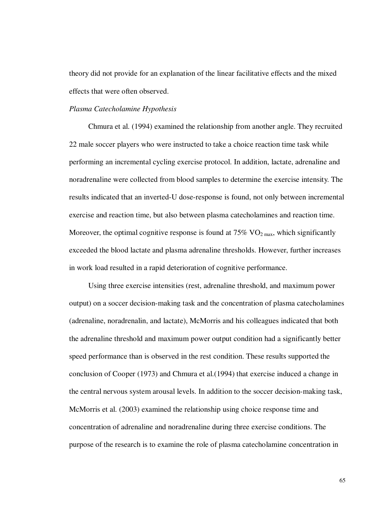theory did not provide for an explanation of the linear facilitative effects and the mixed effects that were often observed.

## *Plasma Catecholamine Hypothesis*

Chmura et al. (1994) examined the relationship from another angle. They recruited 22 male soccer players who were instructed to take a choice reaction time task while performing an incremental cycling exercise protocol. In addition, lactate, adrenaline and noradrenaline were collected from blood samples to determine the exercise intensity. The results indicated that an inverted-U dose-response is found, not only between incremental exercise and reaction time, but also between plasma catecholamines and reaction time. Moreover, the optimal cognitive response is found at  $75\%$  VO<sub>2 max</sub>, which significantly exceeded the blood lactate and plasma adrenaline thresholds. However, further increases in work load resulted in a rapid deterioration of cognitive performance.

Using three exercise intensities (rest, adrenaline threshold, and maximum power output) on a soccer decision-making task and the concentration of plasma catecholamines (adrenaline, noradrenalin, and lactate), McMorris and his colleagues indicated that both the adrenaline threshold and maximum power output condition had a significantly better speed performance than is observed in the rest condition. These results supported the conclusion of Cooper (1973) and Chmura et al.(1994) that exercise induced a change in the central nervous system arousal levels. In addition to the soccer decision-making task, McMorris et al. (2003) examined the relationship using choice response time and concentration of adrenaline and noradrenaline during three exercise conditions. The purpose of the research is to examine the role of plasma catecholamine concentration in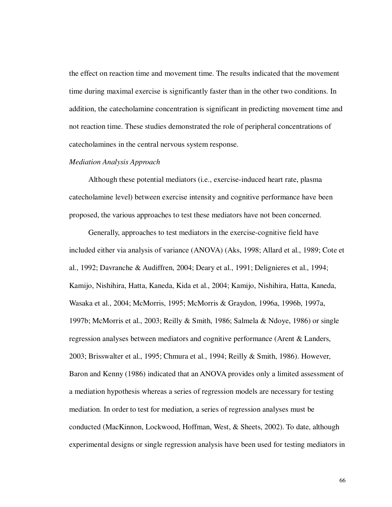the effect on reaction time and movement time. The results indicated that the movement time during maximal exercise is significantly faster than in the other two conditions. In addition, the catecholamine concentration is significant in predicting movement time and not reaction time. These studies demonstrated the role of peripheral concentrations of catecholamines in the central nervous system response.

#### *Mediation Analysis Approach*

Although these potential mediators (i.e., exercise-induced heart rate, plasma catecholamine level) between exercise intensity and cognitive performance have been proposed, the various approaches to test these mediators have not been concerned.

Generally, approaches to test mediators in the exercise-cognitive field have included either via analysis of variance (ANOVA) (Aks, 1998; Allard et al., 1989; Cote et al., 1992; Davranche & Audiffren, 2004; Deary et al., 1991; Delignieres et al., 1994; Kamijo, Nishihira, Hatta, Kaneda, Kida et al., 2004; Kamijo, Nishihira, Hatta, Kaneda, Wasaka et al., 2004; McMorris, 1995; McMorris & Graydon, 1996a, 1996b, 1997a, 1997b; McMorris et al., 2003; Reilly & Smith, 1986; Salmela & Ndoye, 1986) or single regression analyses between mediators and cognitive performance (Arent & Landers, 2003; Brisswalter et al., 1995; Chmura et al., 1994; Reilly & Smith, 1986). However, Baron and Kenny (1986) indicated that an ANOVA provides only a limited assessment of a mediation hypothesis whereas a series of regression models are necessary for testing mediation. In order to test for mediation, a series of regression analyses must be conducted (MacKinnon, Lockwood, Hoffman, West, & Sheets, 2002). To date, although experimental designs or single regression analysis have been used for testing mediators in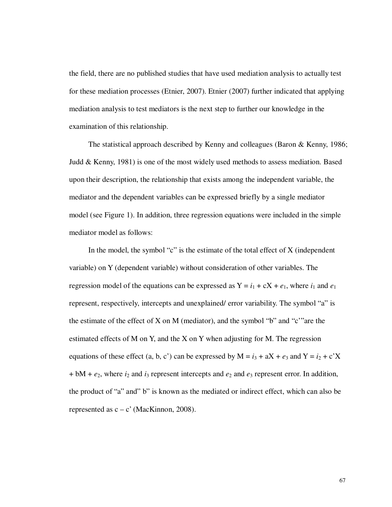the field, there are no published studies that have used mediation analysis to actually test for these mediation processes (Etnier, 2007). Etnier (2007) further indicated that applying mediation analysis to test mediators is the next step to further our knowledge in the examination of this relationship.

The statistical approach described by Kenny and colleagues (Baron & Kenny, 1986; Judd & Kenny, 1981) is one of the most widely used methods to assess mediation. Based upon their description, the relationship that exists among the independent variable, the mediator and the dependent variables can be expressed briefly by a single mediator model (see Figure 1). In addition, three regression equations were included in the simple mediator model as follows:

In the model, the symbol "c" is the estimate of the total effect of  $X$  (independent variable) on Y (dependent variable) without consideration of other variables. The regression model of the equations can be expressed as  $Y = i_1 + cX + e_1$ , where  $i_1$  and  $e_1$ represent, respectively, intercepts and unexplained/ error variability. The symbol "a" is the estimate of the effect of X on M (mediator), and the symbol "b" and "c" are the estimated effects of M on Y, and the X on Y when adjusting for M. The regression equations of these effect (a, b, c') can be expressed by  $M = i_3 + aX + e_3$  and  $Y = i_2 + c'X$  $+$  bM +  $e_2$ , where  $i_2$  and  $i_3$  represent intercepts and  $e_2$  and  $e_3$  represent error. In addition, the product of "a" and" b" is known as the mediated or indirect effect, which can also be represented as  $c - c'$  (MacKinnon, 2008).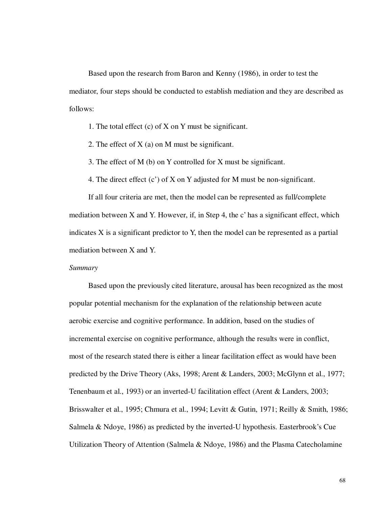Based upon the research from Baron and Kenny (1986), in order to test the mediator, four steps should be conducted to establish mediation and they are described as follows:

1. The total effect (c) of X on Y must be significant.

2. The effect of  $X$  (a) on M must be significant.

3. The effect of M (b) on Y controlled for X must be significant.

4. The direct effect (c') of X on Y adjusted for M must be non-significant.

If all four criteria are met, then the model can be represented as full/complete mediation between X and Y. However, if, in Step 4, the c' has a significant effect, which indicates X is a significant predictor to Y, then the model can be represented as a partial mediation between X and Y.

### *Summary*

Based upon the previously cited literature, arousal has been recognized as the most popular potential mechanism for the explanation of the relationship between acute aerobic exercise and cognitive performance. In addition, based on the studies of incremental exercise on cognitive performance, although the results were in conflict, most of the research stated there is either a linear facilitation effect as would have been predicted by the Drive Theory (Aks, 1998; Arent & Landers, 2003; McGlynn et al., 1977; Tenenbaum et al., 1993) or an inverted-U facilitation effect (Arent & Landers, 2003; Brisswalter et al., 1995; Chmura et al., 1994; Levitt & Gutin, 1971; Reilly & Smith, 1986; Salmela & Ndoye, 1986) as predicted by the inverted-U hypothesis. Easterbrook's Cue Utilization Theory of Attention (Salmela & Ndoye, 1986) and the Plasma Catecholamine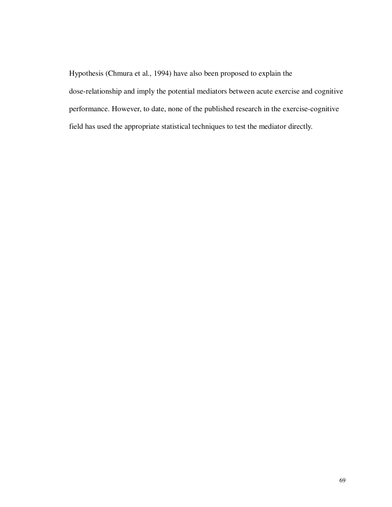Hypothesis (Chmura et al., 1994) have also been proposed to explain the

dose-relationship and imply the potential mediators between acute exercise and cognitive performance. However, to date, none of the published research in the exercise-cognitive field has used the appropriate statistical techniques to test the mediator directly.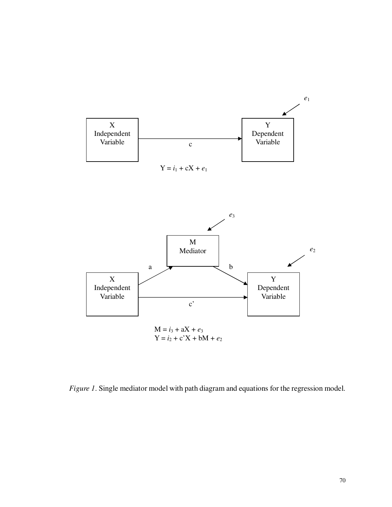

*Figure 1*. Single mediator model with path diagram and equations for the regression model.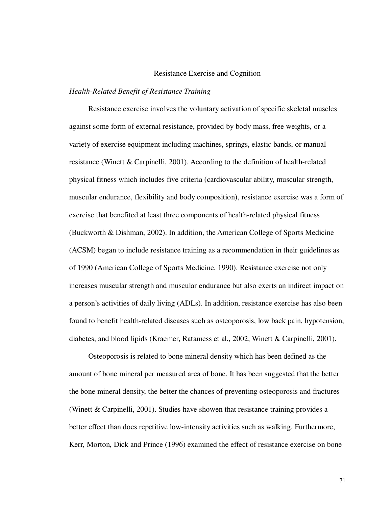#### Resistance Exercise and Cognition

#### *Health-Related Benefit of Resistance Training*

Resistance exercise involves the voluntary activation of specific skeletal muscles against some form of external resistance, provided by body mass, free weights, or a variety of exercise equipment including machines, springs, elastic bands, or manual resistance (Winett & Carpinelli, 2001). According to the definition of health-related physical fitness which includes five criteria (cardiovascular ability, muscular strength, muscular endurance, flexibility and body composition), resistance exercise was a form of exercise that benefited at least three components of health-related physical fitness (Buckworth & Dishman, 2002). In addition, the American College of Sports Medicine (ACSM) began to include resistance training as a recommendation in their guidelines as of 1990 (American College of Sports Medicine, 1990). Resistance exercise not only increases muscular strength and muscular endurance but also exerts an indirect impact on a person's activities of daily living (ADLs). In addition, resistance exercise has also been found to benefit health-related diseases such as osteoporosis, low back pain, hypotension, diabetes, and blood lipids (Kraemer, Ratamess et al., 2002; Winett & Carpinelli, 2001).

Osteoporosis is related to bone mineral density which has been defined as the amount of bone mineral per measured area of bone. It has been suggested that the better the bone mineral density, the better the chances of preventing osteoporosis and fractures (Winett & Carpinelli, 2001). Studies have showen that resistance training provides a better effect than does repetitive low-intensity activities such as walking. Furthermore, Kerr, Morton, Dick and Prince (1996) examined the effect of resistance exercise on bone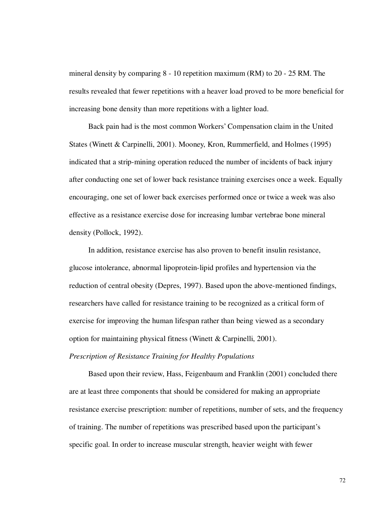mineral density by comparing 8 - 10 repetition maximum (RM) to 20 - 25 RM. The results revealed that fewer repetitions with a heaver load proved to be more beneficial for increasing bone density than more repetitions with a lighter load.

Back pain had is the most common Workers' Compensation claim in the United States (Winett & Carpinelli, 2001). Mooney, Kron, Rummerfield, and Holmes (1995) indicated that a strip-mining operation reduced the number of incidents of back injury after conducting one set of lower back resistance training exercises once a week. Equally encouraging, one set of lower back exercises performed once or twice a week was also effective as a resistance exercise dose for increasing lumbar vertebrae bone mineral density (Pollock, 1992).

In addition, resistance exercise has also proven to benefit insulin resistance, glucose intolerance, abnormal lipoprotein-lipid profiles and hypertension via the reduction of central obesity (Depres, 1997). Based upon the above-mentioned findings, researchers have called for resistance training to be recognized as a critical form of exercise for improving the human lifespan rather than being viewed as a secondary option for maintaining physical fitness (Winett & Carpinelli, 2001).

# *Prescription of Resistance Training for Healthy Populations*

Based upon their review, Hass, Feigenbaum and Franklin (2001) concluded there are at least three components that should be considered for making an appropriate resistance exercise prescription: number of repetitions, number of sets, and the frequency of training. The number of repetitions was prescribed based upon the participant's specific goal. In order to increase muscular strength, heavier weight with fewer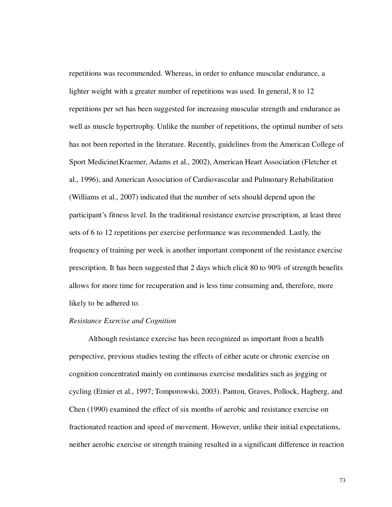repetitions was recommended. Whereas, in order to enhance muscular endurance, a lighter weight with a greater number of repetitions was used. In general, 8 to 12 repetitions per set has been suggested for increasing muscular strength and endurance as well as muscle hypertrophy. Unlike the number of repetitions, the optimal number of sets has not been reported in the literature. Recently, guidelines from the American College of Sport Medicine(Kraemer, Adams et al., 2002), American Heart Association (Fletcher et al., 1996), and American Association of Cardiovascular and Pulmonary Rehabilitation (Williams et al., 2007) indicated that the number of sets should depend upon the participant's fitness level. In the traditional resistance exercise prescription, at least three sets of 6 to 12 repetitions per exercise performance was recommended. Lastly, the frequency of training per week is another important component of the resistance exercise prescription. It has been suggested that 2 days which elicit 80 to 90% of strength benefits allows for more time for recuperation and is less time consuming and, therefore, more likely to be adhered to.

## *Resistance Exercise and Cognition*

Although resistance exercise has been recognized as important from a health perspective, previous studies testing the effects of either acute or chronic exercise on cognition concentrated mainly on continuous exercise modalities such as jogging or cycling (Etnier et al., 1997; Tomporowski, 2003). Panton, Graves, Pollock, Hagberg, and Chen (1990) examined the effect of six months of aerobic and resistance exercise on fractionated reaction and speed of movement. However, unlike their initial expectations, neither aerobic exercise or strength training resulted in a significant difference in reaction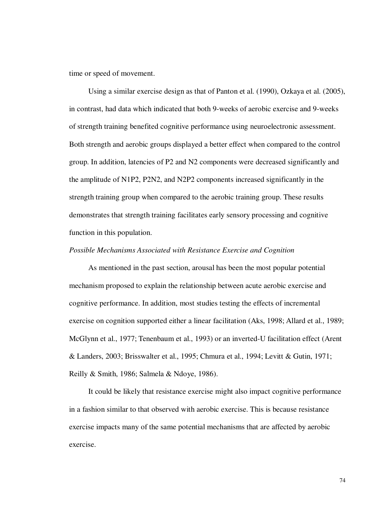time or speed of movement.

Using a similar exercise design as that of Panton et al. (1990), Ozkaya et al. (2005), in contrast, had data which indicated that both 9-weeks of aerobic exercise and 9-weeks of strength training benefited cognitive performance using neuroelectronic assessment. Both strength and aerobic groups displayed a better effect when compared to the control group. In addition, latencies of P2 and N2 components were decreased significantly and the amplitude of N1P2, P2N2, and N2P2 components increased significantly in the strength training group when compared to the aerobic training group. These results demonstrates that strength training facilitates early sensory processing and cognitive function in this population.

#### *Possible Mechanisms Associated with Resistance Exercise and Cognition*

As mentioned in the past section, arousal has been the most popular potential mechanism proposed to explain the relationship between acute aerobic exercise and cognitive performance. In addition, most studies testing the effects of incremental exercise on cognition supported either a linear facilitation (Aks, 1998; Allard et al., 1989; McGlynn et al., 1977; Tenenbaum et al., 1993) or an inverted-U facilitation effect (Arent & Landers, 2003; Brisswalter et al., 1995; Chmura et al., 1994; Levitt & Gutin, 1971; Reilly & Smith, 1986; Salmela & Ndoye, 1986).

It could be likely that resistance exercise might also impact cognitive performance in a fashion similar to that observed with aerobic exercise. This is because resistance exercise impacts many of the same potential mechanisms that are affected by aerobic exercise.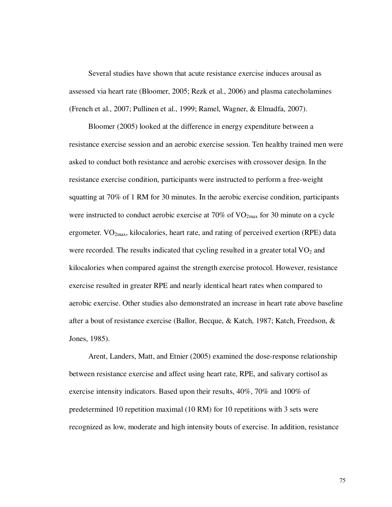Several studies have shown that acute resistance exercise induces arousal as assessed via heart rate (Bloomer, 2005; Rezk et al., 2006) and plasma catecholamines (French et al., 2007; Pullinen et al., 1999; Ramel, Wagner, & Elmadfa, 2007).

Bloomer (2005) looked at the difference in energy expenditure between a resistance exercise session and an aerobic exercise session. Ten healthy trained men were asked to conduct both resistance and aerobic exercises with crossover design. In the resistance exercise condition, participants were instructed to perform a free-weight squatting at 70% of 1 RM for 30 minutes. In the aerobic exercise condition, participants were instructed to conduct aerobic exercise at  $70\%$  of  $VO_{2max}$  for 30 minute on a cycle ergometer.  $VO_{2max}$ , kilocalories, heart rate, and rating of perceived exertion (RPE) data were recorded. The results indicated that cycling resulted in a greater total  $VO<sub>2</sub>$  and kilocalories when compared against the strength exercise protocol. However, resistance exercise resulted in greater RPE and nearly identical heart rates when compared to aerobic exercise. Other studies also demonstrated an increase in heart rate above baseline after a bout of resistance exercise (Ballor, Becque, & Katch, 1987; Katch, Freedson, & Jones, 1985).

Arent, Landers, Matt, and Etnier (2005) examined the dose-response relationship between resistance exercise and affect using heart rate, RPE, and salivary cortisol as exercise intensity indicators. Based upon their results, 40%, 70% and 100% of predetermined 10 repetition maximal (10 RM) for 10 repetitions with 3 sets were recognized as low, moderate and high intensity bouts of exercise. In addition, resistance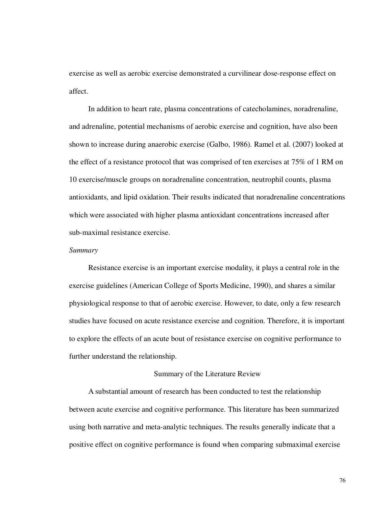exercise as well as aerobic exercise demonstrated a curvilinear dose-response effect on affect.

In addition to heart rate, plasma concentrations of catecholamines, noradrenaline, and adrenaline, potential mechanisms of aerobic exercise and cognition, have also been shown to increase during anaerobic exercise (Galbo, 1986). Ramel et al. (2007) looked at the effect of a resistance protocol that was comprised of ten exercises at 75% of 1 RM on 10 exercise/muscle groups on noradrenaline concentration, neutrophil counts, plasma antioxidants, and lipid oxidation. Their results indicated that noradrenaline concentrations which were associated with higher plasma antioxidant concentrations increased after sub-maximal resistance exercise.

# *Summary*

Resistance exercise is an important exercise modality, it plays a central role in the exercise guidelines (American College of Sports Medicine, 1990), and shares a similar physiological response to that of aerobic exercise. However, to date, only a few research studies have focused on acute resistance exercise and cognition. Therefore, it is important to explore the effects of an acute bout of resistance exercise on cognitive performance to further understand the relationship.

# Summary of the Literature Review

A substantial amount of research has been conducted to test the relationship between acute exercise and cognitive performance. This literature has been summarized using both narrative and meta-analytic techniques. The results generally indicate that a positive effect on cognitive performance is found when comparing submaximal exercise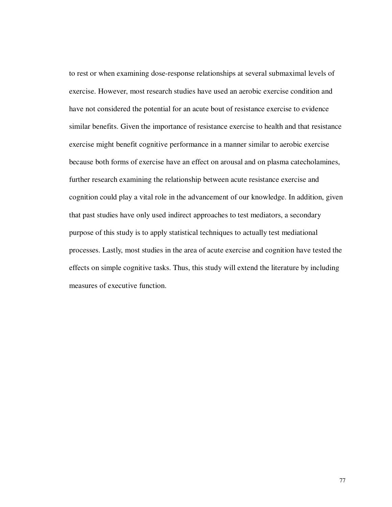to rest or when examining dose-response relationships at several submaximal levels of exercise. However, most research studies have used an aerobic exercise condition and have not considered the potential for an acute bout of resistance exercise to evidence similar benefits. Given the importance of resistance exercise to health and that resistance exercise might benefit cognitive performance in a manner similar to aerobic exercise because both forms of exercise have an effect on arousal and on plasma catecholamines, further research examining the relationship between acute resistance exercise and cognition could play a vital role in the advancement of our knowledge. In addition, given that past studies have only used indirect approaches to test mediators, a secondary purpose of this study is to apply statistical techniques to actually test mediational processes. Lastly, most studies in the area of acute exercise and cognition have tested the effects on simple cognitive tasks. Thus, this study will extend the literature by including measures of executive function.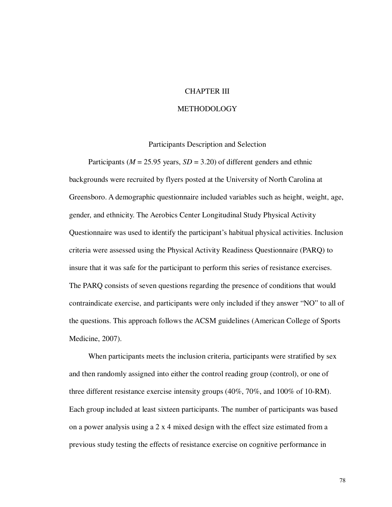# CHAPTER III

#### **METHODOLOGY**

## Participants Description and Selection

Participants ( $M = 25.95$  years,  $SD = 3.20$ ) of different genders and ethnic backgrounds were recruited by flyers posted at the University of North Carolina at Greensboro. A demographic questionnaire included variables such as height, weight, age, gender, and ethnicity. The Aerobics Center Longitudinal Study Physical Activity Questionnaire was used to identify the participant's habitual physical activities. Inclusion criteria were assessed using the Physical Activity Readiness Questionnaire (PARQ) to insure that it was safe for the participant to perform this series of resistance exercises. The PARQ consists of seven questions regarding the presence of conditions that would contraindicate exercise, and participants were only included if they answer "NO" to all of the questions. This approach follows the ACSM guidelines (American College of Sports Medicine, 2007).

When participants meets the inclusion criteria, participants were stratified by sex and then randomly assigned into either the control reading group (control), or one of three different resistance exercise intensity groups (40%, 70%, and 100% of 10-RM). Each group included at least sixteen participants. The number of participants was based on a power analysis using a 2 x 4 mixed design with the effect size estimated from a previous study testing the effects of resistance exercise on cognitive performance in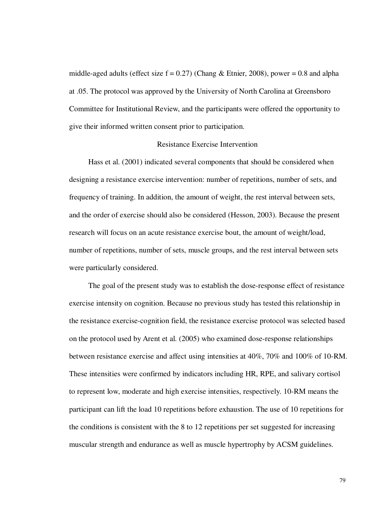middle-aged adults (effect size  $f = 0.27$ ) (Chang & Etnier, 2008), power = 0.8 and alpha at .05. The protocol was approved by the University of North Carolina at Greensboro Committee for Institutional Review, and the participants were offered the opportunity to give their informed written consent prior to participation.

# Resistance Exercise Intervention

Hass et al. (2001) indicated several components that should be considered when designing a resistance exercise intervention: number of repetitions, number of sets, and frequency of training. In addition, the amount of weight, the rest interval between sets, and the order of exercise should also be considered (Hesson, 2003). Because the present research will focus on an acute resistance exercise bout, the amount of weight/load, number of repetitions, number of sets, muscle groups, and the rest interval between sets were particularly considered.

The goal of the present study was to establish the dose-response effect of resistance exercise intensity on cognition. Because no previous study has tested this relationship in the resistance exercise-cognition field, the resistance exercise protocol was selected based on the protocol used by Arent et al. (2005) who examined dose-response relationships between resistance exercise and affect using intensities at 40%, 70% and 100% of 10-RM. These intensities were confirmed by indicators including HR, RPE, and salivary cortisol to represent low, moderate and high exercise intensities, respectively. 10-RM means the participant can lift the load 10 repetitions before exhaustion. The use of 10 repetitions for the conditions is consistent with the 8 to 12 repetitions per set suggested for increasing muscular strength and endurance as well as muscle hypertrophy by ACSM guidelines.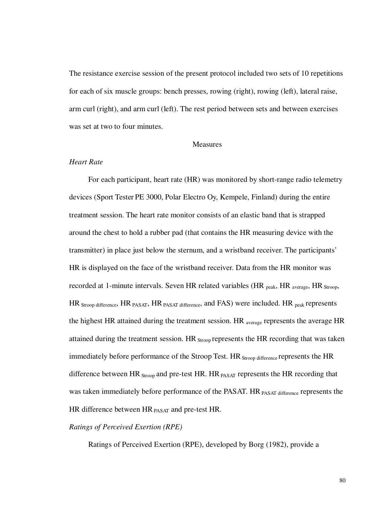The resistance exercise session of the present protocol included two sets of 10 repetitions for each of six muscle groups: bench presses, rowing (right), rowing (left), lateral raise, arm curl (right), and arm curl (left). The rest period between sets and between exercises was set at two to four minutes.

## Measures

#### *Heart Rate*

For each participant, heart rate (HR) was monitored by short-range radio telemetry devices (Sport Tester PE 3000, Polar Electro Oy, Kempele, Finland) during the entire treatment session. The heart rate monitor consists of an elastic band that is strapped around the chest to hold a rubber pad (that contains the HR measuring device with the transmitter) in place just below the sternum, and a wristband receiver. The participants' HR is displayed on the face of the wristband receiver. Data from the HR monitor was recorded at 1-minute intervals. Seven HR related variables (HR <sub>peak</sub>, HR <sub>average</sub>, HR <sub>Stroop</sub>, HR Stroop difference, HR PASAT, HR PASAT difference, and FAS) were included. HR peak represents the highest HR attained during the treatment session. HR average represents the average HR attained during the treatment session. HR Stroop represents the HR recording that was taken immediately before performance of the Stroop Test. HR Stroop difference represents the HR difference between HR  $_{Stroon}$  and pre-test HR. HR  $_{PASAT}$  represents the HR recording that was taken immediately before performance of the PASAT. HR PASAT difference represents the HR difference between HR **PASAT** and pre-test HR.

### *Ratings of Perceived Exertion (RPE)*

Ratings of Perceived Exertion (RPE), developed by Borg (1982), provide a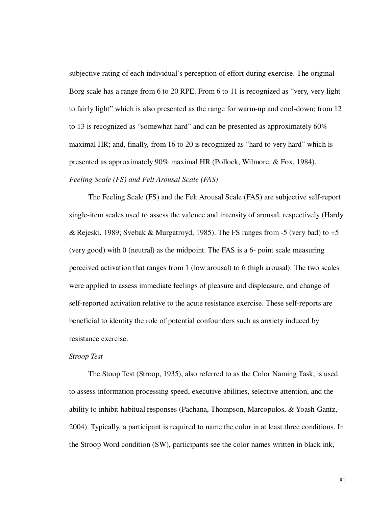subjective rating of each individual's perception of effort during exercise. The original Borg scale has a range from 6 to 20 RPE. From 6 to 11 is recognized as "very, very light to fairly light" which is also presented as the range for warm-up and cool-down; from 12 to 13 is recognized as "somewhat hard" and can be presented as approximately 60% maximal HR; and, finally, from 16 to 20 is recognized as "hard to very hard" which is presented as approximately 90% maximal HR (Pollock, Wilmore, & Fox, 1984). *Feeling Scale (FS) and Felt Arousal Scale (FAS)* 

The Feeling Scale (FS) and the Felt Arousal Scale (FAS) are subjective self-report single-item scales used to assess the valence and intensity of arousal, respectively (Hardy & Rejeski, 1989; Svebak & Murgatroyd, 1985). The FS ranges from -5 (very bad) to  $+5$ (very good) with 0 (neutral) as the midpoint. The FAS is a 6- point scale measuring perceived activation that ranges from 1 (low arousal) to 6 (high arousal). The two scales were applied to assess immediate feelings of pleasure and displeasure, and change of self-reported activation relative to the acute resistance exercise. These self-reports are beneficial to identity the role of potential confounders such as anxiety induced by resistance exercise.

#### *Stroop Test*

The Stoop Test (Stroop, 1935), also referred to as the Color Naming Task, is used to assess information processing speed, executive abilities, selective attention, and the ability to inhibit habitual responses (Pachana, Thompson, Marcopulos, & Yoash-Gantz, 2004). Typically, a participant is required to name the color in at least three conditions. In the Stroop Word condition (SW), participants see the color names written in black ink,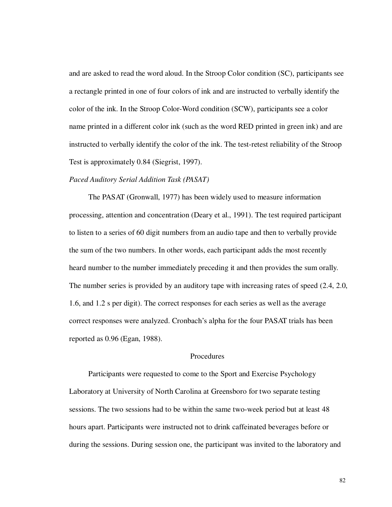and are asked to read the word aloud. In the Stroop Color condition (SC), participants see a rectangle printed in one of four colors of ink and are instructed to verbally identify the color of the ink. In the Stroop Color-Word condition (SCW), participants see a color name printed in a different color ink (such as the word RED printed in green ink) and are instructed to verbally identify the color of the ink. The test-retest reliability of the Stroop Test is approximately 0.84 (Siegrist, 1997).

## *Paced Auditory Serial Addition Task (PASAT)*

The PASAT (Gronwall, 1977) has been widely used to measure information processing, attention and concentration (Deary et al., 1991). The test required participant to listen to a series of 60 digit numbers from an audio tape and then to verbally provide the sum of the two numbers. In other words, each participant adds the most recently heard number to the number immediately preceding it and then provides the sum orally. The number series is provided by an auditory tape with increasing rates of speed (2.4, 2.0, 1.6, and 1.2 s per digit). The correct responses for each series as well as the average correct responses were analyzed. Cronbach's alpha for the four PASAT trials has been reported as 0.96 (Egan, 1988).

# Procedures

Participants were requested to come to the Sport and Exercise Psychology Laboratory at University of North Carolina at Greensboro for two separate testing sessions. The two sessions had to be within the same two-week period but at least 48 hours apart. Participants were instructed not to drink caffeinated beverages before or during the sessions. During session one, the participant was invited to the laboratory and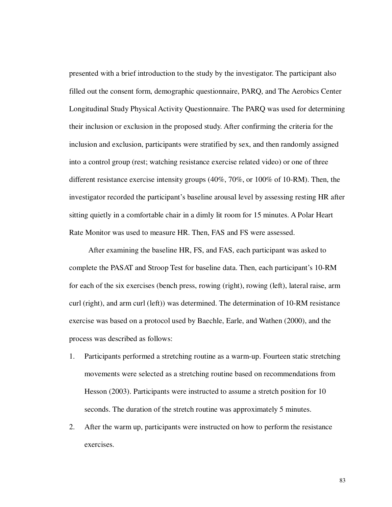presented with a brief introduction to the study by the investigator. The participant also filled out the consent form, demographic questionnaire, PARQ, and The Aerobics Center Longitudinal Study Physical Activity Questionnaire. The PARQ was used for determining their inclusion or exclusion in the proposed study. After confirming the criteria for the inclusion and exclusion, participants were stratified by sex, and then randomly assigned into a control group (rest; watching resistance exercise related video) or one of three different resistance exercise intensity groups (40%, 70%, or 100% of 10-RM). Then, the investigator recorded the participant's baseline arousal level by assessing resting HR after sitting quietly in a comfortable chair in a dimly lit room for 15 minutes. A Polar Heart Rate Monitor was used to measure HR. Then, FAS and FS were assessed.

After examining the baseline HR, FS, and FAS, each participant was asked to complete the PASAT and Stroop Test for baseline data. Then, each participant's 10-RM for each of the six exercises (bench press, rowing (right), rowing (left), lateral raise, arm curl (right), and arm curl (left)) was determined. The determination of 10-RM resistance exercise was based on a protocol used by Baechle, Earle, and Wathen (2000), and the process was described as follows:

- 1. Participants performed a stretching routine as a warm-up. Fourteen static stretching movements were selected as a stretching routine based on recommendations from Hesson (2003). Participants were instructed to assume a stretch position for 10 seconds. The duration of the stretch routine was approximately 5 minutes.
- 2. After the warm up, participants were instructed on how to perform the resistance exercises.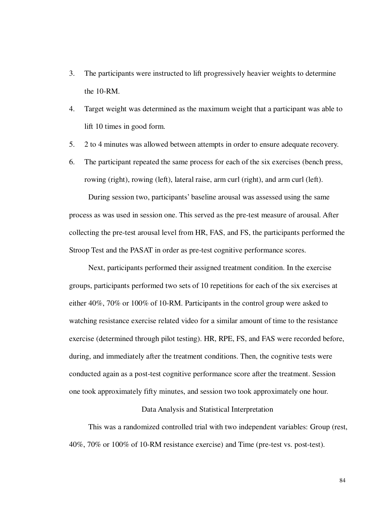- 3. The participants were instructed to lift progressively heavier weights to determine the 10-RM.
- 4. Target weight was determined as the maximum weight that a participant was able to lift 10 times in good form.
- 5. 2 to 4 minutes was allowed between attempts in order to ensure adequate recovery.
- 6. The participant repeated the same process for each of the six exercises (bench press, rowing (right), rowing (left), lateral raise, arm curl (right), and arm curl (left).

During session two, participants' baseline arousal was assessed using the same process as was used in session one. This served as the pre-test measure of arousal. After collecting the pre-test arousal level from HR, FAS, and FS, the participants performed the Stroop Test and the PASAT in order as pre-test cognitive performance scores.

Next, participants performed their assigned treatment condition. In the exercise groups, participants performed two sets of 10 repetitions for each of the six exercises at either 40%, 70% or 100% of 10-RM. Participants in the control group were asked to watching resistance exercise related video for a similar amount of time to the resistance exercise (determined through pilot testing). HR, RPE, FS, and FAS were recorded before, during, and immediately after the treatment conditions. Then, the cognitive tests were conducted again as a post-test cognitive performance score after the treatment. Session one took approximately fifty minutes, and session two took approximately one hour.

# Data Analysis and Statistical Interpretation

This was a randomized controlled trial with two independent variables: Group (rest, 40%, 70% or 100% of 10-RM resistance exercise) and Time (pre-test vs. post-test).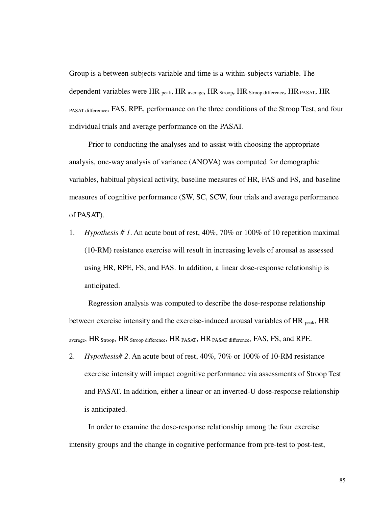Group is a between-subjects variable and time is a within-subjects variable. The dependent variables were HR <sub>peak</sub>, HR <sub>average</sub>, HR <sub>Stroop</sub>, HR <sub>Stroop</sub> difference, HR <sub>PASAT</sub>, HR PASAT differemce, FAS, RPE, performance on the three conditions of the Stroop Test, and four individual trials and average performance on the PASAT.

Prior to conducting the analyses and to assist with choosing the appropriate analysis, one-way analysis of variance (ANOVA) was computed for demographic variables, habitual physical activity, baseline measures of HR, FAS and FS, and baseline measures of cognitive performance (SW, SC, SCW, four trials and average performance of PASAT).

1. *Hypothesis # 1*. An acute bout of rest, 40%, 70% or 100% of 10 repetition maximal (10-RM) resistance exercise will result in increasing levels of arousal as assessed using HR, RPE, FS, and FAS. In addition, a linear dose-response relationship is anticipated.

Regression analysis was computed to describe the dose-response relationship between exercise intensity and the exercise-induced arousal variables of HR <sub>peak</sub>, HR average,  $HR_{Stroon}$ ,  $HR_{Stroon}$  difference,  $HR_{PASAT}$ ,  $HR_{PASAT}$  difference,  $FAS$ ,  $FS$ , and  $RPE$ .

2. *Hypothesis# 2*. An acute bout of rest, 40%, 70% or 100% of 10-RM resistance exercise intensity will impact cognitive performance via assessments of Stroop Test and PASAT. In addition, either a linear or an inverted-U dose-response relationship is anticipated.

In order to examine the dose-response relationship among the four exercise intensity groups and the change in cognitive performance from pre-test to post-test,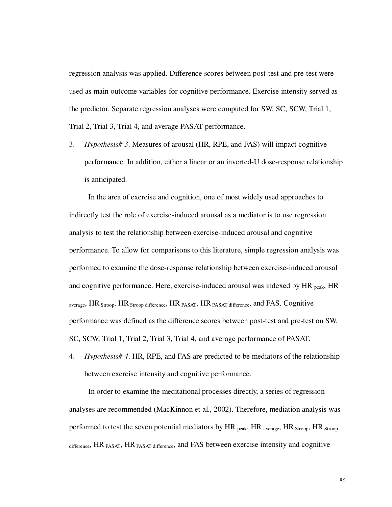regression analysis was applied. Difference scores between post-test and pre-test were used as main outcome variables for cognitive performance. Exercise intensity served as the predictor. Separate regression analyses were computed for SW, SC, SCW, Trial 1, Trial 2, Trial 3, Trial 4, and average PASAT performance.

3. *Hypothesis# 3*. Measures of arousal (HR, RPE, and FAS) will impact cognitive performance. In addition, either a linear or an inverted-U dose-response relationship is anticipated.

In the area of exercise and cognition, one of most widely used approaches to indirectly test the role of exercise-induced arousal as a mediator is to use regression analysis to test the relationship between exercise-induced arousal and cognitive performance. To allow for comparisons to this literature, simple regression analysis was performed to examine the dose-response relationship between exercise-induced arousal and cognitive performance. Here, exercise-induced arousal was indexed by  $HR_{peak}$ ,  $HR$ average, HR Stroop, HR Stroop difference, HR PASAT, HR PASAT difference, and FAS. Cognitive performance was defined as the difference scores between post-test and pre-test on SW, SC, SCW, Trial 1, Trial 2, Trial 3, Trial 4, and average performance of PASAT.

4. *Hypothesis# 4*. HR, RPE, and FAS are predicted to be mediators of the relationship between exercise intensity and cognitive performance.

In order to examine the meditational processes directly, a series of regression analyses are recommended (MacKinnon et al., 2002). Therefore, mediation analysis was performed to test the seven potential mediators by  $HR_{peak}$ ,  $HR_{average}$ ,  $HR_{Strong}$ ,  $HR_{Strong}$ difference, HR PASAT, HR PASAT difference, and FAS between exercise intensity and cognitive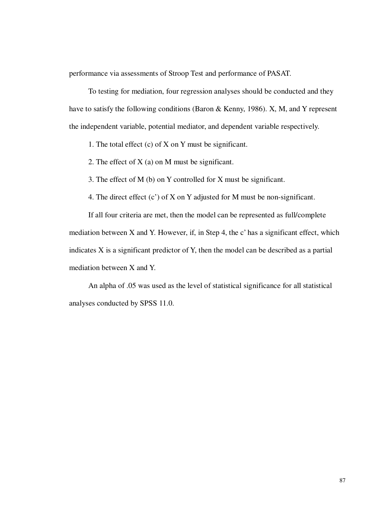performance via assessments of Stroop Test and performance of PASAT.

To testing for mediation, four regression analyses should be conducted and they have to satisfy the following conditions (Baron & Kenny, 1986). X, M, and Y represent the independent variable, potential mediator, and dependent variable respectively.

1. The total effect (c) of X on Y must be significant.

2. The effect of X (a) on M must be significant.

3. The effect of M (b) on Y controlled for X must be significant.

4. The direct effect (c') of X on Y adjusted for M must be non-significant.

If all four criteria are met, then the model can be represented as full/complete mediation between X and Y. However, if, in Step 4, the c' has a significant effect, which indicates X is a significant predictor of Y, then the model can be described as a partial mediation between X and Y.

An alpha of .05 was used as the level of statistical significance for all statistical analyses conducted by SPSS 11.0.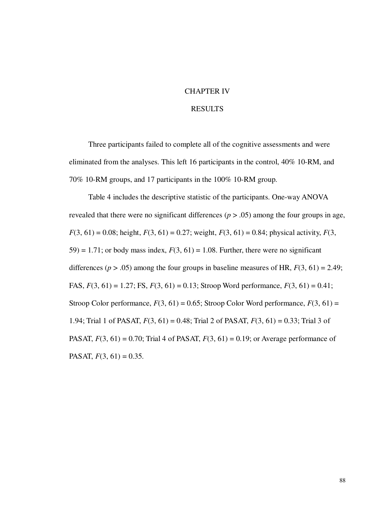#### CHAPTER IV

### **RESULTS**

Three participants failed to complete all of the cognitive assessments and were eliminated from the analyses. This left 16 participants in the control, 40% 10-RM, and 70% 10-RM groups, and 17 participants in the 100% 10-RM group.

Table 4 includes the descriptive statistic of the participants. One-way ANOVA revealed that there were no significant differences  $(p > .05)$  among the four groups in age,  $F(3, 61) = 0.08$ ; height,  $F(3, 61) = 0.27$ ; weight,  $F(3, 61) = 0.84$ ; physical activity,  $F(3, 61) = 0.64$ 59) = 1.71; or body mass index,  $F(3, 61) = 1.08$ . Further, there were no significant differences ( $p > .05$ ) among the four groups in baseline measures of HR,  $F(3, 61) = 2.49$ ; FAS, *F*(3, 61) = 1.27; FS, *F*(3, 61) = 0.13; Stroop Word performance, *F*(3, 61) = 0.41; Stroop Color performance,  $F(3, 61) = 0.65$ ; Stroop Color Word performance,  $F(3, 61) =$ 1.94; Trial 1 of PASAT, *F*(3, 61) = 0.48; Trial 2 of PASAT, *F*(3, 61) = 0.33; Trial 3 of PASAT,  $F(3, 61) = 0.70$ ; Trial 4 of PASAT,  $F(3, 61) = 0.19$ ; or Average performance of PASAT,  $F(3, 61) = 0.35$ .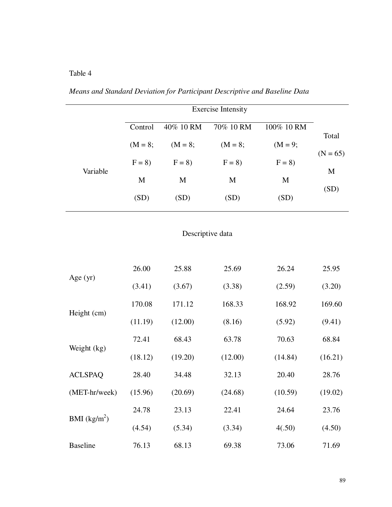# Table 4

|                  |                             |           | <b>Exercise Intensity</b> |             |            |  |  |  |  |
|------------------|-----------------------------|-----------|---------------------------|-------------|------------|--|--|--|--|
|                  | Control                     | 40% 10 RM | 70% 10 RM                 | 100% 10 RM  |            |  |  |  |  |
|                  | $(M = 8;$                   | $(M = 8;$ | $(M = 8;$                 | $(M = 9;$   | Total      |  |  |  |  |
| Variable         | $F = 8$<br>$F = 8$          |           | $F = 8$                   | $F = 8$     | $(N = 65)$ |  |  |  |  |
|                  | $\mathbf M$<br>$\mathbf{M}$ |           | $\mathbf M$               | $\mathbf M$ | M          |  |  |  |  |
|                  | (SD)                        | (SD)      | (SD)                      | (SD)        | (SD)       |  |  |  |  |
| Descriptive data |                             |           |                           |             |            |  |  |  |  |
|                  |                             |           |                           |             |            |  |  |  |  |
| Age $(yr)$       | 26.00                       | 25.88     | 25.69                     | 26.24       | 25.95      |  |  |  |  |
|                  | (3.41)                      | (3.67)    | (3.38)                    | (2.59)      | (3.20)     |  |  |  |  |
|                  | 170.08                      | 171.12    | 168.33                    | 168.92      | 169.60     |  |  |  |  |
| Height (cm)      | (11.19)                     | (12.00)   | (8.16)                    | (5.92)      | (9.41)     |  |  |  |  |
|                  | 72.41                       | 68.43     | 63.78                     | 70.63       | 68.84      |  |  |  |  |
| Weight (kg)      | (18.12)                     | (19.20)   | (12.00)                   | (14.84)     | (16.21)    |  |  |  |  |
| <b>ACLSPAQ</b>   | 28.40                       | 34.48     | 32.13                     | 20.40       | 28.76      |  |  |  |  |
| (MET-hr/week)    | (15.96)                     | (20.69)   | (24.68)                   | (10.59)     | (19.02)    |  |  |  |  |
|                  | 24.78                       | 23.13     | 22.41                     | 24.64       | 23.76      |  |  |  |  |
| BMI $(kg/m^2)$   | (4.54)                      | (5.34)    | (3.34)                    | 4(.50)      | (4.50)     |  |  |  |  |
| <b>Baseline</b>  | 76.13                       | 68.13     | 69.38                     | 73.06       | 71.69      |  |  |  |  |

# *Means and Standard Deviation for Participant Descriptive and Baseline Data*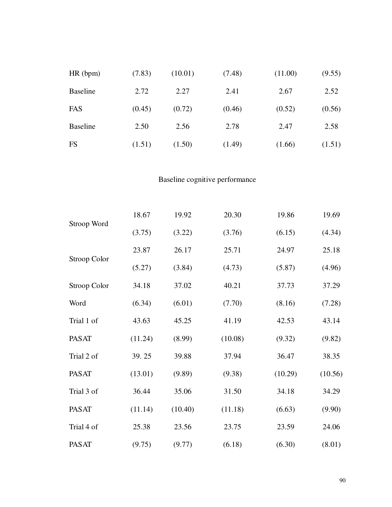| HR(bpm)         | (7.83) | (10.01) | (7.48) | (11.00) | (9.55) |
|-----------------|--------|---------|--------|---------|--------|
| <b>Baseline</b> | 2.72   | 2.27    | 2.41   | 2.67    | 2.52   |
| FAS             | (0.45) | (0.72)  | (0.46) | (0.52)  | (0.56) |
| <b>Baseline</b> | 2.50   | 2.56    | 2.78   | 2.47    | 2.58   |
| <b>FS</b>       | (1.51) | (1.50)  | (1.49) | (1.66)  | (1.51) |

# Baseline cognitive performance

|                     | 18.67   | 19.92   | 20.30   | 19.86   | 19.69   |
|---------------------|---------|---------|---------|---------|---------|
| Stroop Word         | (3.75)  | (3.22)  | (3.76)  | (6.15)  | (4.34)  |
| <b>Stroop Color</b> | 23.87   | 26.17   | 25.71   | 24.97   | 25.18   |
|                     | (5.27)  | (3.84)  | (4.73)  | (5.87)  | (4.96)  |
| <b>Stroop Color</b> | 34.18   | 37.02   | 40.21   | 37.73   | 37.29   |
| Word                | (6.34)  | (6.01)  | (7.70)  | (8.16)  | (7.28)  |
| Trial 1 of          | 43.63   | 45.25   | 41.19   | 42.53   | 43.14   |
| <b>PASAT</b>        | (11.24) | (8.99)  | (10.08) | (9.32)  | (9.82)  |
| Trial 2 of          | 39.25   | 39.88   | 37.94   | 36.47   | 38.35   |
| <b>PASAT</b>        | (13.01) | (9.89)  | (9.38)  | (10.29) | (10.56) |
| Trial 3 of          | 36.44   | 35.06   | 31.50   | 34.18   | 34.29   |
| <b>PASAT</b>        | (11.14) | (10.40) | (11.18) | (6.63)  | (9.90)  |
| Trial 4 of          | 25.38   | 23.56   | 23.75   | 23.59   | 24.06   |
| <b>PASAT</b>        | (9.75)  | (9.77)  | (6.18)  | (6.30)  | (8.01)  |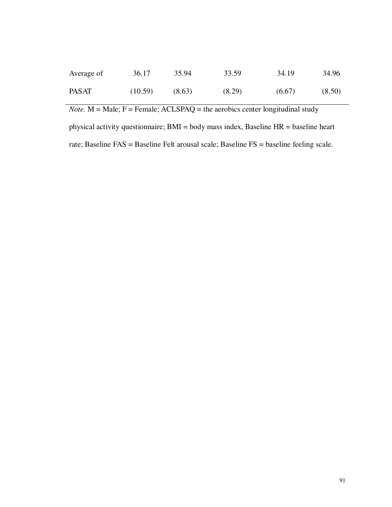| Average of   | 36.17   | 35.94  | 33.59  | 34.19  | 34.96  |
|--------------|---------|--------|--------|--------|--------|
| <b>PASAT</b> | (10.59) | (8.63) | (8.29) | (6.67) | (8.50) |

*Note.*  $M = Male$ ;  $F = Female$ ;  $ACLSPAQ = the acrobics center longitudinal study$ 

physical activity questionnaire; BMI = body mass index, Baseline HR = baseline heart rate; Baseline FAS = Baseline Felt arousal scale; Baseline FS = baseline feeling scale.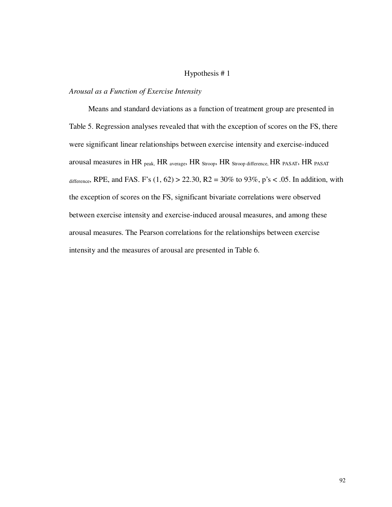# Hypothesis # 1

#### *Arousal as a Function of Exercise Intensity*

Means and standard deviations as a function of treatment group are presented in Table 5. Regression analyses revealed that with the exception of scores on the FS, there were significant linear relationships between exercise intensity and exercise-induced arousal measures in HR peak, HR average, HR Stroop, HR Stroop difference, HR PASAT, HR PASAT difference, RPE, and FAS. F's  $(1, 62) > 22.30$ , R2 = 30% to 93%, p's < .05. In addition, with the exception of scores on the FS, significant bivariate correlations were observed between exercise intensity and exercise-induced arousal measures, and among these arousal measures. The Pearson correlations for the relationships between exercise intensity and the measures of arousal are presented in Table 6.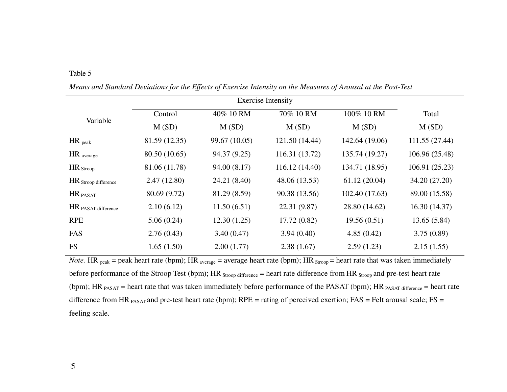| abie |  |
|------|--|

| Variable             | Control       | 40% 10 RM     | 70% 10 RM      | 100% 10 RM     | Total          |
|----------------------|---------------|---------------|----------------|----------------|----------------|
|                      | M(SD)         | M(SD)         | M(SD)          | M(SD)          | M(SD)          |
| $HR$ <sub>peak</sub> | 81.59 (12.35) | 99.67 (10.05) | 121.50 (14.44) | 142.64 (19.06) | 111.55 (27.44) |
| HR average           | 80.50 (10.65) | 94.37 (9.25)  | 116.31 (13.72) | 135.74 (19.27) | 106.96 (25.48) |
| $HR_{\text{Stroop}}$ | 81.06 (11.78) | 94.00 (8.17)  | 116.12 (14.40) | 134.71 (18.95) | 106.91 (25.23) |
| HR Stroop difference | 2.47(12.80)   | 24.21 (8.40)  | 48.06 (13.53)  | 61.12(20.04)   | 34.20 (27.20)  |
| HR <sub>PASAT</sub>  | 80.69 (9.72)  | 81.29 (8.59)  | 90.38 (13.56)  | 102.40 (17.63) | 89.00 (15.58)  |
| HR PASAT difference  | 2.10(6.12)    | 11.50(6.51)   | 22.31 (9.87)   | 28.80 (14.62)  | 16.30(14.37)   |
| <b>RPE</b>           | 5.06(0.24)    | 12.30(1.25)   | 17.72(0.82)    | 19.56(0.51)    | 13.65(5.84)    |
| FAS                  | 2.76(0.43)    | 3.40(0.47)    | 3.94(0.40)     | 4.85(0.42)     | 3.75(0.89)     |
| <b>FS</b>            | 1.65(1.50)    | 2.00(1.77)    | 2.38(1.67)     | 2.59(1.23)     | 2.15(1.55)     |

*Means and Standard Deviations for the Effects of Exercise Intensity on the Measures of Arousal at the Post-Test* 

*Note.* HR  $_{peak}$  = peak heart rate (bpm); HR  $_{average}$  = average heart rate (bpm); HR  $_{Stroop}$  = heart rate that was taken immediately before performance of the Stroop Test (bpm); HR Stroop difference = heart rate difference from HR Stroop and pre-test heart rate (bpm); HR  $_{PASAT}$  = heart rate that was taken immediately before performance of the PASAT (bpm); HR  $_{PASAT$  difference = heart rate difference from HR  $_{PASAT}$  and pre-test heart rate (bpm); RPE = rating of perceived exertion; FAS = Felt arousal scale; FS = feeling scale.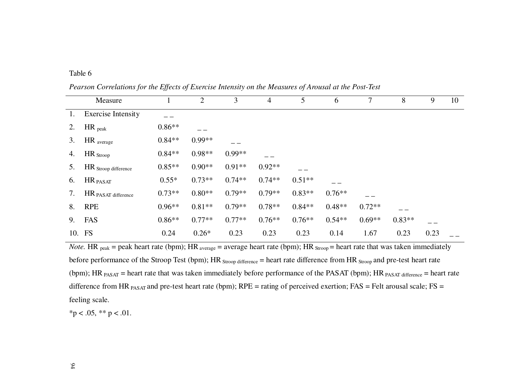# Table 6

*Pearson Correlations for the Effects of Exercise Intensity on the Measures of Arousal at the Post-Test* 

|    | Measure                   |          | $\overline{2}$ | 3        | 4        | 5        | 6        | 7        | 8        | 9    | 10 |
|----|---------------------------|----------|----------------|----------|----------|----------|----------|----------|----------|------|----|
| 1. | <b>Exercise Intensity</b> |          |                |          |          |          |          |          |          |      |    |
| 2. | $HR$ <sub>peak</sub>      | $0.86**$ |                |          |          |          |          |          |          |      |    |
| 3. | $HR$ average              | $0.84**$ | $0.99**$       |          |          |          |          |          |          |      |    |
| 4. | $HR_{\text{Stroop}}$      | $0.84**$ | $0.98**$       | $0.99**$ |          |          |          |          |          |      |    |
| 5. | HR Stroop difference      | $0.85**$ | $0.90**$       | $0.91**$ | $0.92**$ |          |          |          |          |      |    |
| 6. | HR PASAT                  | $0.55*$  | $0.73**$       | $0.74**$ | $0.74**$ | $0.51**$ |          |          |          |      |    |
| 7. | HR PASAT difference       | $0.73**$ | $0.80**$       | $0.79**$ | $0.79**$ | $0.83**$ | $0.76**$ |          |          |      |    |
| 8. | <b>RPE</b>                | $0.96**$ | $0.81**$       | $0.79**$ | $0.78**$ | $0.84**$ | $0.48**$ | $0.72**$ |          |      |    |
| 9. | FAS                       | $0.86**$ | $0.77**$       | $0.77**$ | $0.76**$ | $0.76**$ | $0.54**$ | $0.69**$ | $0.83**$ |      |    |
|    | 10. FS                    | 0.24     | $0.26*$        | 0.23     | 0.23     | 0.23     | 0.14     | 1.67     | 0.23     | 0.23 |    |

*Note*. HR <sub>peak</sub> = peak heart rate (bpm); HR  $_{\text{average}}$  = average heart rate (bpm); HR  $_{\text{Strong}}$  = heart rate that was taken immediately before performance of the Stroop Test (bpm); HR  $_{\text{Stroop}}$  difference = heart rate difference from HR  $_{\text{Stroop}}$  and pre-test heart rate (bpm); HR  $_{PASAT}$  = heart rate that was taken immediately before performance of the PASAT (bpm); HR  $_{PASAT$  difference = heart rate difference from HR  $_{PASAT}$  and pre-test heart rate (bpm);  $RPE =$  rating of perceived exertion;  $FAS =$  Felt arousal scale;  $FS =$ feeling scale.

 $*<sub>p</sub> < .05, ** p < .01.$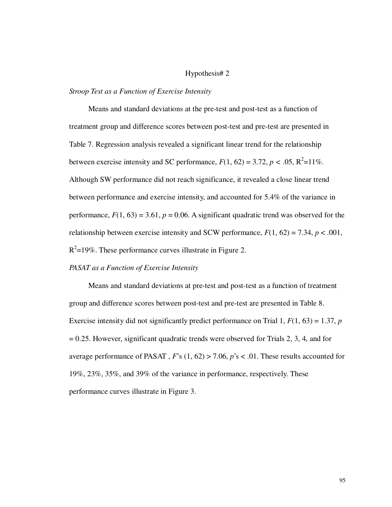## Hypothesis# 2

## *Stroop Test as a Function of Exercise Intensity*

Means and standard deviations at the pre-test and post-test as a function of treatment group and difference scores between post-test and pre-test are presented in Table 7. Regression analysis revealed a significant linear trend for the relationship between exercise intensity and SC performance,  $F(1, 62) = 3.72$ ,  $p < .05$ ,  $R^2 = 11\%$ . Although SW performance did not reach significance, it revealed a close linear trend between performance and exercise intensity, and accounted for 5.4% of the variance in performance,  $F(1, 63) = 3.61$ ,  $p = 0.06$ . A significant quadratic trend was observed for the relationship between exercise intensity and SCW performance,  $F(1, 62) = 7.34$ ,  $p < .001$ ,  $R^2$ =19%. These performance curves illustrate in Figure 2.

# *PASAT as a Function of Exercise Intensity*

Means and standard deviations at pre-test and post-test as a function of treatment group and difference scores between post-test and pre-test are presented in Table 8. Exercise intensity did not significantly predict performance on Trial 1, *F*(1, 63) = 1.37, *p*  $= 0.25$ . However, significant quadratic trends were observed for Trials 2, 3, 4, and for average performance of PASAT , *F*'s (1, 62) > 7.06, *p*'s < .01. These results accounted for 19%, 23%, 35%, and 39% of the variance in performance, respectively. These performance curves illustrate in Figure 3.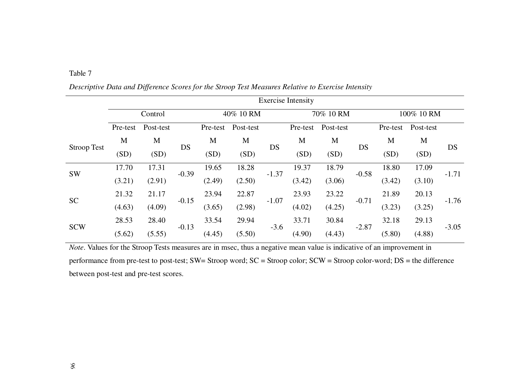| anie |  |
|------|--|

|                    | <b>Exercise Intensity</b> |           |         |           |           |         |           |           |         |            |           |         |
|--------------------|---------------------------|-----------|---------|-----------|-----------|---------|-----------|-----------|---------|------------|-----------|---------|
|                    |                           | Control   |         | 40% 10 RM |           |         | 70% 10 RM |           |         | 100% 10 RM |           |         |
|                    | Pre-test                  | Post-test |         | Pre-test  | Post-test |         | Pre-test  | Post-test |         | Pre-test   | Post-test |         |
|                    | M                         | M         |         | M         | M         | DS      | M         | M         | DS      | M          | M         | DS      |
| <b>Stroop Test</b> | (SD)                      | (SD)      | DS      | (SD)      | (SD)      |         | (SD)      | (SD)      |         | (SD)       | (SD)      |         |
| <b>SW</b>          | 17.70                     | 17.31     | $-0.39$ | 19.65     | 18.28     | $-1.37$ | 19.37     | 18.79     | $-0.58$ | 18.80      | 17.09     | $-1.71$ |
|                    | (3.21)                    | (2.91)    |         | (2.49)    | (2.50)    |         | (3.42)    | (3.06)    |         | (3.42)     | (3.10)    |         |
|                    | 21.32                     | 21.17     |         | 23.94     | 22.87     |         | 23.93     | 23.22     |         | 21.89      | 20.13     | $-1.76$ |
| <b>SC</b>          | (4.63)                    | (4.09)    | $-0.15$ | (3.65)    | (2.98)    | $-1.07$ | (4.02)    | (4.25)    | $-0.71$ | (3.23)     | (3.25)    |         |
|                    | 28.53                     | 28.40     |         | 33.54     | 29.94     |         | 33.71     | 30.84     |         | 32.18      | 29.13     |         |
| <b>SCW</b>         | (5.62)                    | (5.55)    | $-0.13$ | (4.45)    | (5.50)    | $-3.6$  | (4.90)    | (4.43)    | $-2.87$ | (5.80)     | (4.88)    | $-3.05$ |

*Descriptive Data and Difference Scores for the Stroop Test Measures Relative to Exercise Intensity* 

*Note*. Values for the Stroop Tests measures are in msec, thus a negative mean value is indicative of an improvement in performance from pre-test to post-test; SW= Stroop word; SC = Stroop color; SCW = Stroop color-word; DS = the difference between post-test and pre-test scores.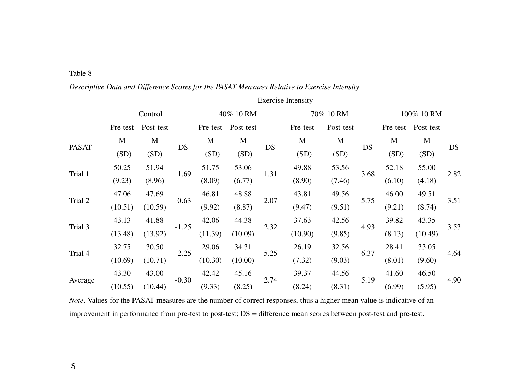| able |  |
|------|--|
|------|--|

Exercise Intensity Control 40% 10 RM 70% 10 RM 100% 10 RM Pre-test Post-test Post-test Pre-test Post-test Pre-test Post-test Pre-test Post-test PASAT M (SD) M  $(SD)$ DS M (SD) M  $(SD)$ DS M  $(SD)$ M  $(SD)$ DS M  $(SD)$ M  $(SD)$ DSTrial 1 50.25 (9.23) 51.94 (8.96) 1.69 51.75 (8.09) 53.06 (6.77) 1.31 49.88 (8.90) 53.56 (7.46) 3.68 52.18 (6.10) 55.00 (4.18) 2.82 Trial 2 47.06 (10.51)47.69 (10.59) 0.63 46.81 (9.92) 48.88 (8.87) 2.07 43.81 (9.47) 49.56 (9.51) 5.75 46.00 (9.21) 49.51 (8.74) 3.51 Trial 3 43.13 (13.48)41.88  $(13.92)$   $-1.25$ 42.06 (11.39)44.38 (10.09) 2.32 37.63 (10.90) 42.56 (9.85) 4.93 39.82 (8.13) 43.35 (10.49) 3.53 Trial 4 32.75 (10.69)30.50  $(10.71)$   $-2.25$ 29.06 (10.30)34.31 (10.00) 5.25 26.19 (7.32) 32.56 (9.03) 6.37 28.41 (8.01) 33.05 (9.60) 4.64 Average 43.30 (10.55)43.00  $(10.44)$   $-0.30$ 42.42 (9.33) 45.16 (8.25) 2.74 39.37 (8.24) 44.56 (8.31) 5.19 41.60 (6.99) 46.50 (5.95) 4.90

*Descriptive Data and Difference Scores for the PASAT Measures Relative to Exercise Intensity* 

*Note*. Values for the PASAT measures are the number of correct responses, thus a higher mean value is indicative of an improvement in performance from pre-test to post-test; DS = difference mean scores between post-test and pre-test.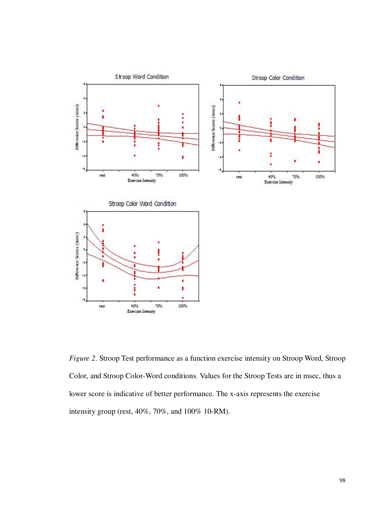

*Figure 2*. Stroop Test performance as a function exercise intensity on Stroop Word, Stroop Color, and Stroop Color-Word conditions. Values for the Stroop Tests are in msec, thus a lower score is indicative of better performance. The x-axis represents the exercise intensity group (rest, 40%, 70%, and 100% 10-RM).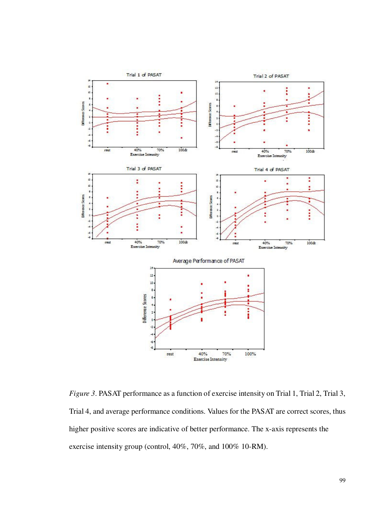

*Figure 3*. PASAT performance as a function of exercise intensity on Trial 1, Trial 2, Trial 3, Trial 4, and average performance conditions. Values for the PASAT are correct scores, thus higher positive scores are indicative of better performance. The x-axis represents the exercise intensity group (control, 40%, 70%, and 100% 10-RM).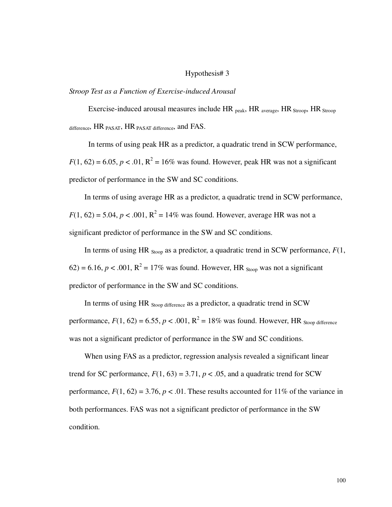### Hypothesis# 3

### *Stroop Test as a Function of Exercise-induced Arousal*

Exercise-induced arousal measures include  $HR_{peak}$ ,  $HR_{average}$ ,  $HR_{Stroop}$ ,  $HR_{Stroop}$ difference, HR PASAT, HR PASAT difference, and FAS.

In terms of using peak HR as a predictor, a quadratic trend in SCW performance,  $F(1, 62) = 6.05, p < .01, R^2 = 16\%$  was found. However, peak HR was not a significant predictor of performance in the SW and SC conditions.

In terms of using average HR as a predictor, a quadratic trend in SCW performance,  $F(1, 62) = 5.04, p < .001, R^2 = 14\%$  was found. However, average HR was not a significant predictor of performance in the SW and SC conditions.

In terms of using HR  $_{Stoon}$  as a predictor, a quadratic trend in SCW performance,  $F(1, 1)$  $62$ ) = 6.16,  $p < .001$ ,  $R^2 = 17\%$  was found. However, HR <sub>Stoop</sub> was not a significant predictor of performance in the SW and SC conditions.

In terms of using HR Stoop difference as a predictor, a quadratic trend in SCW performance,  $F(1, 62) = 6.55$ ,  $p < .001$ ,  $R^2 = 18\%$  was found. However, HR stoop difference was not a significant predictor of performance in the SW and SC conditions.

When using FAS as a predictor, regression analysis revealed a significant linear trend for SC performance,  $F(1, 63) = 3.71$ ,  $p < .05$ , and a quadratic trend for SCW performance,  $F(1, 62) = 3.76$ ,  $p < .01$ . These results accounted for 11% of the variance in both performances. FAS was not a significant predictor of performance in the SW condition.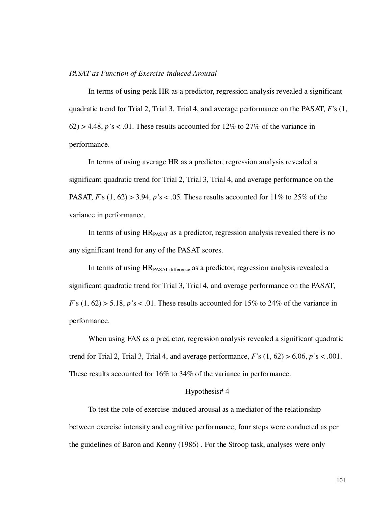### *PASAT as Function of Exercise-induced Arousal*

In terms of using peak HR as a predictor, regression analysis revealed a significant quadratic trend for Trial 2, Trial 3, Trial 4, and average performance on the PASAT, *F*'s (1,  $62$ ) > 4.48, *p*'s < .01. These results accounted for 12% to 27% of the variance in performance.

In terms of using average HR as a predictor, regression analysis revealed a significant quadratic trend for Trial 2, Trial 3, Trial 4, and average performance on the PASAT, *F*'s (1, 62) > 3.94, *p'*s < .05. These results accounted for 11% to 25% of the variance in performance.

In terms of using HRPASAT as a predictor, regression analysis revealed there is no any significant trend for any of the PASAT scores.

In terms of using HR<sub>PASAT difference</sub> as a predictor, regression analysis revealed a significant quadratic trend for Trial 3, Trial 4, and average performance on the PASAT,  $F$ 's (1, 62) > 5.18, *p*'s < .01. These results accounted for 15% to 24% of the variance in performance.

When using FAS as a predictor, regression analysis revealed a significant quadratic trend for Trial 2, Trial 3, Trial 4, and average performance,  $F$ 's  $(1, 62) > 6.06$ ,  $p$ 's < .001. These results accounted for 16% to 34% of the variance in performance.

### Hypothesis# 4

To test the role of exercise-induced arousal as a mediator of the relationship between exercise intensity and cognitive performance, four steps were conducted as per the guidelines of Baron and Kenny (1986) . For the Stroop task, analyses were only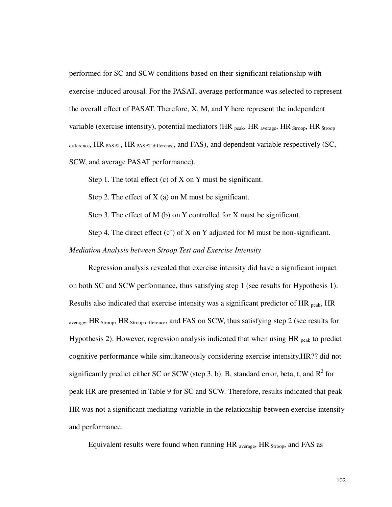performed for SC and SCW conditions based on their significant relationship with exercise-induced arousal. For the PASAT, average performance was selected to represent the overall effect of PASAT. Therefore, X, M, and Y here represent the independent variable (exercise intensity), potential mediators (HR  $_{peak}$ , HR  $_{average}$ , HR  $_{Strong}$ , HR  $_{Strong}$ , difference,  $HR$  PASAT,  $HR$  PASAT difference, and  $FAS$ ), and dependent variable respectively (SC, SCW, and average PASAT performance).

Step 1. The total effect (c) of X on Y must be significant.

Step 2. The effect of  $X$  (a) on M must be significant.

Step 3. The effect of M (b) on Y controlled for X must be significant.

Step 4. The direct effect  $(c')$  of X on Y adjusted for M must be non-significant.

*Mediation Analysis between Stroop Test and Exercise Intensity* 

Regression analysis revealed that exercise intensity did have a significant impact on both SC and SCW performance, thus satisfying step 1 (see results for Hypothesis 1). Results also indicated that exercise intensity was a significant predictor of HR peak, HR average, HR Stroop, HR Stroop difference, and FAS on SCW, thus satisfying step 2 (see results for Hypothesis 2). However, regression analysis indicated that when using  $HR_{peak}$  to predict cognitive performance while simultaneously considering exercise intensity,HR?? did not significantly predict either SC or SCW (step 3, b). B, standard error, beta, t, and  $R^2$  for peak HR are presented in Table 9 for SC and SCW. Therefore, results indicated that peak HR was not a significant mediating variable in the relationship between exercise intensity and performance.

Equivalent results were found when running  $HR$  average,  $HR$  Stroop, and FAS as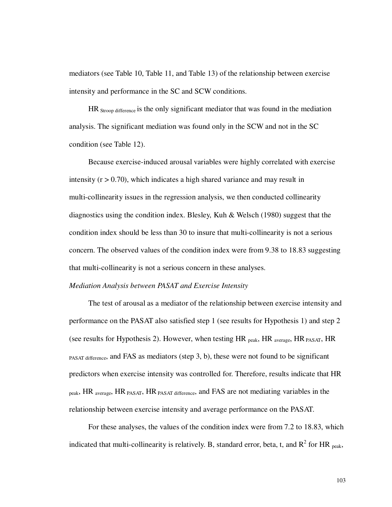mediators (see Table 10, Table 11, and Table 13) of the relationship between exercise intensity and performance in the SC and SCW conditions.

HR Stroop difference is the only significant mediator that was found in the mediation analysis. The significant mediation was found only in the SCW and not in the SC condition (see Table 12).

Because exercise-induced arousal variables were highly correlated with exercise intensity  $(r > 0.70)$ , which indicates a high shared variance and may result in multi-collinearity issues in the regression analysis, we then conducted collinearity diagnostics using the condition index. Blesley, Kuh & Welsch (1980) suggest that the condition index should be less than 30 to insure that multi-collinearity is not a serious concern. The observed values of the condition index were from 9.38 to 18.83 suggesting that multi-collinearity is not a serious concern in these analyses.

#### *Mediation Analysis between PASAT and Exercise Intensity*

The test of arousal as a mediator of the relationship between exercise intensity and performance on the PASAT also satisfied step 1 (see results for Hypothesis 1) and step 2 (see results for Hypothesis 2). However, when testing  $HR_{peak}$ , HR  $_{average}$ , HR  $_{PASAT}$ , HR PASAT difference, and FAS as mediators (step 3, b), these were not found to be significant predictors when exercise intensity was controlled for. Therefore, results indicate that HR peak, HR average, HR PASAT, HR PASAT difference, and FAS are not mediating variables in the relationship between exercise intensity and average performance on the PASAT.

For these analyses, the values of the condition index were from 7.2 to 18.83, which indicated that multi-collinearity is relatively. B, standard error, beta, t, and  $R^2$  for HR <sub>peak</sub>,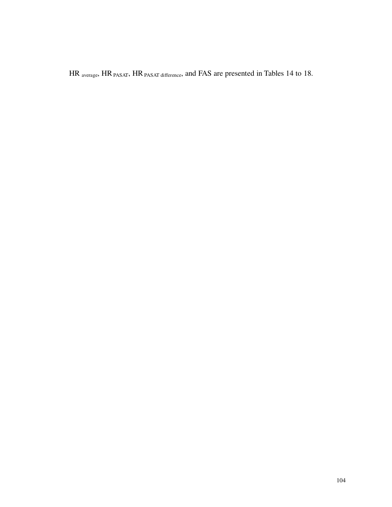HR average, HR PASAT, HR PASAT difference, and FAS are presented in Tables 14 to 18.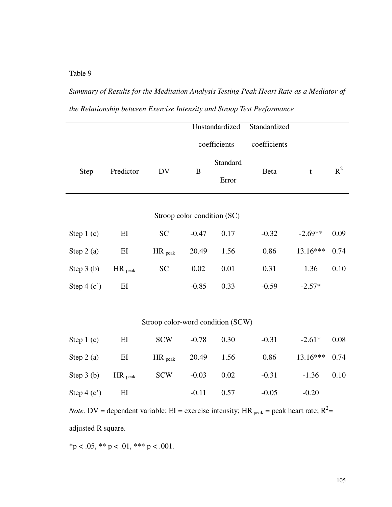# *Summary of Results for the Meditation Analysis Testing Peak Heart Rate as a Mediator of the Relationship between Exercise Intensity and Stroop Test Performance*

|                                      |                      |                                   |         | Unstandardized      | Standardized |                                  |           |
|--------------------------------------|----------------------|-----------------------------------|---------|---------------------|--------------|----------------------------------|-----------|
|                                      |                      |                                   |         | coefficients        | coefficients |                                  |           |
| Step                                 | Predictor            | DV                                | B       | Standard<br>Error   | Beta         | t                                | $R^2$     |
|                                      |                      | Stroop color condition (SC)       |         |                     |              |                                  |           |
| Step $1(c)$                          | EI                   | <b>SC</b>                         | $-0.47$ | 0.17                | $-0.32$      | $-2.69**$                        | 0.09      |
| Step $2(a)$                          | EI                   | $HR$ <sub>peak</sub>              | 20.49   | 1.56                | 0.86         | 13.16***                         | 0.74      |
| Step $3(b)$                          | $HR$ <sub>peak</sub> | <b>SC</b>                         | 0.02    | 0.01                | 0.31         | 1.36                             | 0.10      |
| Step $4(c')$                         | EI                   |                                   | $-0.85$ | 0.33                | $-0.59$      | $-2.57*$                         |           |
|                                      |                      | Stroop color-word condition (SCW) |         |                     |              |                                  |           |
| $\Omega_{\text{max}}$ 1 ( $\Delta$ ) | <b>DI</b>            | CCTI                              | 0.70    | $\bigcap$ $\bigcap$ | 0.21         | $\bigcap$ $\bigcap$ $\downarrow$ | $\cap$ 00 |

| Step 1 $(c)$   | EI | SCW                                   | $-0.78$ 0.30 |              | $-0.31$ | $-2.61*$ 0.08   |  |
|----------------|----|---------------------------------------|--------------|--------------|---------|-----------------|--|
| Step 2 (a) EI  |    | $HR_{peak}$ 20.49 1.56                |              |              | 0.86    | $13.16***$ 0.74 |  |
|                |    | Step 3 (b) $HR_{peak}$ SCW -0.03 0.02 |              |              | $-0.31$ | $-1.36$ 0.10    |  |
| Step 4 (c') EI |    |                                       |              | $-0.11$ 0.57 | $-0.05$ | $-0.20$         |  |

*Note.* DV = dependent variable; EI = exercise intensity; HR  $_{\text{peak}}$  = peak heart rate; R<sup>2</sup> =

adjusted R square.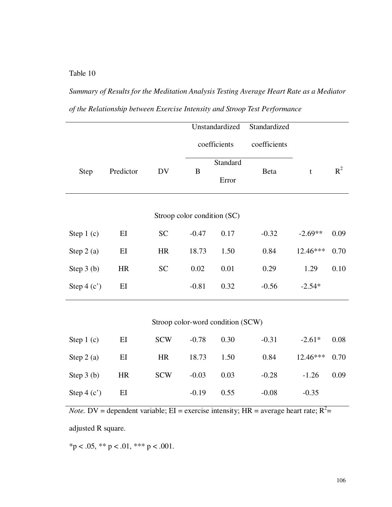*Summary of Results for the Meditation Analysis Testing Average Heart Rate as a Mediator of the Relationship between Exercise Intensity and Stroop Test Performance* 

|              |                   |            |                             | Unstandardized                    | Standardized |             |       |
|--------------|-------------------|------------|-----------------------------|-----------------------------------|--------------|-------------|-------|
|              |                   |            |                             | coefficients                      | coefficients |             |       |
| Step         | Predictor         | <b>DV</b>  | B                           | Standard                          | Beta         | $\mathbf t$ | $R^2$ |
|              |                   |            |                             | Error                             |              |             |       |
|              |                   |            | Stroop color condition (SC) |                                   |              |             |       |
| Step 1 (c)   | $E$ I             | <b>SC</b>  | $-0.47$                     | 0.17                              | $-0.32$      | $-2.69**$   | 0.09  |
| Step $2(a)$  | E                 | HR         | 18.73                       | 1.50                              | 0.84         | 12.46***    | 0.70  |
| Step $3(b)$  | <b>HR</b>         | <b>SC</b>  | 0.02                        | 0.01                              | 0.29         | 1.29        | 0.10  |
| Step $4(c')$ | EI                |            | $-0.81$                     | 0.32                              | $-0.56$      | $-2.54*$    |       |
|              |                   |            |                             |                                   |              |             |       |
|              |                   |            |                             | Stroop color-word condition (SCW) |              |             |       |
| Step $1(c)$  | $\mathop{\rm EI}$ | <b>SCW</b> | $-0.78$                     | 0.30                              | $-0.31$      | $-2.61*$    | 0.08  |
| Step $2(a)$  | EI                | HR         | 18.73                       | 1.50                              | 0.84         | 12.46***    | 0.70  |
| Step $3(b)$  | <b>HR</b>         | <b>SCW</b> | $-0.03$                     | 0.03                              | $-0.28$      | $-1.26$     | 0.09  |
| Step $4(c')$ | EI                |            | $-0.19$                     | 0.55                              | $-0.08$      | $-0.35$     |       |

*Note.* DV = dependent variable; EI = exercise intensity; HR = average heart rate;  $R^2$  =

adjusted R square.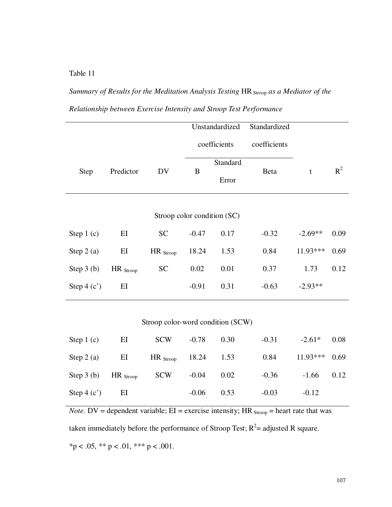*Summary of Results for the Meditation Analysis Testing HR Stroop as a Mediator of the Relationship between Exercise Intensity and Stroop Test Performance* 

|              |                      |                                   |         | Unstandardized              | Standardized |             |       |
|--------------|----------------------|-----------------------------------|---------|-----------------------------|--------------|-------------|-------|
|              |                      |                                   |         | coefficients                | coefficients |             |       |
| Step         | Predictor            | DV                                | B       | Standard<br>Error           | Beta         | $\mathbf t$ | $R^2$ |
|              |                      |                                   |         | Stroop color condition (SC) |              |             |       |
| Step $1(c)$  | EI                   | <b>SC</b>                         | $-0.47$ | 0.17                        | $-0.32$      | $-2.69**$   | 0.09  |
| Step $2(a)$  | EI                   | $HR_{\text{Stroop}}$              | 18.24   | 1.53                        | 0.84         | 11.93***    | 0.69  |
| Step $3(b)$  | $HR_{\text{Stroop}}$ | <b>SC</b>                         | 0.02    | 0.01                        | 0.37         | 1.73        | 0.12  |
| Step $4(c')$ | EI                   |                                   | $-0.91$ | 0.31                        | $-0.63$      | $-2.93**$   |       |
|              |                      | Stroop color-word condition (SCW) |         |                             |              |             |       |
| Step $1(c)$  | ЕI                   | <b>SCW</b>                        | $-0.78$ | 0.30                        | $-0.31$      | $-2.61*$    | 0.08  |

| Step $1(c)$                                    | EI | SCW -0.78            |              | 0.30 | $-0.31$ | $-2.61*$ 0.08   |  |
|------------------------------------------------|----|----------------------|--------------|------|---------|-----------------|--|
| Step 2 (a) EI HR $_{\text{Stroop}}$ 18.24 1.53 |    |                      |              |      | 0.84    | $11.93***$ 0.69 |  |
| Step 3 (b) $HR_{\text{Stoop}}$                 |    | $SCW$ $-0.04$ $0.02$ |              |      | $-0.36$ | $-1.66$ 0.12    |  |
| Step 4 (c') EI                                 |    |                      | $-0.06$ 0.53 |      | $-0.03$ | $-0.12$         |  |

*Note.* DV = dependent variable;  $EI$  = exercise intensity;  $HR_{\text{Stoop}}$  = heart rate that was taken immediately before the performance of Stroop Test;  $R^2$  = adjusted R square.  $*p < .05, ** p < .01, ** p < .001.$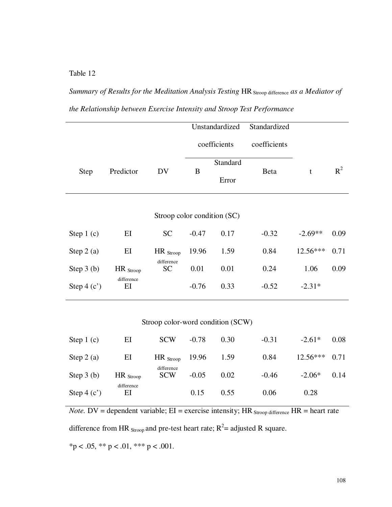*Summary of Results for the Meditation Analysis Testing HR* Stroop difference *as a Mediator of the Relationship between Exercise Intensity and Stroop Test Performance* 

|              |                             |                                   |              | Unstandardized | Standardized |            |       |  |  |  |  |
|--------------|-----------------------------|-----------------------------------|--------------|----------------|--------------|------------|-------|--|--|--|--|
|              |                             |                                   | coefficients |                | coefficients |            |       |  |  |  |  |
|              |                             |                                   | Standard     |                |              |            |       |  |  |  |  |
| Step         | Predictor                   | DV                                | B            | Error          | <b>Beta</b>  | t          | $R^2$ |  |  |  |  |
|              |                             |                                   |              |                |              |            |       |  |  |  |  |
|              | Stroop color condition (SC) |                                   |              |                |              |            |       |  |  |  |  |
| Step $1(c)$  | EI                          | <b>SC</b>                         | $-0.47$      | 0.17           | $-0.32$      | $-2.69**$  | 0.09  |  |  |  |  |
| Step $2(a)$  | EI                          | $HR$ Stroop                       | 19.96        | 1.59           | 0.84         | $12.56***$ | 0.71  |  |  |  |  |
| Step $3(b)$  | $HR_{\text{Stroop}}$        | difference<br><b>SC</b>           | 0.01         | 0.01           | 0.24         | 1.06       | 0.09  |  |  |  |  |
| Step $4(c')$ | difference<br>EI            |                                   | $-0.76$      | 0.33           | $-0.52$      | $-2.31*$   |       |  |  |  |  |
|              |                             |                                   |              |                |              |            |       |  |  |  |  |
|              |                             | Stroop color-word condition (SCW) |              |                |              |            |       |  |  |  |  |
| Step $1(c)$  | ΕI                          | <b>SCW</b>                        | $-0.78$      | 0.30           | $-0.31$      | $-2.61*$   | 0.08  |  |  |  |  |

| Step $2(a)$  | ЕI                   | HR $_{\text{Stroop}}$ 19.96 |         | 1.59 | 0.84    | $12.56***$ | 0.71 |
|--------------|----------------------|-----------------------------|---------|------|---------|------------|------|
| Step $3(b)$  | $HR_{\text{Stroop}}$ | difference<br><b>SCW</b>    | $-0.05$ | 0.02 | $-0.46$ | $-2.06*$   | 0.14 |
| Step $4(c')$ | difference<br>ЕI     |                             | 0.15    | 0.55 | 0.06    | 0.28       |      |

*Note.* DV = dependent variable;  $EI$  = exercise intensity;  $HR$  stroop difference  $HR$  = heart rate

difference from HR  $_{\text{Stoop}}$  and pre-test heart rate;  $R^2$  = adjusted R square.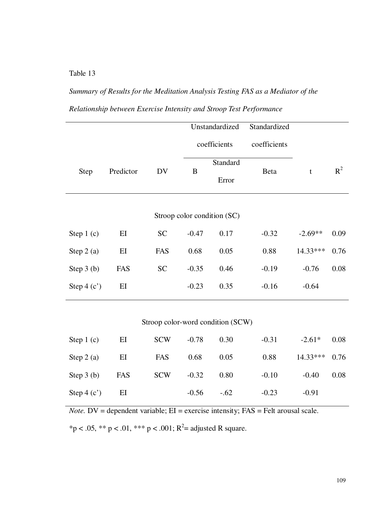## *Summary of Results for the Meditation Analysis Testing FAS as a Mediator of the Relationship between Exercise Intensity and Stroop Test Performance*

|              |           |                                   |              | Unstandardized              | Standardized |             |       |
|--------------|-----------|-----------------------------------|--------------|-----------------------------|--------------|-------------|-------|
|              |           |                                   | coefficients |                             | coefficients |             |       |
|              |           |                                   |              | Standard                    |              |             | $R^2$ |
| Step         | Predictor | DV                                | B            | Error                       | Beta         | $\mathbf t$ |       |
|              |           |                                   |              |                             |              |             |       |
|              |           |                                   |              | Stroop color condition (SC) |              |             |       |
| Step $1(c)$  | $E$ I     | <b>SC</b>                         | $-0.47$      | 0.17                        | $-0.32$      | $-2.69**$   | 0.09  |
| Step $2(a)$  | EI        | FAS                               | 0.68         | 0.05                        | 0.88         | 14.33***    | 0.76  |
| Step 3 (b)   | FAS       | <b>SC</b>                         | $-0.35$      | 0.46                        | $-0.19$      | $-0.76$     | 0.08  |
| Step $4(c')$ | EI        |                                   | $-0.23$      | 0.35                        | $-0.16$      | $-0.64$     |       |
|              |           |                                   |              |                             |              |             |       |
|              |           | Stroop color-word condition (SCW) |              |                             |              |             |       |
| Step $1(c)$  | $E$ I     | <b>SCW</b>                        | $-0.78$      | 0.30                        | $-0.31$      | $-2.61*$    | 0.08  |
| Step $2(a)$  | EI        | FAS                               | 0.68         | 0.05                        | 0.88         | 14.33***    | 0.76  |
| Step $3(b)$  | FAS       | <b>SCW</b>                        | $-0.32$      | 0.80                        | $-0.10$      | $-0.40$     | 0.08  |

*Note.* DV = dependent variable; EI = exercise intensity; FAS = Felt arousal scale.

Step 4 (c') EI -0.56 -.62 -0.23 -0.91

\*p < .05, \*\* p < .01, \*\*\* p < .001; R<sup>2</sup>= adjusted R square.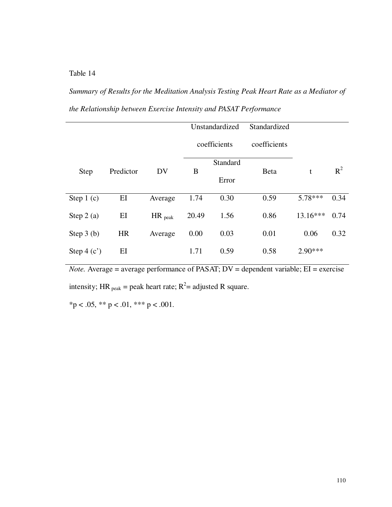*Summary of Results for the Meditation Analysis Testing Peak Heart Rate as a Mediator of the Relationship between Exercise Intensity and PASAT Performance* 

|              |           |                      |       | Unstandardized    | Standardized |            |       |
|--------------|-----------|----------------------|-------|-------------------|--------------|------------|-------|
|              |           |                      |       | coefficients      | coefficients |            |       |
| <b>Step</b>  | Predictor | DV                   | B     | Standard<br>Error | <b>Beta</b>  | t          | $R^2$ |
| Step $1(c)$  | EI        | Average              | 1.74  | 0.30              | 0.59         | $5.78***$  | 0.34  |
| Step $2(a)$  | EI        | $HR$ <sub>peak</sub> | 20.49 | 1.56              | 0.86         | $13.16***$ | 0.74  |
| Step $3(b)$  | <b>HR</b> | Average              | 0.00  | 0.03              | 0.01         | 0.06       | 0.32  |
| Step $4(c')$ | ΕI        |                      | 1.71  | 0.59              | 0.58         | $2.90***$  |       |

*Note.* Average = average performance of PASAT; DV = dependent variable; EI = exercise intensity; HR  $_{\text{peak}}$  = peak heart rate; R<sup>2</sup> = adjusted R square.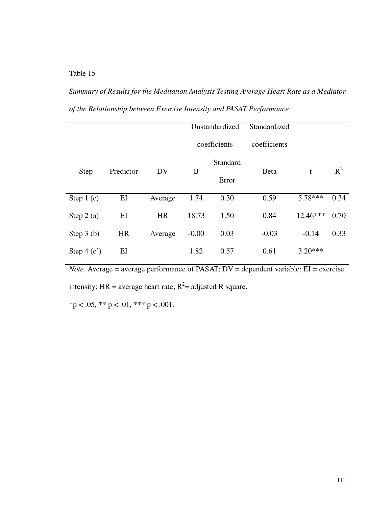*Summary of Results for the Meditation Analysis Testing Average Heart Rate as a Mediator of the Relationship between Exercise Intensity and PASAT Performance* 

|              |           |           |         | Unstandardized | Standardized |            |       |
|--------------|-----------|-----------|---------|----------------|--------------|------------|-------|
|              |           |           |         | coefficients   | coefficients |            |       |
|              |           |           |         | Standard       |              |            |       |
| <b>Step</b>  | Predictor | DV        | B       |                | <b>Beta</b>  | t          | $R^2$ |
|              |           |           |         | Error          |              |            |       |
| Step $1(c)$  | EI        | Average   | 1.74    | 0.30           | 0.59         | $5.78***$  | 0.34  |
| Step $2(a)$  | EI        | <b>HR</b> | 18.73   | 1.50           | 0.84         | $12.46***$ | 0.70  |
| Step $3(b)$  | <b>HR</b> | Average   | $-0.00$ | 0.03           | $-0.03$      | $-0.14$    | 0.33  |
| Step $4(c')$ | EI        |           | 1.82    | 0.57           | 0.61         | $3.20***$  |       |

*Note.* Average = average performance of PASAT; DV = dependent variable; EI = exercise intensity; HR = average heart rate;  $R^2$  = adjusted R square.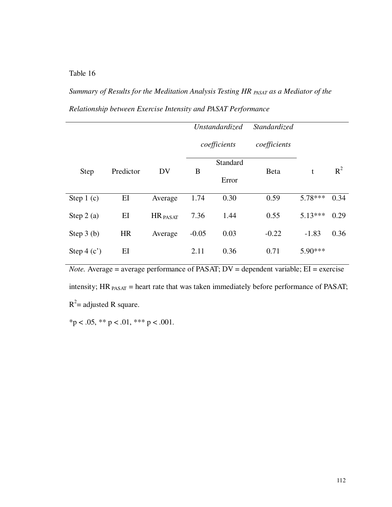*Summary of Results for the Meditation Analysis Testing HR PASAT as a Mediator of the Relationship between Exercise Intensity and PASAT Performance* 

|              |           |          |         | Unstandardized | <i>Standardized</i> |           |       |
|--------------|-----------|----------|---------|----------------|---------------------|-----------|-------|
|              |           |          |         | coefficients   | coefficients        |           |       |
| <b>Step</b>  | Predictor | DV       | B       | Standard       | <b>Beta</b>         | t         | $R^2$ |
|              |           |          |         | Error          |                     |           |       |
| Step $1(c)$  | EI        | Average  | 1.74    | 0.30           | 0.59                | $5.78***$ | 0.34  |
| Step $2(a)$  | EI        | HR PASAT | 7.36    | 1.44           | 0.55                | $5.13***$ | 0.29  |
| Step $3(b)$  | <b>HR</b> | Average  | $-0.05$ | 0.03           | $-0.22$             | $-1.83$   | 0.36  |
| Step $4(c')$ | EI        |          | 2.11    | 0.36           | 0.71                | $5.90***$ |       |

*Note.* Average = average performance of PASAT; DV = dependent variable; EI = exercise intensity;  $HR_{PASAT}$  = heart rate that was taken immediately before performance of PASAT;  $R^2$  = adjusted R square.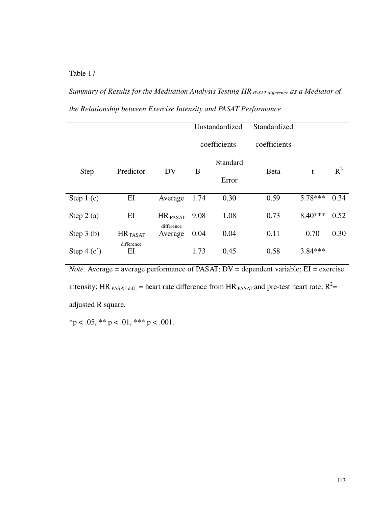*Summary of Results for the Meditation Analysis Testing HR PASAT difference as a Mediator of the Relationship between Exercise Intensity and PASAT Performance* 

|              |                     |            | Unstandardized |          | Standardized |           |       |
|--------------|---------------------|------------|----------------|----------|--------------|-----------|-------|
|              |                     |            | coefficients   |          | coefficients |           |       |
|              |                     |            |                | Standard |              |           |       |
| <b>Step</b>  | Predictor           | DV         | B              |          | <b>Beta</b>  | t         | $R^2$ |
|              |                     |            |                | Error    |              |           |       |
| Step $1(c)$  | EI                  | Average    | 1.74           | 0.30     | 0.59         | $5.78***$ | 0.34  |
|              |                     |            |                |          |              |           |       |
| Step $2(a)$  | EI                  | HR PASAT   | 9.08           | 1.08     | 0.73         | $8.40***$ | 0.52  |
|              |                     | difference |                |          |              |           |       |
| Step $3(b)$  | HR <sub>PASAT</sub> | Average    | 0.04           | 0.04     | 0.11         | 0.70      | 0.30  |
|              | difference          |            |                |          |              |           |       |
| Step $4(c')$ | EI                  |            | 1.73           | 0.45     | 0.58         | 3.84 ***  |       |

*Note.* Average = average performance of PASAT; DV = dependent variable; EI = exercise intensity; HR  $_{PASAT diff}$ , = heart rate difference from HR  $_{PASAT}$  and pre-test heart rate;  $R^2$  = adjusted R square.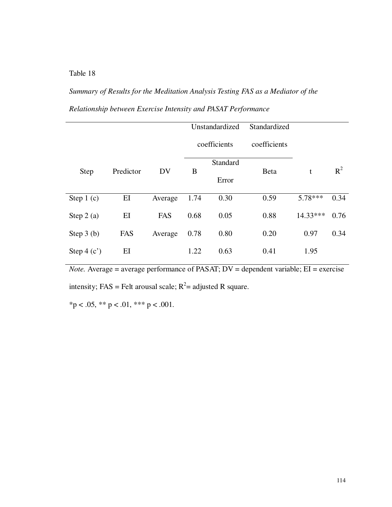*Summary of Results for the Meditation Analysis Testing FAS as a Mediator of the Relationship between Exercise Intensity and PASAT Performance* 

|              |           |         | Unstandardized |                   | Standardized |            |       |
|--------------|-----------|---------|----------------|-------------------|--------------|------------|-------|
|              |           |         | coefficients   |                   | coefficients |            |       |
| <b>Step</b>  | Predictor | DV      | B              | Standard<br>Error | <b>Beta</b>  | t          | $R^2$ |
| Step $1(c)$  | EI        | Average | 1.74           | 0.30              | 0.59         | 5.78***    | 0.34  |
| Step $2(a)$  | EI        | FAS     | 0.68           | 0.05              | 0.88         | $14.33***$ | 0.76  |
| Step $3(b)$  | FAS       | Average | 0.78           | 0.80              | 0.20         | 0.97       | 0.34  |
| Step $4(c')$ | EI        |         | 1.22           | 0.63              | 0.41         | 1.95       |       |

*Note.* Average = average performance of PASAT; DV = dependent variable; EI = exercise intensity; FAS = Felt arousal scale;  $R^2$  = adjusted R square.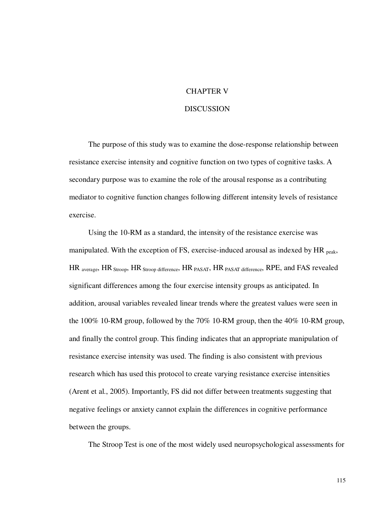### CHAPTER V

### DISCUSSION

The purpose of this study was to examine the dose-response relationship between resistance exercise intensity and cognitive function on two types of cognitive tasks. A secondary purpose was to examine the role of the arousal response as a contributing mediator to cognitive function changes following different intensity levels of resistance exercise.

Using the 10-RM as a standard, the intensity of the resistance exercise was manipulated. With the exception of FS, exercise-induced arousal as indexed by  $HR_{peak}$ , HR average, HR Stroop, HR Stroop difference, HR PASAT, HR PASAT difference, RPE, and FAS revealed significant differences among the four exercise intensity groups as anticipated. In addition, arousal variables revealed linear trends where the greatest values were seen in the 100% 10-RM group, followed by the 70% 10-RM group, then the 40% 10-RM group, and finally the control group. This finding indicates that an appropriate manipulation of resistance exercise intensity was used. The finding is also consistent with previous research which has used this protocol to create varying resistance exercise intensities (Arent et al., 2005). Importantly, FS did not differ between treatments suggesting that negative feelings or anxiety cannot explain the differences in cognitive performance between the groups.

The Stroop Test is one of the most widely used neuropsychological assessments for

115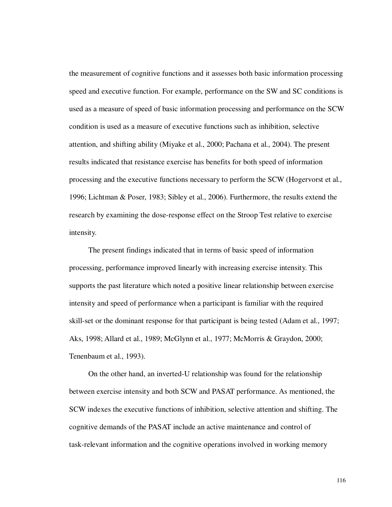the measurement of cognitive functions and it assesses both basic information processing speed and executive function. For example, performance on the SW and SC conditions is used as a measure of speed of basic information processing and performance on the SCW condition is used as a measure of executive functions such as inhibition, selective attention, and shifting ability (Miyake et al., 2000; Pachana et al., 2004). The present results indicated that resistance exercise has benefits for both speed of information processing and the executive functions necessary to perform the SCW (Hogervorst et al., 1996; Lichtman & Poser, 1983; Sibley et al., 2006). Furthermore, the results extend the research by examining the dose-response effect on the Stroop Test relative to exercise intensity.

The present findings indicated that in terms of basic speed of information processing, performance improved linearly with increasing exercise intensity. This supports the past literature which noted a positive linear relationship between exercise intensity and speed of performance when a participant is familiar with the required skill-set or the dominant response for that participant is being tested (Adam et al., 1997; Aks, 1998; Allard et al., 1989; McGlynn et al., 1977; McMorris & Graydon, 2000; Tenenbaum et al., 1993).

On the other hand, an inverted-U relationship was found for the relationship between exercise intensity and both SCW and PASAT performance. As mentioned, the SCW indexes the executive functions of inhibition, selective attention and shifting. The cognitive demands of the PASAT include an active maintenance and control of task-relevant information and the cognitive operations involved in working memory

116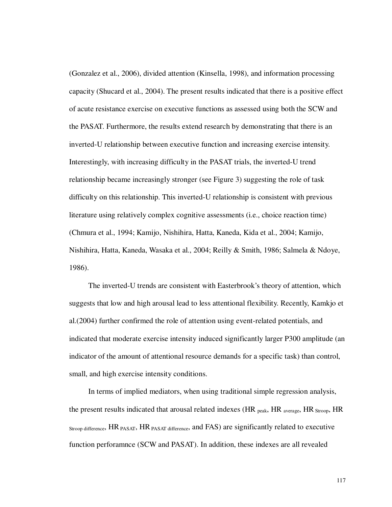(Gonzalez et al., 2006), divided attention (Kinsella, 1998), and information processing capacity (Shucard et al., 2004). The present results indicated that there is a positive effect of acute resistance exercise on executive functions as assessed using both the SCW and the PASAT. Furthermore, the results extend research by demonstrating that there is an inverted-U relationship between executive function and increasing exercise intensity. Interestingly, with increasing difficulty in the PASAT trials, the inverted-U trend relationship became increasingly stronger (see Figure 3) suggesting the role of task difficulty on this relationship. This inverted-U relationship is consistent with previous literature using relatively complex cognitive assessments (i.e., choice reaction time) (Chmura et al., 1994; Kamijo, Nishihira, Hatta, Kaneda, Kida et al., 2004; Kamijo, Nishihira, Hatta, Kaneda, Wasaka et al., 2004; Reilly & Smith, 1986; Salmela & Ndoye, 1986).

The inverted-U trends are consistent with Easterbrook's theory of attention, which suggests that low and high arousal lead to less attentional flexibility. Recently, Kamkjo et al.(2004) further confirmed the role of attention using event-related potentials, and indicated that moderate exercise intensity induced significantly larger P300 amplitude (an indicator of the amount of attentional resource demands for a specific task) than control, small, and high exercise intensity conditions.

In terms of implied mediators, when using traditional simple regression analysis, the present results indicated that arousal related indexes ( $HR_{peak}$ ,  $HR_{average}$ ,  $HR_{Strong}$ ,  $HR$ Stroop difference, HR PASAT, HR PASAT difference, and FAS) are significantly related to executive function perforamnce (SCW and PASAT). In addition, these indexes are all revealed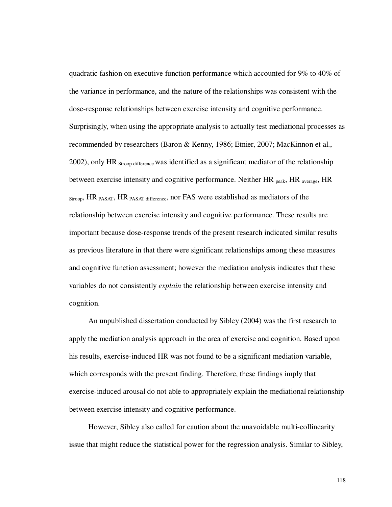quadratic fashion on executive function performance which accounted for 9% to 40% of the variance in performance, and the nature of the relationships was consistent with the dose-response relationships between exercise intensity and cognitive performance. Surprisingly, when using the appropriate analysis to actually test mediational processes as recommended by researchers (Baron & Kenny, 1986; Etnier, 2007; MacKinnon et al., 2002), only HR  $_{\text{Stroon difference}}$  was identified as a significant mediator of the relationship between exercise intensity and cognitive performance. Neither HR <sub>peak</sub>, HR <sub>average</sub>, HR Stroop, HR PASAT, HR PASAT difference, nor FAS were established as mediators of the relationship between exercise intensity and cognitive performance. These results are important because dose-response trends of the present research indicated similar results as previous literature in that there were significant relationships among these measures and cognitive function assessment; however the mediation analysis indicates that these variables do not consistently *explain* the relationship between exercise intensity and cognition.

An unpublished dissertation conducted by Sibley (2004) was the first research to apply the mediation analysis approach in the area of exercise and cognition. Based upon his results, exercise-induced HR was not found to be a significant mediation variable, which corresponds with the present finding. Therefore, these findings imply that exercise-induced arousal do not able to appropriately explain the mediational relationship between exercise intensity and cognitive performance.

However, Sibley also called for caution about the unavoidable multi-collinearity issue that might reduce the statistical power for the regression analysis. Similar to Sibley,

118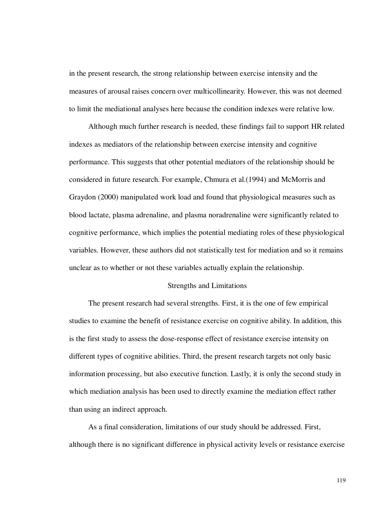in the present research, the strong relationship between exercise intensity and the measures of arousal raises concern over multicollinearity. However, this was not deemed to limit the mediational analyses here because the condition indexes were relative low.

Although much further research is needed, these findings fail to support HR related indexes as mediators of the relationship between exercise intensity and cognitive performance. This suggests that other potential mediators of the relationship should be considered in future research. For example, Chmura et al.(1994) and McMorris and Graydon (2000) manipulated work load and found that physiological measures such as blood lactate, plasma adrenaline, and plasma noradrenaline were significantly related to cognitive performance, which implies the potential mediating roles of these physiological variables. However, these authors did not statistically test for mediation and so it remains unclear as to whether or not these variables actually explain the relationship.

### Strengths and Limitations

The present research had several strengths. First, it is the one of few empirical studies to examine the benefit of resistance exercise on cognitive ability. In addition, this is the first study to assess the dose-response effect of resistance exercise intensity on different types of cognitive abilities. Third, the present research targets not only basic information processing, but also executive function. Lastly, it is only the second study in which mediation analysis has been used to directly examine the mediation effect rather than using an indirect approach.

As a final consideration, limitations of our study should be addressed. First, although there is no significant difference in physical activity levels or resistance exercise

119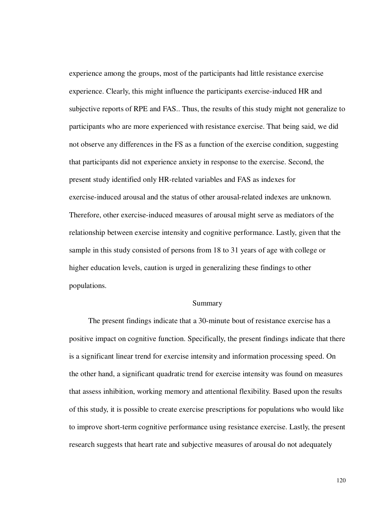experience among the groups, most of the participants had little resistance exercise experience. Clearly, this might influence the participants exercise-induced HR and subjective reports of RPE and FAS.. Thus, the results of this study might not generalize to participants who are more experienced with resistance exercise. That being said, we did not observe any differences in the FS as a function of the exercise condition, suggesting that participants did not experience anxiety in response to the exercise. Second, the present study identified only HR-related variables and FAS as indexes for exercise-induced arousal and the status of other arousal-related indexes are unknown. Therefore, other exercise-induced measures of arousal might serve as mediators of the relationship between exercise intensity and cognitive performance. Lastly, given that the sample in this study consisted of persons from 18 to 31 years of age with college or higher education levels, caution is urged in generalizing these findings to other populations.

### Summary

The present findings indicate that a 30-minute bout of resistance exercise has a positive impact on cognitive function. Specifically, the present findings indicate that there is a significant linear trend for exercise intensity and information processing speed. On the other hand, a significant quadratic trend for exercise intensity was found on measures that assess inhibition, working memory and attentional flexibility. Based upon the results of this study, it is possible to create exercise prescriptions for populations who would like to improve short-term cognitive performance using resistance exercise. Lastly, the present research suggests that heart rate and subjective measures of arousal do not adequately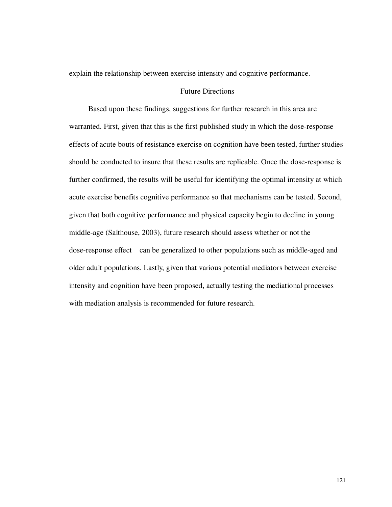explain the relationship between exercise intensity and cognitive performance.

### Future Directions

Based upon these findings, suggestions for further research in this area are warranted. First, given that this is the first published study in which the dose-response effects of acute bouts of resistance exercise on cognition have been tested, further studies should be conducted to insure that these results are replicable. Once the dose-response is further confirmed, the results will be useful for identifying the optimal intensity at which acute exercise benefits cognitive performance so that mechanisms can be tested. Second, given that both cognitive performance and physical capacity begin to decline in young middle-age (Salthouse, 2003), future research should assess whether or not the dose-response effect can be generalized to other populations such as middle-aged and older adult populations. Lastly, given that various potential mediators between exercise intensity and cognition have been proposed, actually testing the mediational processes with mediation analysis is recommended for future research.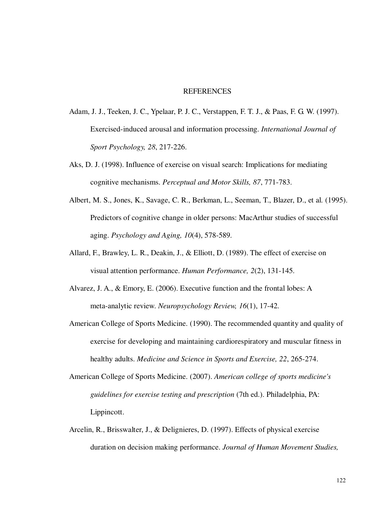### **REFERENCES**

- Adam, J. J., Teeken, J. C., Ypelaar, P. J. C., Verstappen, F. T. J., & Paas, F. G. W. (1997). Exercised-induced arousal and information processing. *International Journal of Sport Psychology, 28*, 217-226.
- Aks, D. J. (1998). Influence of exercise on visual search: Implications for mediating cognitive mechanisms. *Perceptual and Motor Skills, 87*, 771-783.
- Albert, M. S., Jones, K., Savage, C. R., Berkman, L., Seeman, T., Blazer, D., et al. (1995). Predictors of cognitive change in older persons: MacArthur studies of successful aging. *Psychology and Aging, 10*(4), 578-589.
- Allard, F., Brawley, L. R., Deakin, J., & Elliott, D. (1989). The effect of exercise on visual attention performance. *Human Performance, 2*(2), 131-145.
- Alvarez, J. A., & Emory, E. (2006). Executive function and the frontal lobes: A meta-analytic review. *Neuropsychology Review, 16*(1), 17-42.
- American College of Sports Medicine. (1990). The recommended quantity and quality of exercise for developing and maintaining cardiorespiratory and muscular fitness in healthy adults. *Medicine and Science in Sports and Exercise, 22*, 265-274.
- American College of Sports Medicine. (2007). *American college of sports medicine's guidelines for exercise testing and prescription* (7th ed.). Philadelphia, PA: Lippincott.
- Arcelin, R., Brisswalter, J., & Delignieres, D. (1997). Effects of physical exercise duration on decision making performance. *Journal of Human Movement Studies,*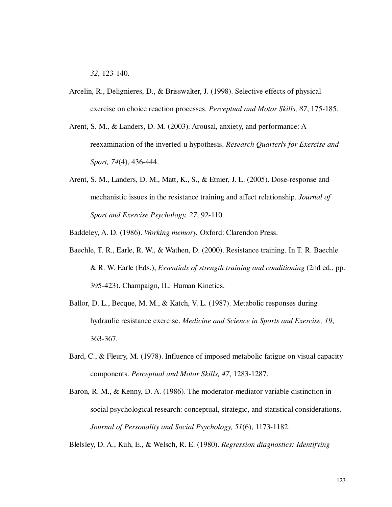*32*, 123-140.

- Arcelin, R., Delignieres, D., & Brisswalter, J. (1998). Selective effects of physical exercise on choice reaction processes. *Perceptual and Motor Skills, 87*, 175-185.
- Arent, S. M., & Landers, D. M. (2003). Arousal, anxiety, and performance: A reexamination of the inverted-u hypothesis. *Research Quarterly for Exercise and Sport, 74*(4), 436-444.
- Arent, S. M., Landers, D. M., Matt, K., S., & Etnier, J. L. (2005). Dose-response and mechanistic issues in the resistance training and affect relationship. *Journal of Sport and Exercise Psychology, 27*, 92-110.

Baddeley, A. D. (1986). *Working memory.* Oxford: Clarendon Press.

- Baechle, T. R., Earle, R. W., & Wathen, D. (2000). Resistance training. In T. R. Baechle & R. W. Earle (Eds.), *Essentials of strength training and conditioning* (2nd ed., pp. 395-423). Champaign, IL: Human Kinetics.
- Ballor, D. L., Becque, M. M., & Katch, V. L. (1987). Metabolic responses during hydraulic resistance exercise. *Medicine and Science in Sports and Exercise, 19*, 363-367.
- Bard, C., & Fleury, M. (1978). Influence of imposed metabolic fatigue on visual capacity components. *Perceptual and Motor Skills, 47*, 1283-1287.
- Baron, R. M., & Kenny, D. A. (1986). The moderator-mediator variable distinction in social psychological research: conceptual, strategic, and statistical considerations. *Journal of Personality and Social Psychology, 51*(6), 1173-1182.

Blelsley, D. A., Kuh, E., & Welsch, R. E. (1980). *Regression diagnostics: Identifying*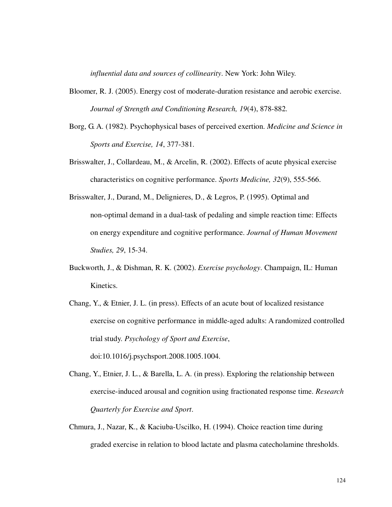*influential data and sources of collinearity*. New York: John Wiley.

- Bloomer, R. J. (2005). Energy cost of moderate-duration resistance and aerobic exercise. *Journal of Strength and Conditioning Research, 19*(4), 878-882.
- Borg, G. A. (1982). Psychophysical bases of perceived exertion. *Medicine and Science in Sports and Exercise, 14*, 377-381.
- Brisswalter, J., Collardeau, M., & Arcelin, R. (2002). Effects of acute physical exercise characteristics on cognitive performance. *Sports Medicine, 32*(9), 555-566.
- Brisswalter, J., Durand, M., Delignieres, D., & Legros, P. (1995). Optimal and non-optimal demand in a dual-task of pedaling and simple reaction time: Effects on energy expenditure and cognitive performance. *Journal of Human Movement Studies, 29*, 15-34.
- Buckworth, J., & Dishman, R. K. (2002). *Exercise psychology*. Champaign, IL: Human Kinetics.
- Chang, Y., & Etnier, J. L. (in press). Effects of an acute bout of localized resistance exercise on cognitive performance in middle-aged adults: A randomized controlled trial study. *Psychology of Sport and Exercise*, doi:10.1016/j.psychsport.2008.1005.1004.

Chang, Y., Etnier, J. L., & Barella, L. A. (in press). Exploring the relationship between exercise-induced arousal and cognition using fractionated response time. *Research Quarterly for Exercise and Sport*.

Chmura, J., Nazar, K., & Kaciuba-Uscilko, H. (1994). Choice reaction time during graded exercise in relation to blood lactate and plasma catecholamine thresholds.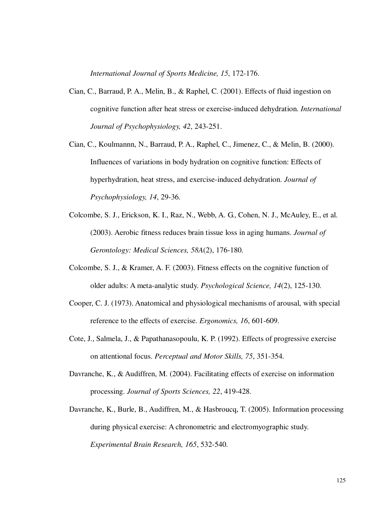*International Journal of Sports Medicine, 15*, 172-176.

- Cian, C., Barraud, P. A., Melin, B., & Raphel, C. (2001). Effects of fluid ingestion on cognitive function after heat stress or exercise-induced dehydration. *International Journal of Psychophysiology, 42*, 243-251.
- Cian, C., Koulmannn, N., Barraud, P. A., Raphel, C., Jimenez, C., & Melin, B. (2000). Influences of variations in body hydration on cognitive function: Effects of hyperhydration, heat stress, and exercise-induced dehydration. *Journal of Psychophysiology, 14*, 29-36.
- Colcombe, S. J., Erickson, K. I., Raz, N., Webb, A. G., Cohen, N. J., McAuley, E., et al. (2003). Aerobic fitness reduces brain tissue loss in aging humans. *Journal of Gerontology: Medical Sciences, 58A*(2), 176-180.
- Colcombe, S. J., & Kramer, A. F. (2003). Fitness effects on the cognitive function of older adults: A meta-analytic study. *Psychological Science, 14*(2), 125-130.
- Cooper, C. J. (1973). Anatomical and physiological mechanisms of arousal, with special reference to the effects of exercise. *Ergonomics, 16*, 601-609.
- Cote, J., Salmela, J., & Papathanasopoulu, K. P. (1992). Effects of progressive exercise on attentional focus. *Perceptual and Motor Skills, 75*, 351-354.
- Davranche, K., & Audiffren, M. (2004). Facilitating effects of exercise on information processing. *Journal of Sports Sciences, 22*, 419-428.
- Davranche, K., Burle, B., Audiffren, M., & Hasbroucq, T. (2005). Information processing during physical exercise: A chronometric and electromyographic study. *Experimental Brain Research, 165*, 532-540.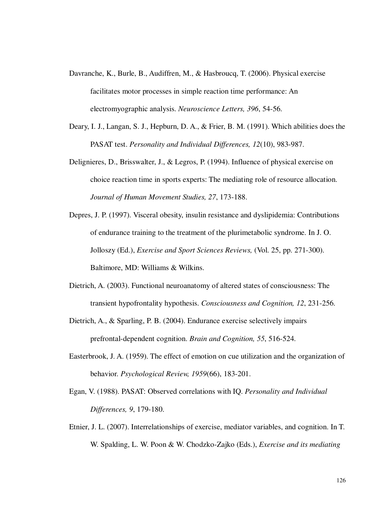- Davranche, K., Burle, B., Audiffren, M., & Hasbroucq, T. (2006). Physical exercise facilitates motor processes in simple reaction time performance: An electromyographic analysis. *Neuroscience Letters, 396*, 54-56.
- Deary, I. J., Langan, S. J., Hepburn, D. A., & Frier, B. M. (1991). Which abilities does the PASAT test. *Personality and Individual Differences, 12*(10), 983-987.
- Delignieres, D., Brisswalter, J., & Legros, P. (1994). Influence of physical exercise on choice reaction time in sports experts: The mediating role of resource allocation. *Journal of Human Movement Studies, 27*, 173-188.
- Depres, J. P. (1997). Visceral obesity, insulin resistance and dyslipidemia: Contributions of endurance training to the treatment of the plurimetabolic syndrome. In J. O. Jolloszy (Ed.), *Exercise and Sport Sciences Reviews,* (Vol. 25, pp. 271-300). Baltimore, MD: Williams & Wilkins.
- Dietrich, A. (2003). Functional neuroanatomy of altered states of consciousness: The transient hypofrontality hypothesis. *Consciousness and Cognition, 12*, 231-256.
- Dietrich, A., & Sparling, P. B. (2004). Endurance exercise selectively impairs prefrontal-dependent cognition. *Brain and Cognition, 55*, 516-524.
- Easterbrook, J. A. (1959). The effect of emotion on cue utilization and the organization of behavior. *Psychological Review, 1959*(66), 183-201.
- Egan, V. (1988). PASAT: Observed correlations with IQ. *Personality and Individual Differences, 9*, 179-180.
- Etnier, J. L. (2007). Interrelationships of exercise, mediator variables, and cognition. In T. W. Spalding, L. W. Poon & W. Chodzko-Zajko (Eds.), *Exercise and its mediating*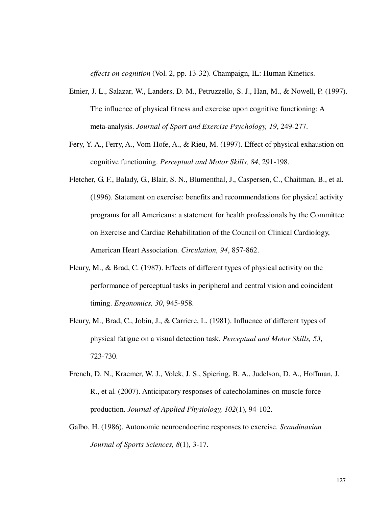*effects on cognition* (Vol. 2, pp. 13-32). Champaign, IL: Human Kinetics.

- Etnier, J. L., Salazar, W., Landers, D. M., Petruzzello, S. J., Han, M., & Nowell, P. (1997). The influence of physical fitness and exercise upon cognitive functioning: A meta-analysis. *Journal of Sport and Exercise Psychology, 19*, 249-277.
- Fery, Y. A., Ferry, A., Vom-Hofe, A., & Rieu, M. (1997). Effect of physical exhaustion on cognitive functioning. *Perceptual and Motor Skills, 84*, 291-198.
- Fletcher, G. F., Balady, G., Blair, S. N., Blumenthal, J., Caspersen, C., Chaitman, B., et al. (1996). Statement on exercise: benefits and recommendations for physical activity programs for all Americans: a statement for health professionals by the Committee on Exercise and Cardiac Rehabilitation of the Council on Clinical Cardiology, American Heart Association. *Circulation, 94*, 857-862.
- Fleury, M., & Brad, C. (1987). Effects of different types of physical activity on the performance of perceptual tasks in peripheral and central vision and coincident timing. *Ergonomics, 30*, 945-958.
- Fleury, M., Brad, C., Jobin, J., & Carriere, L. (1981). Influence of different types of physical fatigue on a visual detection task. *Perceptual and Motor Skills, 53*, 723-730.
- French, D. N., Kraemer, W. J., Volek, J. S., Spiering, B. A., Judelson, D. A., Hoffman, J. R., et al. (2007). Anticipatory responses of catecholamines on muscle force production. *Journal of Applied Physiology, 102*(1), 94-102.
- Galbo, H. (1986). Autonomic neuroendocrine responses to exercise. *Scandinavian Journal of Sports Sciences, 8*(1), 3-17.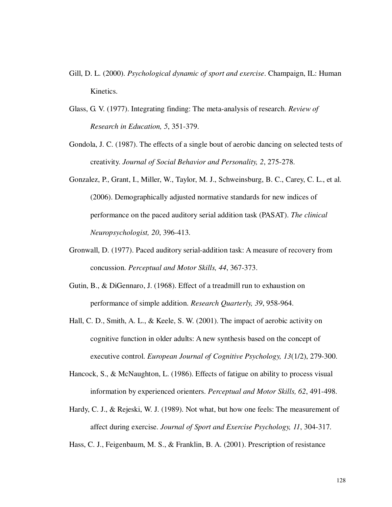- Gill, D. L. (2000). *Psychological dynamic of sport and exercise*. Champaign, IL: Human Kinetics.
- Glass, G. V. (1977). Integrating finding: The meta-analysis of research. *Review of Research in Education, 5*, 351-379.
- Gondola, J. C. (1987). The effects of a single bout of aerobic dancing on selected tests of creativity. *Journal of Social Behavior and Personality, 2*, 275-278.
- Gonzalez, P., Grant, I., Miller, W., Taylor, M. J., Schweinsburg, B. C., Carey, C. L., et al. (2006). Demographically adjusted normative standards for new indices of performance on the paced auditory serial addition task (PASAT). *The clinical Neuropsychologist, 20*, 396-413.
- Gronwall, D. (1977). Paced auditory serial-addition task: A measure of recovery from concussion. *Perceptual and Motor Skills, 44*, 367-373.
- Gutin, B., & DiGennaro, J. (1968). Effect of a treadmill run to exhaustion on performance of simple addition. *Research Quarterly, 39*, 958-964.
- Hall, C. D., Smith, A. L., & Keele, S. W. (2001). The impact of aerobic activity on cognitive function in older adults: A new synthesis based on the concept of executive control. *European Journal of Cognitive Psychology, 13*(1/2), 279-300.
- Hancock, S., & McNaughton, L. (1986). Effects of fatigue on ability to process visual information by experienced orienters. *Perceptual and Motor Skills, 62*, 491-498.
- Hardy, C. J., & Rejeski, W. J. (1989). Not what, but how one feels: The measurement of affect during exercise. *Journal of Sport and Exercise Psychology, 11*, 304-317.

Hass, C. J., Feigenbaum, M. S., & Franklin, B. A. (2001). Prescription of resistance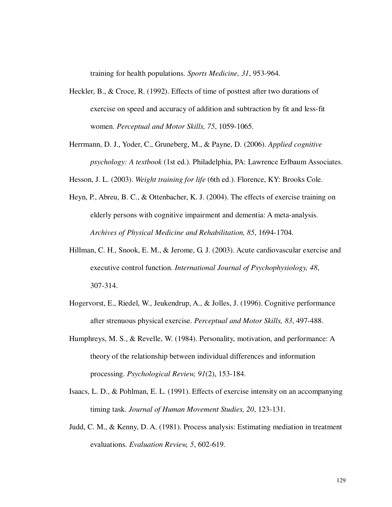training for health populations. *Sports Medicine, 31*, 953-964.

- Heckler, B., & Croce, R. (1992). Effects of time of posttest after two durations of exercise on speed and accuracy of addition and subtraction by fit and less-fit women. *Perceptual and Motor Skills, 75*, 1059-1065.
- Herrmann, D. J., Yoder, C., Gruneberg, M., & Payne, D. (2006). *Applied cognitive psychology: A textbook* (1st ed.). Philadelphia, PA: Lawrence Erlbaum Associates.

Hesson, J. L. (2003). *Weight training for life* (6th ed.). Florence, KY: Brooks Cole.

- Heyn, P., Abreu, B. C., & Ottenbacher, K. J. (2004). The effects of exercise training on elderly persons with cognitive impairment and dementia: A meta-analysis. *Archives of Physical Medicine and Rehabilitation, 85*, 1694-1704.
- Hillman, C. H., Snook, E. M., & Jerome, G. J. (2003). Acute cardiovascular exercise and executive control function. *International Journal of Psychophysiology, 48*, 307-314.
- Hogervorst, E., Riedel, W., Jeukendrup, A., & Jolles, J. (1996). Cognitive performance after strenuous physical exercise. *Perceptual and Motor Skills, 83*, 497-488.
- Humphreys, M. S., & Revelle, W. (1984). Personality, motivation, and performance: A theory of the relationship between individual differences and information processing. *Psychological Review, 91*(2), 153-184.
- Isaacs, L. D., & Pohlman, E. L. (1991). Effects of exercise intensity on an accompanying timing task. *Journal of Human Movement Studies, 20*, 123-131.
- Judd, C. M., & Kenny, D. A. (1981). Process analysis: Estimating mediation in treatment evaluations. *Evaluation Review, 5*, 602-619.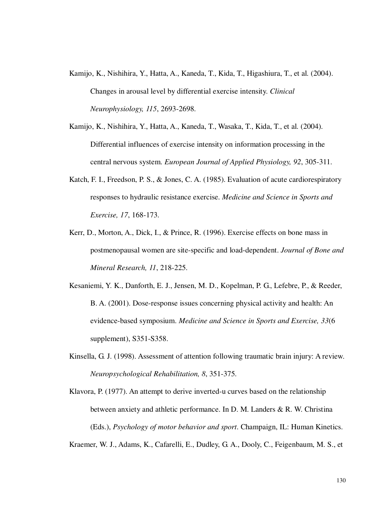- Kamijo, K., Nishihira, Y., Hatta, A., Kaneda, T., Kida, T., Higashiura, T., et al. (2004). Changes in arousal level by differential exercise intensity. *Clinical Neurophysiology, 115*, 2693-2698.
- Kamijo, K., Nishihira, Y., Hatta, A., Kaneda, T., Wasaka, T., Kida, T., et al. (2004). Differential influences of exercise intensity on information processing in the central nervous system. *European Journal of Applied Physiology, 92*, 305-311.
- Katch, F. I., Freedson, P. S., & Jones, C. A. (1985). Evaluation of acute cardiorespiratory responses to hydraulic resistance exercise. *Medicine and Science in Sports and Exercise, 17*, 168-173.
- Kerr, D., Morton, A., Dick, I., & Prince, R. (1996). Exercise effects on bone mass in postmenopausal women are site-specific and load-dependent. *Journal of Bone and Mineral Research, 11*, 218-225.
- Kesaniemi, Y. K., Danforth, E. J., Jensen, M. D., Kopelman, P. G., Lefebre, P., & Reeder, B. A. (2001). Dose-response issues concerning physical activity and health: An evidence-based symposium. *Medicine and Science in Sports and Exercise, 33*(6 supplement), S351-S358.
- Kinsella, G. J. (1998). Assessment of attention following traumatic brain injury: A review. *Neuropsychological Rehabilitation, 8*, 351-375.

Klavora, P. (1977). An attempt to derive inverted-u curves based on the relationship between anxiety and athletic performance. In D. M. Landers & R. W. Christina (Eds.), *Psychology of motor behavior and sport*. Champaign, IL: Human Kinetics.

Kraemer, W. J., Adams, K., Cafarelli, E., Dudley, G. A., Dooly, C., Feigenbaum, M. S., et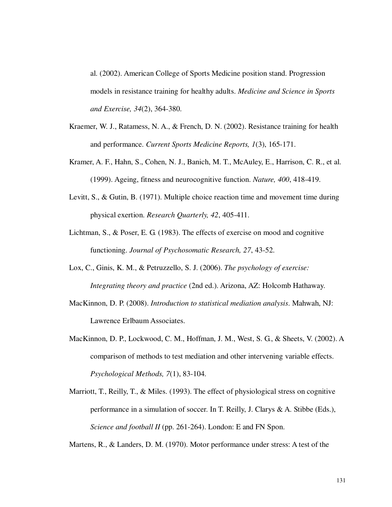al. (2002). American College of Sports Medicine position stand. Progression models in resistance training for healthy adults. *Medicine and Science in Sports and Exercise, 34*(2), 364-380.

- Kraemer, W. J., Ratamess, N. A., & French, D. N. (2002). Resistance training for health and performance. *Current Sports Medicine Reports, 1*(3), 165-171.
- Kramer, A. F., Hahn, S., Cohen, N. J., Banich, M. T., McAuley, E., Harrison, C. R., et al. (1999). Ageing, fitness and neurocognitive function. *Nature, 400*, 418-419.
- Levitt, S., & Gutin, B. (1971). Multiple choice reaction time and movement time during physical exertion. *Research Quarterly, 42*, 405-411.
- Lichtman, S., & Poser, E. G. (1983). The effects of exercise on mood and cognitive functioning. *Journal of Psychosomatic Research, 27*, 43-52.
- Lox, C., Ginis, K. M., & Petruzzello, S. J. (2006). *The psychology of exercise: Integrating theory and practice* (2nd ed.). Arizona, AZ: Holcomb Hathaway.
- MacKinnon, D. P. (2008). *Introduction to statistical mediation analysis*. Mahwah, NJ: Lawrence Erlbaum Associates.
- MacKinnon, D. P., Lockwood, C. M., Hoffman, J. M., West, S. G., & Sheets, V. (2002). A comparison of methods to test mediation and other intervening variable effects. *Psychological Methods, 7*(1), 83-104.
- Marriott, T., Reilly, T., & Miles. (1993). The effect of physiological stress on cognitive performance in a simulation of soccer. In T. Reilly, J. Clarys & A. Stibbe (Eds.), *Science and football II* (pp. 261-264). London: E and FN Spon.

Martens, R., & Landers, D. M. (1970). Motor performance under stress: A test of the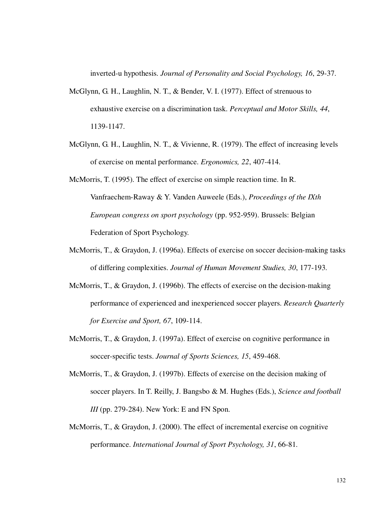inverted-u hypothesis. *Journal of Personality and Social Psychology, 16*, 29-37.

- McGlynn, G. H., Laughlin, N. T., & Bender, V. I. (1977). Effect of strenuous to exhaustive exercise on a discrimination task. *Perceptual and Motor Skills, 44*, 1139-1147.
- McGlynn, G. H., Laughlin, N. T., & Vivienne, R. (1979). The effect of increasing levels of exercise on mental performance. *Ergonomics, 22*, 407-414.

McMorris, T. (1995). The effect of exercise on simple reaction time. In R. Vanfraechem-Raway & Y. Vanden Auweele (Eds.), *Proceedings of the IXth European congress on sport psychology* (pp. 952-959). Brussels: Belgian Federation of Sport Psychology.

- McMorris, T., & Graydon, J. (1996a). Effects of exercise on soccer decision-making tasks of differing complexities. *Journal of Human Movement Studies, 30*, 177-193.
- McMorris, T., & Graydon, J. (1996b). The effects of exercise on the decision-making performance of experienced and inexperienced soccer players. *Research Quarterly for Exercise and Sport, 67*, 109-114.
- McMorris, T., & Graydon, J. (1997a). Effect of exercise on cognitive performance in soccer-specific tests. *Journal of Sports Sciences, 15*, 459-468.
- McMorris, T., & Graydon, J. (1997b). Effects of exercise on the decision making of soccer players. In T. Reilly, J. Bangsbo & M. Hughes (Eds.), *Science and football III* (pp. 279-284). New York: E and FN Spon.
- McMorris, T., & Graydon, J. (2000). The effect of incremental exercise on cognitive performance. *International Journal of Sport Psychology, 31*, 66-81.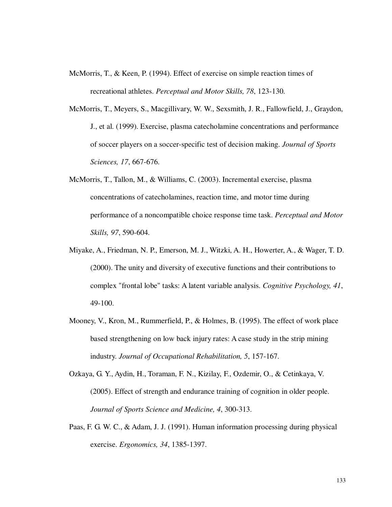- McMorris, T., & Keen, P. (1994). Effect of exercise on simple reaction times of recreational athletes. *Perceptual and Motor Skills, 78*, 123-130.
- McMorris, T., Meyers, S., Macgillivary, W. W., Sexsmith, J. R., Fallowfield, J., Graydon, J., et al. (1999). Exercise, plasma catecholamine concentrations and performance of soccer players on a soccer-specific test of decision making. *Journal of Sports Sciences, 17*, 667-676.
- McMorris, T., Tallon, M., & Williams, C. (2003). Incremental exercise, plasma concentrations of catecholamines, reaction time, and motor time during performance of a noncompatible choice response time task. *Perceptual and Motor Skills, 97*, 590-604.
- Miyake, A., Friedman, N. P., Emerson, M. J., Witzki, A. H., Howerter, A., & Wager, T. D. (2000). The unity and diversity of executive functions and their contributions to complex "frontal lobe" tasks: A latent variable analysis. *Cognitive Psychology, 41*, 49-100.
- Mooney, V., Kron, M., Rummerfield, P., & Holmes, B. (1995). The effect of work place based strengthening on low back injury rates: A case study in the strip mining industry. *Journal of Occupational Rehabilitation, 5*, 157-167.
- Ozkaya, G. Y., Aydin, H., Toraman, F. N., Kizilay, F., Ozdemir, O., & Cetinkaya, V. (2005). Effect of strength and endurance training of cognition in older people. *Journal of Sports Science and Medicine, 4*, 300-313.
- Paas, F. G. W. C., & Adam, J. J. (1991). Human information processing during physical exercise. *Ergonomics, 34*, 1385-1397.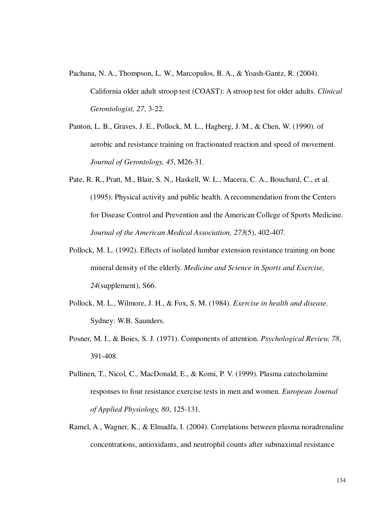- Pachana, N. A., Thompson, L. W., Marcopulos, B. A., & Yoash-Gantz, R. (2004). California older adult stroop test (COAST): A stroop test for older adults. *Clinical Gerontologist, 27*, 3-22.
- Panton, L. B., Graves, J. E., Pollock, M. L., Hagberg, J. M., & Chen, W. (1990). of aerobic and resistance training on fractionated reaction and speed of movement. *Journal of Gerontology, 45*, M26-31.
- Pate, R. R., Pratt, M., Blair, S. N., Haskell, W. L., Macera, C. A., Bouchard, C., et al. (1995). Physical activity and public health. A recommendation from the Centers for Disease Control and Prevention and the American College of Sports Medicine. *Journal of the American Medical Association, 273*(5), 402-407.
- Pollock, M. L. (1992). Effects of isolated lumbar extension resistance training on bone mineral density of the elderly. *Medicine and Science in Sports and Exercise, 24*(supplement), S66.
- Pollock, M. L., Wilmore, J. H., & Fox, S. M. (1984). *Exercise in health and disease*. Sydney: W.B. Saunders.
- Posner, M. I., & Boies, S. J. (1971). Components of attention. *Psychological Review, 78*, 391-408.
- Pullinen, T., Nicol, C., MacDonald, E., & Komi, P. V. (1999). Plasma catecholamine responses to four resistance exercise tests in men and women. *European Journal of Applied Physiology, 80*, 125-131.
- Ramel, A., Wagner, K., & Elmadfa, I. (2004). Correlations between plasma noradrenaline concentrations, antioxidants, and neutrophil counts after submaximal resistance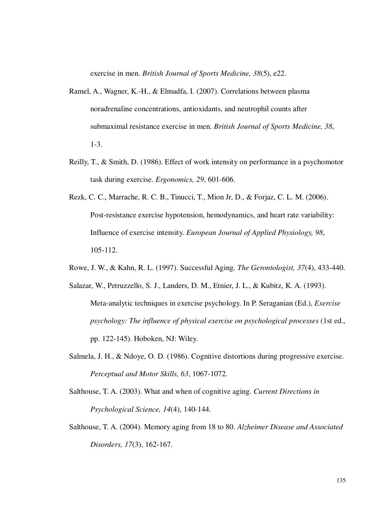exercise in men. *British Journal of Sports Medicine, 38*(5), e22.

- Ramel, A., Wagner, K.-H., & Elmadfa, I. (2007). Correlations between plasma noradrenaline concentrations, antioxidants, and neutrophil counts after submaximal resistance exercise in men. *British Journal of Sports Medicine, 38*, 1-3.
- Reilly, T., & Smith, D. (1986). Effect of work intensity on performance in a psychomotor task during exercise. *Ergonomics, 29*, 601-606.
- Rezk, C. C., Marrache, R. C. B., Tinucci, T., Mion Jr, D., & Forjaz, C. L. M. (2006). Post-resistance exercise hypotension, hemodynamics, and heart rate variability: Influence of exercise intensity. *European Journal of Applied Physiology, 98*, 105-112.
- Rowe, J. W., & Kahn, R. L. (1997). Successful Aging. *The Gerontologist, 37*(4), 433-440.
- Salazar, W., Petruzzello, S. J., Landers, D. M., Etnier, J. L., & Kubitz, K. A. (1993). Meta-analytic techniques in exercise psychology. In P. Seraganian (Ed.), *Exercise psychology: The influence of physical exercise on psychological processes* (1st ed., pp. 122-145). Hoboken, NJ: Wiley.
- Salmela, J. H., & Ndoye, O. D. (1986). Cognitive distortions during progressive exercise. *Perceptual and Motor Skills, 63*, 1067-1072.
- Salthouse, T. A. (2003). What and when of cognitive aging. *Current Directions in Psychological Science, 14*(4), 140-144.
- Salthouse, T. A. (2004). Memory aging from 18 to 80. *Alzheimer Disease and Associated Disorders, 17*(3), 162-167.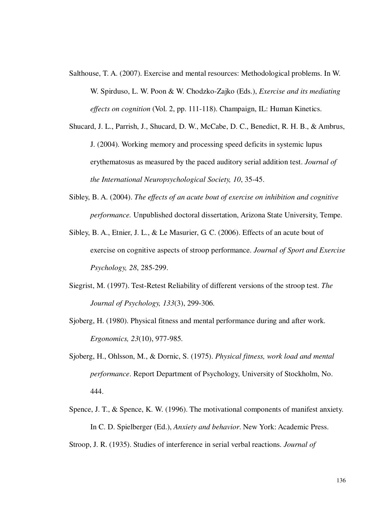- Salthouse, T. A. (2007). Exercise and mental resources: Methodological problems. In W. W. Spirduso, L. W. Poon & W. Chodzko-Zajko (Eds.), *Exercise and its mediating effects on cognition* (Vol. 2, pp. 111-118). Champaign, IL: Human Kinetics.
- Shucard, J. L., Parrish, J., Shucard, D. W., McCabe, D. C., Benedict, R. H. B., & Ambrus, J. (2004). Working memory and processing speed deficits in systemic lupus erythematosus as measured by the paced auditory serial addition test. *Journal of the International Neuropsychological Society, 10*, 35-45.
- Sibley, B. A. (2004). *The effects of an acute bout of exercise on inhibition and cognitive performance.* Unpublished doctoral dissertation, Arizona State University, Tempe.
- Sibley, B. A., Etnier, J. L., & Le Masurier, G. C. (2006). Effects of an acute bout of exercise on cognitive aspects of stroop performance. *Journal of Sport and Exercise Psychology, 28*, 285-299.
- Siegrist, M. (1997). Test-Retest Reliability of different versions of the stroop test. *The Journal of Psychology, 133*(3), 299-306.
- Sjoberg, H. (1980). Physical fitness and mental performance during and after work. *Ergonomics, 23*(10), 977-985.
- Sjoberg, H., Ohlsson, M., & Dornic, S. (1975). *Physical fitness, work load and mental performance*. Report Department of Psychology, University of Stockholm, No. 444.
- Spence, J. T., & Spence, K. W. (1996). The motivational components of manifest anxiety. In C. D. Spielberger (Ed.), *Anxiety and behavior*. New York: Academic Press.
- Stroop, J. R. (1935). Studies of interference in serial verbal reactions. *Journal of*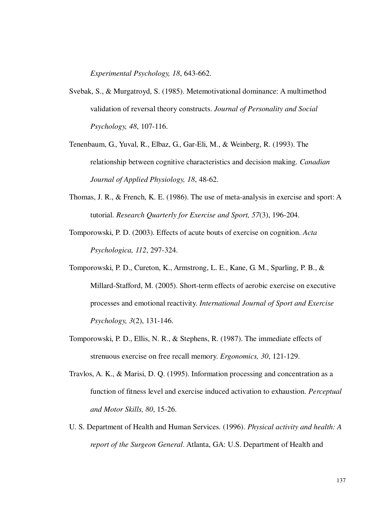*Experimental Psychology, 18*, 643-662.

- Svebak, S., & Murgatroyd, S. (1985). Metemotivational dominance: A multimethod validation of reversal theory constructs. *Journal of Personality and Social Psychology, 48*, 107-116.
- Tenenbaum, G., Yuval, R., Elbaz, G., Gar-Eli, M., & Weinberg, R. (1993). The relationship between cognitive characteristics and decision making. *Canadian Journal of Applied Physiology, 18*, 48-62.
- Thomas, J. R., & French, K. E. (1986). The use of meta-analysis in exercise and sport: A tutorial. *Research Quarterly for Exercise and Sport, 57*(3), 196-204.
- Tomporowski, P. D. (2003). Effects of acute bouts of exercise on cognition. *Acta Psychologica, 112*, 297-324.
- Tomporowski, P. D., Cureton, K., Armstrong, L. E., Kane, G. M., Sparling, P. B., & Millard-Stafford, M. (2005). Short-term effects of aerobic exercise on executive processes and emotional reactivity. *International Journal of Sport and Exercise Psychology, 3*(2), 131-146.
- Tomporowski, P. D., Ellis, N. R., & Stephens, R. (1987). The immediate effects of strenuous exercise on free recall memory. *Ergonomics, 30*, 121-129.
- Travlos, A. K., & Marisi, D. Q. (1995). Information processing and concentration as a function of fitness level and exercise induced activation to exhaustion. *Perceptual and Motor Skills, 80*, 15-26.
- U. S. Department of Health and Human Services. (1996). *Physical activity and health: A report of the Surgeon General*. Atlanta, GA: U.S. Department of Health and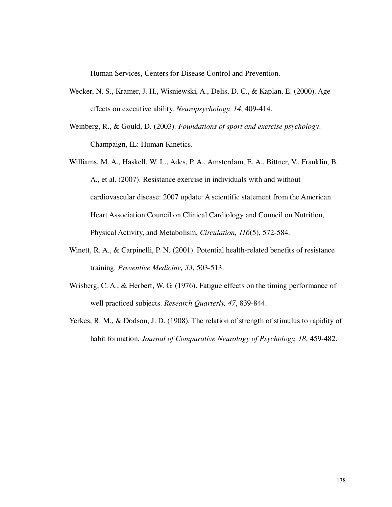Human Services, Centers for Disease Control and Prevention.

- Wecker, N. S., Kramer, J. H., Wisniewski, A., Delis, D. C., & Kaplan, E. (2000). Age effects on executive ability. *Neuropsychology, 14*, 409-414.
- Weinberg, R., & Gould, D. (2003). *Foundations of sport and exercise psychology*. Champaign, IL: Human Kinetics.
- Williams, M. A., Haskell, W. L., Ades, P. A., Amsterdam, E. A., Bittner, V., Franklin, B. A., et al. (2007). Resistance exercise in individuals with and without cardiovascular disease: 2007 update: A scientific statement from the American Heart Association Council on Clinical Cardiology and Council on Nutrition, Physical Activity, and Metabolism. *Circulation, 116*(5), 572-584.
- Winett, R. A., & Carpinelli, P. N. (2001). Potential health-related benefits of resistance training. *Preventive Medicine, 33*, 503-513.
- Wrisberg, C. A., & Herbert, W. G. (1976). Fatigue effects on the timing performance of well practiced subjects. *Research Quarterly, 47*, 839-844.
- Yerkes, R. M., & Dodson, J. D. (1908). The relation of strength of stimulus to rapidity of habit formation. *Journal of Comparative Neurology of Psychology, 18*, 459-482.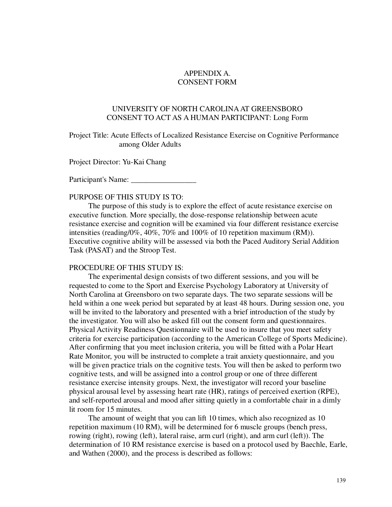## APPENDIX A. CONSENT FORM

## UNIVERSITY OF NORTH CAROLINA AT GREENSBORO CONSENT TO ACT AS A HUMAN PARTICIPANT: Long Form

Project Title: Acute Effects of Localized Resistance Exercise on Cognitive Performance among Older Adults

Project Director: Yu-Kai Chang

Participant's Name: \_\_\_\_\_\_\_\_\_\_\_\_\_\_\_\_\_

### PURPOSE OF THIS STUDY IS TO:

The purpose of this study is to explore the effect of acute resistance exercise on executive function. More specially, the dose-response relationship between acute resistance exercise and cognition will be examined via four different resistance exercise intensities (reading/0%, 40%, 70% and 100% of 10 repetition maximum (RM)). Executive cognitive ability will be assessed via both the Paced Auditory Serial Addition Task (PASAT) and the Stroop Test.

#### PROCEDURE OF THIS STUDY IS:

The experimental design consists of two different sessions, and you will be requested to come to the Sport and Exercise Psychology Laboratory at University of North Carolina at Greensboro on two separate days. The two separate sessions will be held within a one week period but separated by at least 48 hours. During session one, you will be invited to the laboratory and presented with a brief introduction of the study by the investigator. You will also be asked fill out the consent form and questionnaires. Physical Activity Readiness Questionnaire will be used to insure that you meet safety criteria for exercise participation (according to the American College of Sports Medicine). After confirming that you meet inclusion criteria, you will be fitted with a Polar Heart Rate Monitor, you will be instructed to complete a trait anxiety questionnaire, and you will be given practice trials on the cognitive tests. You will then be asked to perform two cognitive tests, and will be assigned into a control group or one of three different resistance exercise intensity groups. Next, the investigator will record your baseline physical arousal level by assessing heart rate (HR), ratings of perceived exertion (RPE), and self-reported arousal and mood after sitting quietly in a comfortable chair in a dimly lit room for 15 minutes.

The amount of weight that you can lift 10 times, which also recognized as 10 repetition maximum (10 RM), will be determined for 6 muscle groups (bench press, rowing (right), rowing (left), lateral raise, arm curl (right), and arm curl (left)). The determination of 10 RM resistance exercise is based on a protocol used by Baechle, Earle, and Wathen (2000), and the process is described as follows: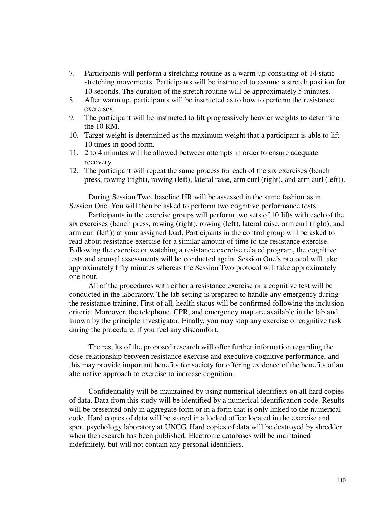- 7. Participants will perform a stretching routine as a warm-up consisting of 14 static stretching movements. Participants will be instructed to assume a stretch position for 10 seconds. The duration of the stretch routine will be approximately 5 minutes.
- 8. After warm up, participants will be instructed as to how to perform the resistance exercises.
- 9. The participant will be instructed to lift progressively heavier weights to determine the 10 RM.
- 10. Target weight is determined as the maximum weight that a participant is able to lift 10 times in good form.
- 11. 2 to 4 minutes will be allowed between attempts in order to ensure adequate recovery.
- 12. The participant will repeat the same process for each of the six exercises (bench press, rowing (right), rowing (left), lateral raise, arm curl (right), and arm curl (left)).

During Session Two, baseline HR will be assessed in the same fashion as in Session One. You will then be asked to perform two cognitive performance tests.

Participants in the exercise groups will perform two sets of 10 lifts with each of the six exercises (bench press, rowing (right), rowing (left), lateral raise, arm curl (right), and arm curl (left)) at your assigned load. Participants in the control group will be asked to read about resistance exercise for a similar amount of time to the resistance exercise. Following the exercise or watching a resistance exercise related program, the cognitive tests and arousal assessments will be conducted again. Session One's protocol will take approximately fifty minutes whereas the Session Two protocol will take approximately one hour.

All of the procedures with either a resistance exercise or a cognitive test will be conducted in the laboratory. The lab setting is prepared to handle any emergency during the resistance training. First of all, health status will be confirmed following the inclusion criteria. Moreover, the telephone, CPR, and emergency map are available in the lab and known by the principle investigator. Finally, you may stop any exercise or cognitive task during the procedure, if you feel any discomfort.

The results of the proposed research will offer further information regarding the dose-relationship between resistance exercise and executive cognitive performance, and this may provide important benefits for society for offering evidence of the benefits of an alternative approach to exercise to increase cognition.

Confidentiality will be maintained by using numerical identifiers on all hard copies of data. Data from this study will be identified by a numerical identification code. Results will be presented only in aggregate form or in a form that is only linked to the numerical code. Hard copies of data will be stored in a locked office located in the exercise and sport psychology laboratory at UNCG. Hard copies of data will be destroyed by shredder when the research has been published. Electronic databases will be maintained indefinitely, but will not contain any personal identifiers.